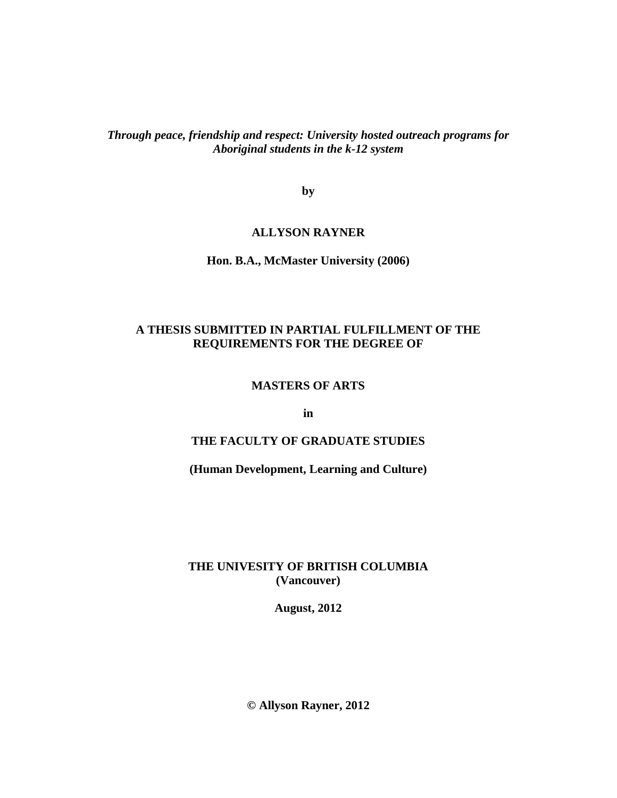*Through peace, friendship and respect: University hosted outreach programs for Aboriginal students in the k-12 system*

**by**

## **ALLYSON RAYNER**

**Hon. B.A., McMaster University (2006)**

# **A THESIS SUBMITTED IN PARTIAL FULFILLMENT OF THE REQUIREMENTS FOR THE DEGREE OF**

## **MASTERS OF ARTS**

**in**

# **THE FACULTY OF GRADUATE STUDIES**

#### **(Human Development, Learning and Culture)**

## **THE UNIVESITY OF BRITISH COLUMBIA (Vancouver)**

**August, 2012**

**© Allyson Rayner, 2012**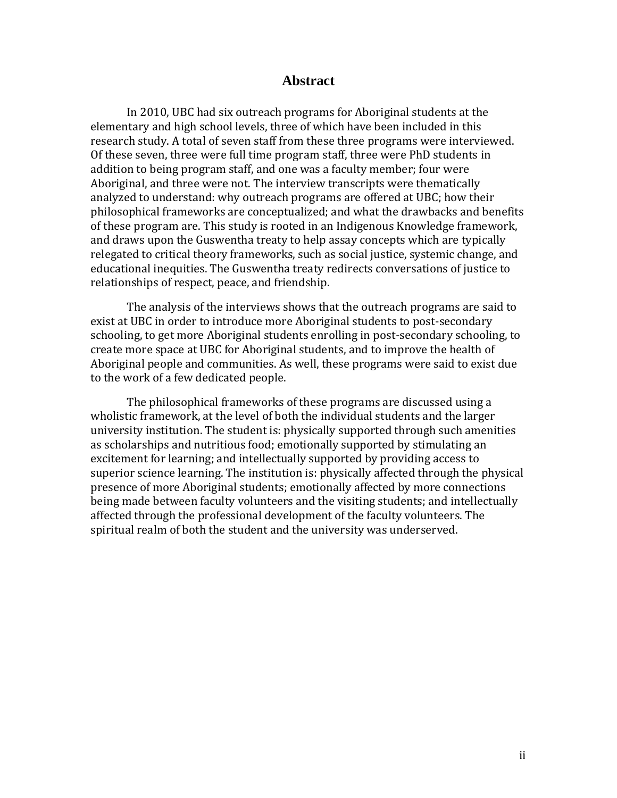### **Abstract**

In 2010, UBC had six outreach programs for Aboriginal students at the elementary and high school levels, three of which have been included in this research study. A total of seven staff from these three programs were interviewed. Of these seven, three were full time program staff, three were PhD students in addition to being program staff, and one was a faculty member; four were Aboriginal, and three were not. The interview transcripts were thematically analyzed to understand: why outreach programs are offered at UBC; how their philosophical frameworks are conceptualized; and what the drawbacks and benefits of these program are. This study is rooted in an Indigenous Knowledge framework, and draws upon the Guswentha treaty to help assay concepts which are typically relegated to critical theory frameworks, such as social justice, systemic change, and educational inequities. The Guswentha treaty redirects conversations of justice to relationships of respect, peace, and friendship.

The analysis of the interviews shows that the outreach programs are said to exist at UBC in order to introduce more Aboriginal students to post-secondary schooling, to get more Aboriginal students enrolling in post-secondary schooling, to create more space at UBC for Aboriginal students, and to improve the health of Aboriginal people and communities. As well, these programs were said to exist due to the work of a few dedicated people.

The philosophical frameworks of these programs are discussed using a wholistic framework, at the level of both the individual students and the larger university institution. The student is: physically supported through such amenities as scholarships and nutritious food; emotionally supported by stimulating an excitement for learning; and intellectually supported by providing access to superior science learning. The institution is: physically affected through the physical presence of more Aboriginal students; emotionally affected by more connections being made between faculty volunteers and the visiting students; and intellectually affected through the professional development of the faculty volunteers. The spiritual realm of both the student and the university was underserved.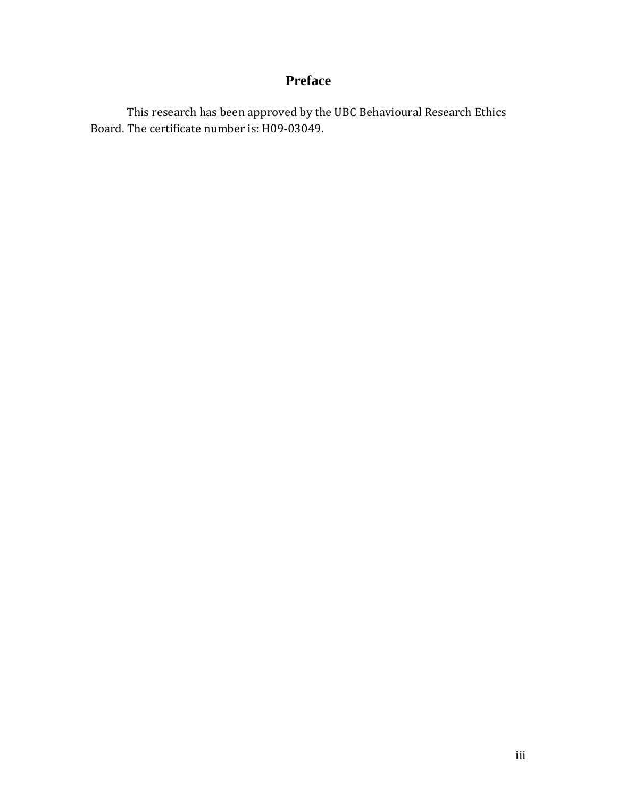# **Preface**

This research has been approved by the UBC Behavioural Research Ethics Board. The certificate number is: H09-03049.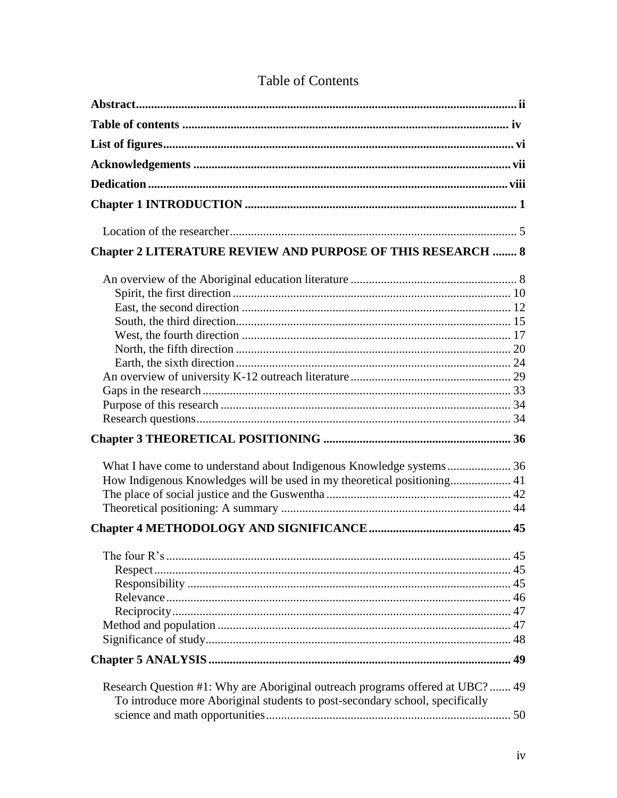| <b>Chapter 2 LITERATURE REVIEW AND PURPOSE OF THIS RESEARCH  8</b>                                                                                             |  |
|----------------------------------------------------------------------------------------------------------------------------------------------------------------|--|
| How Indigenous Knowledges will be used in my theoretical positioning 41                                                                                        |  |
|                                                                                                                                                                |  |
|                                                                                                                                                                |  |
|                                                                                                                                                                |  |
|                                                                                                                                                                |  |
| Research Question #1: Why are Aboriginal outreach programs offered at UBC?  49<br>To introduce more Aboriginal students to post-secondary school, specifically |  |

# **Table of Contents**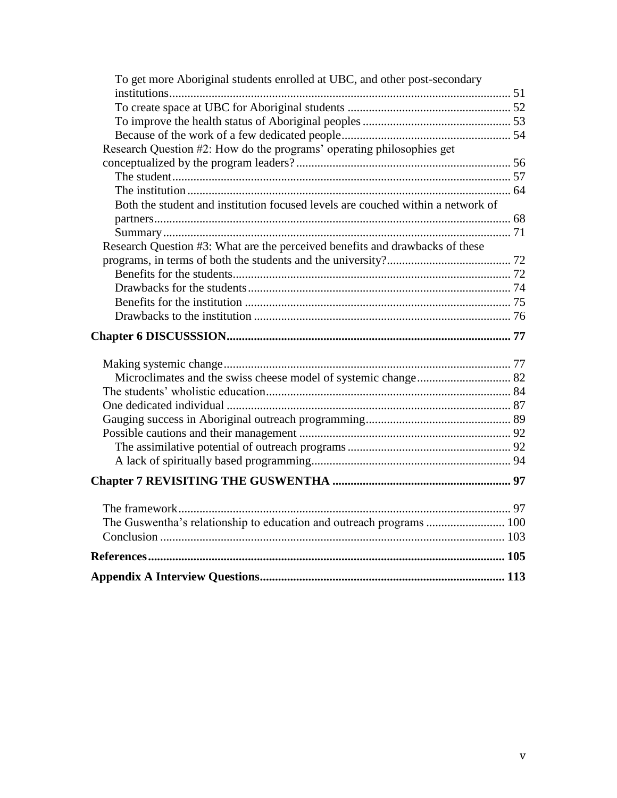| To get more Aboriginal students enrolled at UBC, and other post-secondary       |  |
|---------------------------------------------------------------------------------|--|
|                                                                                 |  |
|                                                                                 |  |
|                                                                                 |  |
|                                                                                 |  |
| Research Question #2: How do the programs' operating philosophies get           |  |
|                                                                                 |  |
|                                                                                 |  |
|                                                                                 |  |
| Both the student and institution focused levels are couched within a network of |  |
|                                                                                 |  |
| Research Question #3: What are the perceived benefits and drawbacks of these    |  |
|                                                                                 |  |
|                                                                                 |  |
|                                                                                 |  |
|                                                                                 |  |
|                                                                                 |  |
|                                                                                 |  |
|                                                                                 |  |
|                                                                                 |  |
|                                                                                 |  |
|                                                                                 |  |
|                                                                                 |  |
|                                                                                 |  |
|                                                                                 |  |
|                                                                                 |  |
|                                                                                 |  |
|                                                                                 |  |
|                                                                                 |  |
|                                                                                 |  |
|                                                                                 |  |
|                                                                                 |  |
|                                                                                 |  |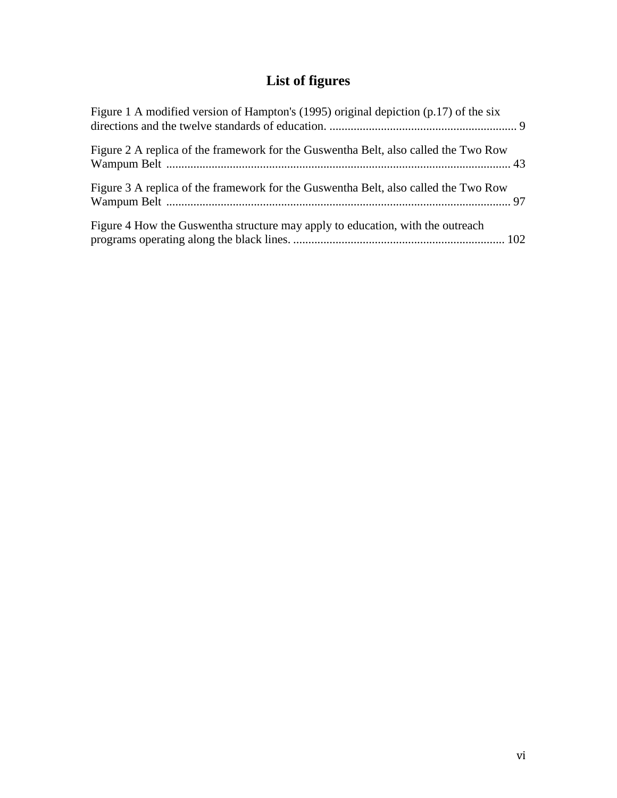# **List of figures**

| Figure 1 A modified version of Hampton's (1995) original depiction $(p.17)$ of the six |  |
|----------------------------------------------------------------------------------------|--|
| Figure 2 A replica of the framework for the Guswentha Belt, also called the Two Row    |  |
| Figure 3 A replica of the framework for the Guswentha Belt, also called the Two Row    |  |
| Figure 4 How the Guswentha structure may apply to education, with the outreach         |  |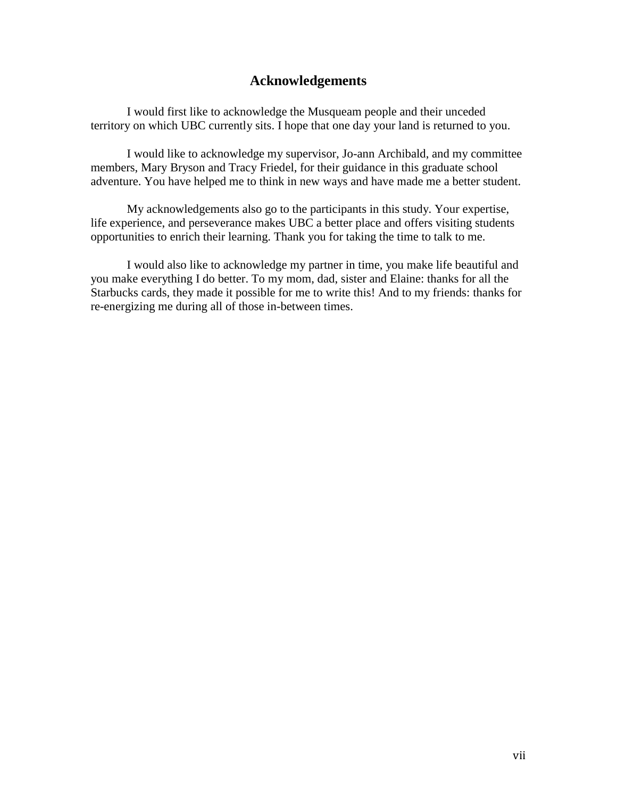# **Acknowledgements**

I would first like to acknowledge the Musqueam people and their unceded territory on which UBC currently sits. I hope that one day your land is returned to you.

I would like to acknowledge my supervisor, Jo-ann Archibald, and my committee members, Mary Bryson and Tracy Friedel, for their guidance in this graduate school adventure. You have helped me to think in new ways and have made me a better student.

My acknowledgements also go to the participants in this study. Your expertise, life experience, and perseverance makes UBC a better place and offers visiting students opportunities to enrich their learning. Thank you for taking the time to talk to me.

I would also like to acknowledge my partner in time, you make life beautiful and you make everything I do better. To my mom, dad, sister and Elaine: thanks for all the Starbucks cards, they made it possible for me to write this! And to my friends: thanks for re-energizing me during all of those in-between times.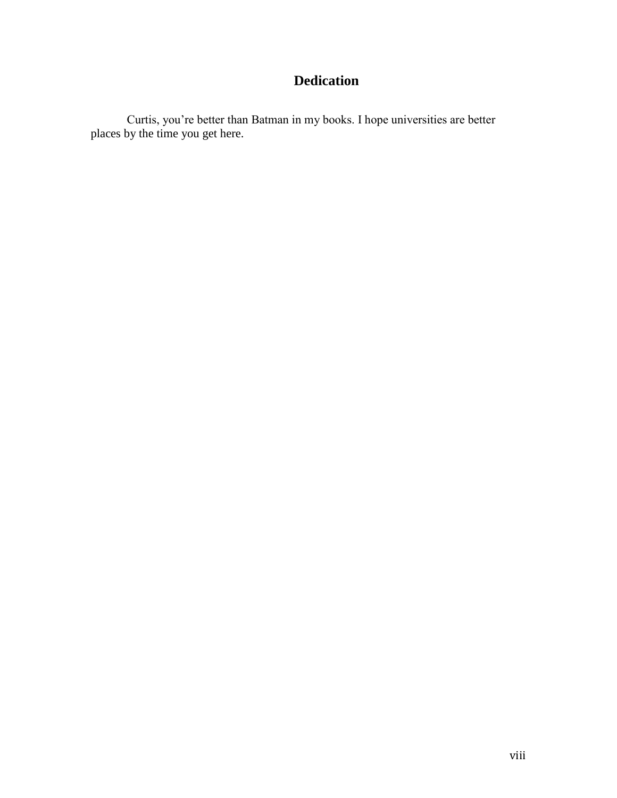# **Dedication**

Curtis, you're better than Batman in my books. I hope universities are better places by the time you get here.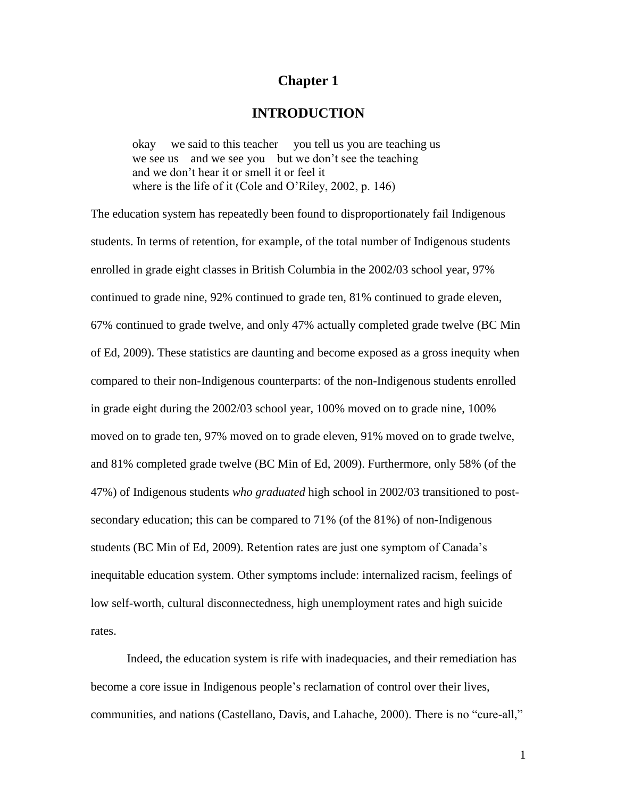# **Chapter 1**

# **INTRODUCTION**

okay we said to this teacher you tell us you are teaching us we see us and we see you but we don't see the teaching and we don't hear it or smell it or feel it where is the life of it (Cole and O'Riley, 2002, p. 146)

The education system has repeatedly been found to disproportionately fail Indigenous students. In terms of retention, for example, of the total number of Indigenous students enrolled in grade eight classes in British Columbia in the 2002/03 school year, 97% continued to grade nine, 92% continued to grade ten, 81% continued to grade eleven, 67% continued to grade twelve, and only 47% actually completed grade twelve (BC Min of Ed, 2009). These statistics are daunting and become exposed as a gross inequity when compared to their non-Indigenous counterparts: of the non-Indigenous students enrolled in grade eight during the 2002/03 school year, 100% moved on to grade nine, 100% moved on to grade ten, 97% moved on to grade eleven, 91% moved on to grade twelve, and 81% completed grade twelve (BC Min of Ed, 2009). Furthermore, only 58% (of the 47%) of Indigenous students *who graduated* high school in 2002/03 transitioned to postsecondary education; this can be compared to 71% (of the 81%) of non-Indigenous students (BC Min of Ed, 2009). Retention rates are just one symptom of Canada's inequitable education system. Other symptoms include: internalized racism, feelings of low self-worth, cultural disconnectedness, high unemployment rates and high suicide rates.

Indeed, the education system is rife with inadequacies, and their remediation has become a core issue in Indigenous people's reclamation of control over their lives, communities, and nations (Castellano, Davis, and Lahache, 2000). There is no "cure-all,"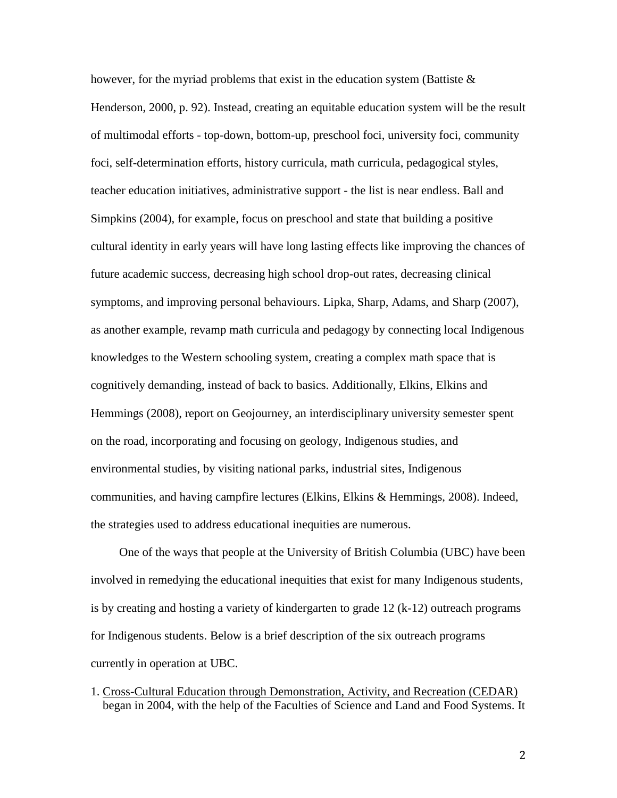however, for the myriad problems that exist in the education system (Battiste  $\&$ Henderson, 2000, p. 92). Instead, creating an equitable education system will be the result of multimodal efforts - top-down, bottom-up, preschool foci, university foci, community foci, self-determination efforts, history curricula, math curricula, pedagogical styles, teacher education initiatives, administrative support - the list is near endless. Ball and Simpkins (2004), for example, focus on preschool and state that building a positive cultural identity in early years will have long lasting effects like improving the chances of future academic success, decreasing high school drop-out rates, decreasing clinical symptoms, and improving personal behaviours. Lipka, Sharp, Adams, and Sharp (2007), as another example, revamp math curricula and pedagogy by connecting local Indigenous knowledges to the Western schooling system, creating a complex math space that is cognitively demanding, instead of back to basics. Additionally, Elkins, Elkins and Hemmings (2008), report on Geojourney, an interdisciplinary university semester spent on the road, incorporating and focusing on geology, Indigenous studies, and environmental studies, by visiting national parks, industrial sites, Indigenous communities, and having campfire lectures (Elkins, Elkins & Hemmings, 2008). Indeed, the strategies used to address educational inequities are numerous.

One of the ways that people at the University of British Columbia (UBC) have been involved in remedying the educational inequities that exist for many Indigenous students, is by creating and hosting a variety of kindergarten to grade 12 (k-12) outreach programs for Indigenous students. Below is a brief description of the six outreach programs currently in operation at UBC.

1. Cross-Cultural Education through Demonstration, Activity, and Recreation (CEDAR) began in 2004, with the help of the Faculties of Science and Land and Food Systems. It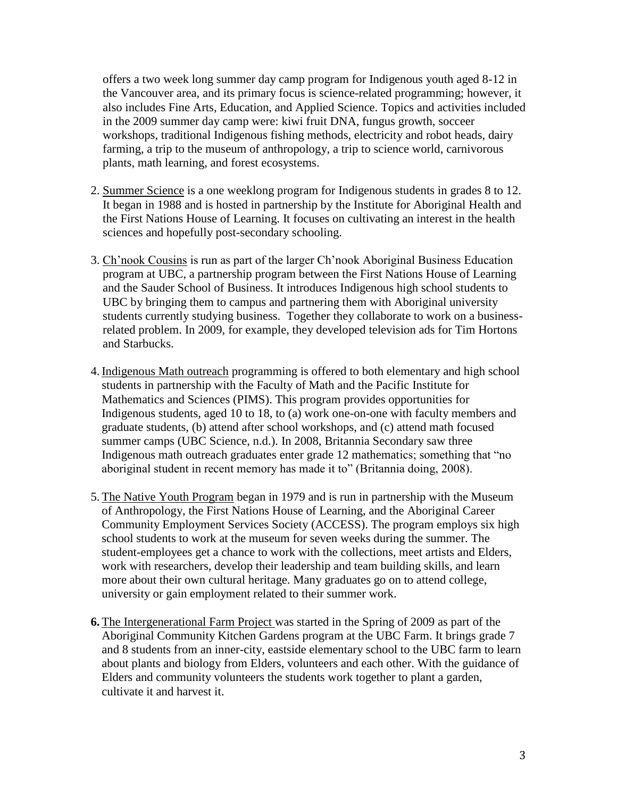offers a two week long summer day camp program for Indigenous youth aged 8-12 in the Vancouver area, and its primary focus is science-related programming; however, it also includes Fine Arts, Education, and Applied Science. Topics and activities included in the 2009 summer day camp were: kiwi fruit DNA, fungus growth, socceer workshops, traditional Indigenous fishing methods, electricity and robot heads, dairy farming, a trip to the museum of anthropology, a trip to science world, carnivorous plants, math learning, and forest ecosystems.

- 2. Summer Science is a one weeklong program for Indigenous students in grades 8 to 12. It began in 1988 and is hosted in partnership by the Institute for Aboriginal Health and the First Nations House of Learning. It focuses on cultivating an interest in the health sciences and hopefully post-secondary schooling.
- 3. Ch'nook Cousins is run as part of the larger Ch'nook Aboriginal Business Education program at UBC, a partnership program between the First Nations House of Learning and the Sauder School of Business. It introduces Indigenous high school students to UBC by bringing them to campus and partnering them with Aboriginal university students currently studying business. Together they collaborate to work on a businessrelated problem. In 2009, for example, they developed television ads for Tim Hortons and Starbucks.
- 4. Indigenous Math outreach programming is offered to both elementary and high school students in partnership with the Faculty of Math and the Pacific Institute for Mathematics and Sciences (PIMS). This program provides opportunities for Indigenous students, aged 10 to 18, to (a) work one-on-one with faculty members and graduate students, (b) attend after school workshops, and (c) attend math focused summer camps [\(UBC Science, n.d.\)](http://www.science.ubc.ca/support/giving/math). In 2008, Britannia Secondary saw three Indigenous math outreach graduates enter grade 12 mathematics; something that "no aboriginal student in recent memory has made it to" (Britannia doing, 2008).
- 5. The Native Youth Program began in 1979 and is run in partnership with the Museum of Anthropology, the First Nations House of Learning, and the Aboriginal Career Community Employment Services Society (ACCESS). The program employs six high school students to work at the museum for seven weeks during the summer. The student-employees get a chance to work with the collections, meet artists and Elders, work with researchers, develop their leadership and team building skills, and learn more about their own cultural heritage. Many graduates go on to attend college, university or gain employment related to their summer work.
- **6.** The Intergenerational Farm Project was started in the Spring of 2009 as part of the Aboriginal Community Kitchen Gardens program at the UBC Farm. It brings grade 7 and 8 students from an inner-city, eastside elementary school to the UBC farm to learn about plants and biology from Elders, volunteers and each other. With the guidance of Elders and community volunteers the students work together to plant a garden, cultivate it and harvest it.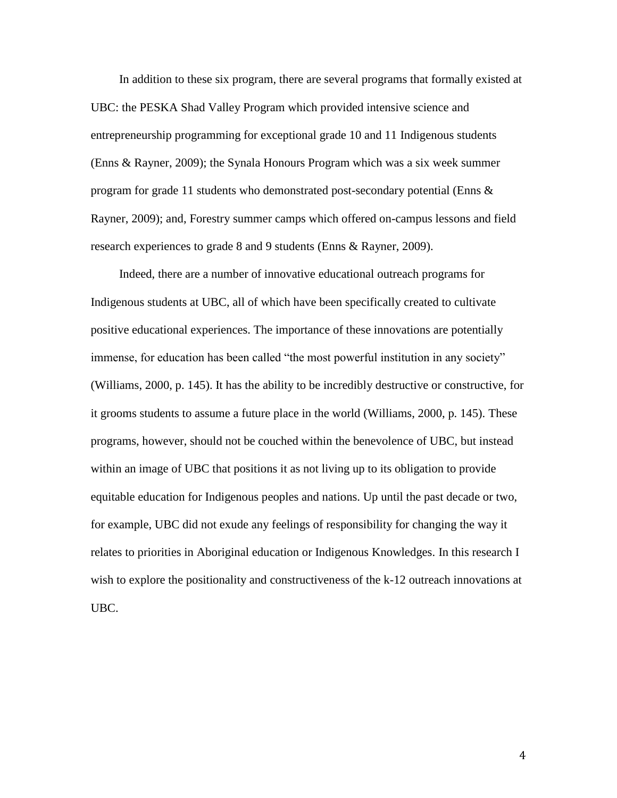In addition to these six program, there are several programs that formally existed at UBC: the PESKA Shad Valley Program which provided intensive science and entrepreneurship programming for exceptional grade 10 and 11 Indigenous students (Enns & Rayner, 2009); the Synala Honours Program which was a six week summer program for grade 11 students who demonstrated post-secondary potential (Enns  $\&$ Rayner, 2009); and, Forestry summer camps which offered on-campus lessons and field research experiences to grade 8 and 9 students (Enns & Rayner, 2009).

Indeed, there are a number of innovative educational outreach programs for Indigenous students at UBC, all of which have been specifically created to cultivate positive educational experiences. The importance of these innovations are potentially immense, for education has been called "the most powerful institution in any society" (Williams, 2000, p. 145). It has the ability to be incredibly destructive or constructive, for it grooms students to assume a future place in the world (Williams, 2000, p. 145). These programs, however, should not be couched within the benevolence of UBC, but instead within an image of UBC that positions it as not living up to its obligation to provide equitable education for Indigenous peoples and nations. Up until the past decade or two, for example, UBC did not exude any feelings of responsibility for changing the way it relates to priorities in Aboriginal education or Indigenous Knowledges. In this research I wish to explore the positionality and constructiveness of the k-12 outreach innovations at UBC.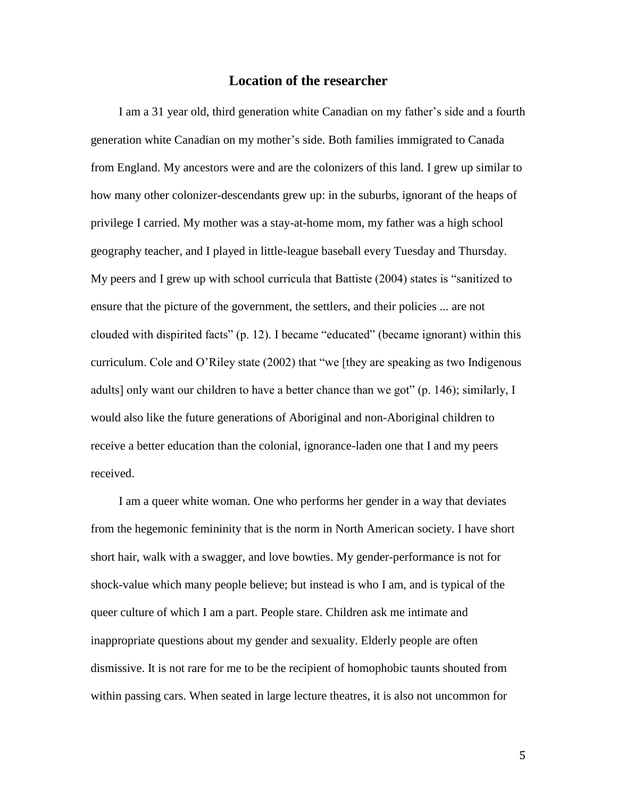# **Location of the researcher**

I am a 31 year old, third generation white Canadian on my father's side and a fourth generation white Canadian on my mother's side. Both families immigrated to Canada from England. My ancestors were and are the colonizers of this land. I grew up similar to how many other colonizer-descendants grew up: in the suburbs, ignorant of the heaps of privilege I carried. My mother was a stay-at-home mom, my father was a high school geography teacher, and I played in little-league baseball every Tuesday and Thursday. My peers and I grew up with school curricula that Battiste (2004) states is "sanitized to ensure that the picture of the government, the settlers, and their policies ... are not clouded with dispirited facts" (p. 12). I became "educated" (became ignorant) within this curriculum. Cole and O'Riley state (2002) that "we [they are speaking as two Indigenous adults] only want our children to have a better chance than we got" (p. 146); similarly, I would also like the future generations of Aboriginal and non-Aboriginal children to receive a better education than the colonial, ignorance-laden one that I and my peers received.

I am a queer white woman. One who performs her gender in a way that deviates from the hegemonic femininity that is the norm in North American society. I have short short hair, walk with a swagger, and love bowties. My gender-performance is not for shock-value which many people believe; but instead is who I am, and is typical of the queer culture of which I am a part. People stare. Children ask me intimate and inappropriate questions about my gender and sexuality. Elderly people are often dismissive. It is not rare for me to be the recipient of homophobic taunts shouted from within passing cars. When seated in large lecture theatres, it is also not uncommon for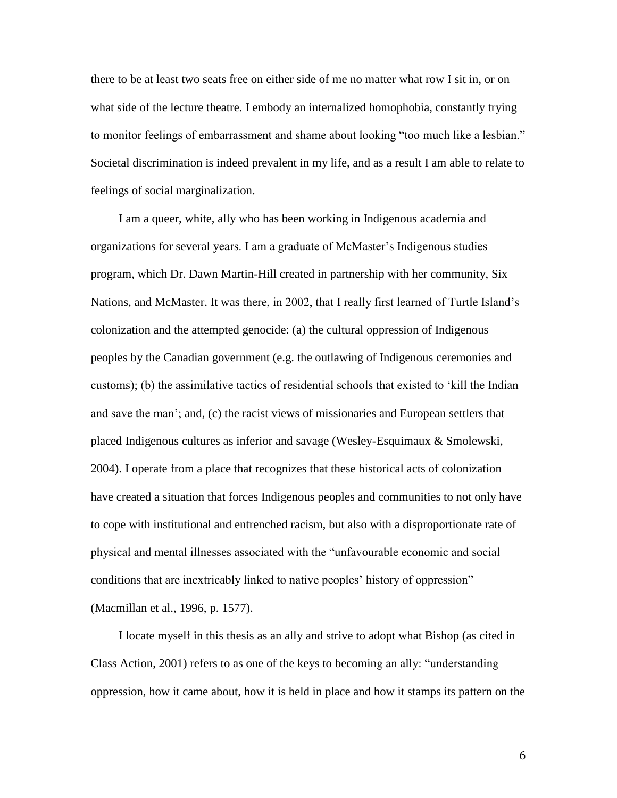there to be at least two seats free on either side of me no matter what row I sit in, or on what side of the lecture theatre. I embody an internalized homophobia, constantly trying to monitor feelings of embarrassment and shame about looking "too much like a lesbian." Societal discrimination is indeed prevalent in my life, and as a result I am able to relate to feelings of social marginalization.

I am a queer, white, ally who has been working in Indigenous academia and organizations for several years. I am a graduate of McMaster's Indigenous studies program, which Dr. Dawn Martin-Hill created in partnership with her community, Six Nations, and McMaster. It was there, in 2002, that I really first learned of Turtle Island's colonization and the attempted genocide: (a) the cultural oppression of Indigenous peoples by the Canadian government (e.g. the outlawing of Indigenous ceremonies and customs); (b) the assimilative tactics of residential schools that existed to 'kill the Indian and save the man'; and, (c) the racist views of missionaries and European settlers that placed Indigenous cultures as inferior and savage (Wesley-Esquimaux & Smolewski, 2004). I operate from a place that recognizes that these historical acts of colonization have created a situation that forces Indigenous peoples and communities to not only have to cope with institutional and entrenched racism, but also with a disproportionate rate of physical and mental illnesses associated with the "unfavourable economic and social conditions that are inextricably linked to native peoples' history of oppression" (Macmillan et al., 1996, p. 1577).

I locate myself in this thesis as an ally and strive to adopt what Bishop (as cited in Class Action, 2001) refers to as one of the keys to becoming an ally: "understanding oppression, how it came about, how it is held in place and how it stamps its pattern on the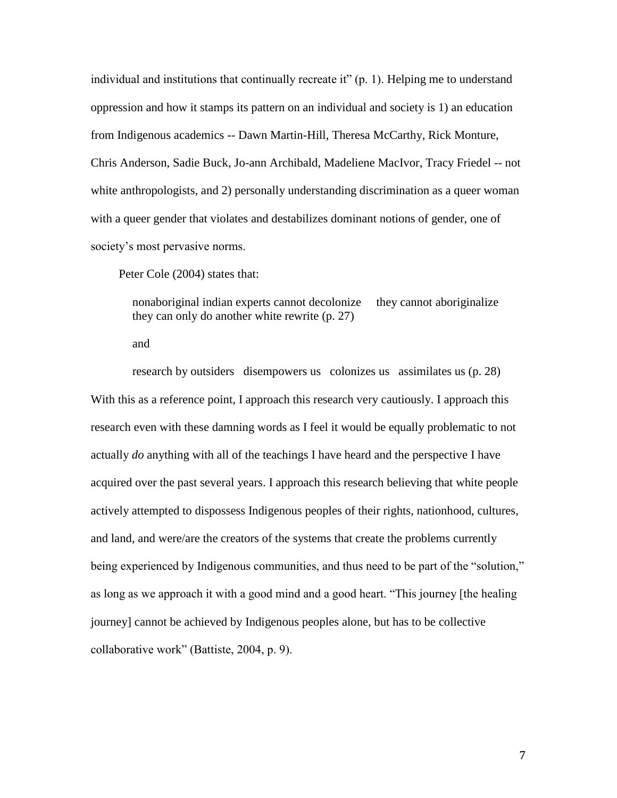individual and institutions that continually recreate it" (p. 1). Helping me to understand oppression and how it stamps its pattern on an individual and society is 1) an education from Indigenous academics -- Dawn Martin-Hill, Theresa McCarthy, Rick Monture, Chris Anderson, Sadie Buck, Jo-ann Archibald, Madeliene MacIvor, Tracy Friedel -- not white anthropologists, and 2) personally understanding discrimination as a queer woman with a queer gender that violates and destabilizes dominant notions of gender, one of society's most pervasive norms.

Peter Cole (2004) states that:

nonaboriginal indian experts cannot decolonize they cannot aboriginalize they can only do another white rewrite (p. 27)

and

research by outsiders disempowers us colonizes us assimilates us (p. 28) With this as a reference point, I approach this research very cautiously. I approach this research even with these damning words as I feel it would be equally problematic to not actually *do* anything with all of the teachings I have heard and the perspective I have acquired over the past several years. I approach this research believing that white people actively attempted to dispossess Indigenous peoples of their rights, nationhood, cultures, and land, and were/are the creators of the systems that create the problems currently being experienced by Indigenous communities, and thus need to be part of the "solution," as long as we approach it with a good mind and a good heart. "This journey [the healing journey] cannot be achieved by Indigenous peoples alone, but has to be collective collaborative work" (Battiste, 2004, p. 9).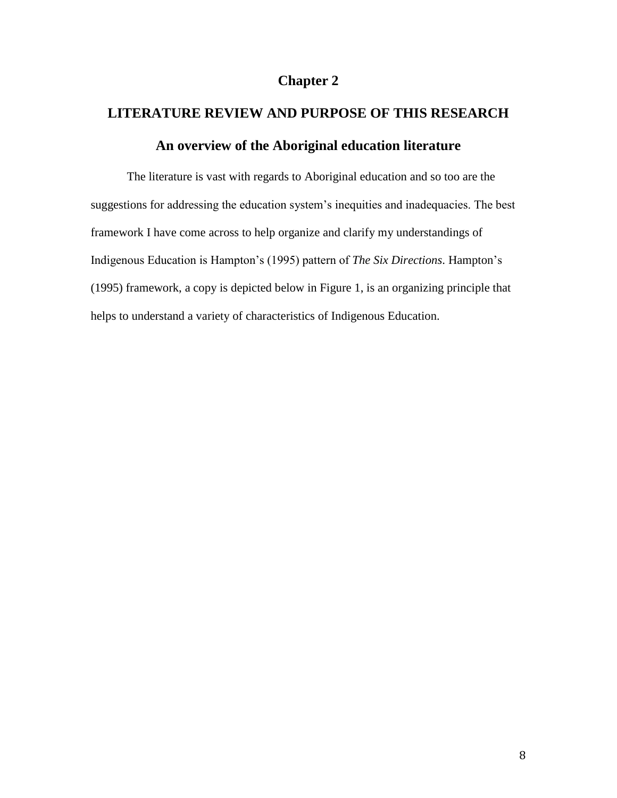# **Chapter 2**

# **LITERATURE REVIEW AND PURPOSE OF THIS RESEARCH An overview of the Aboriginal education literature**

The literature is vast with regards to Aboriginal education and so too are the suggestions for addressing the education system's inequities and inadequacies. The best framework I have come across to help organize and clarify my understandings of Indigenous Education is Hampton's (1995) pattern of *The Six Directions*. Hampton's (1995) framework, a copy is depicted below in Figure 1, is an organizing principle that helps to understand a variety of characteristics of Indigenous Education.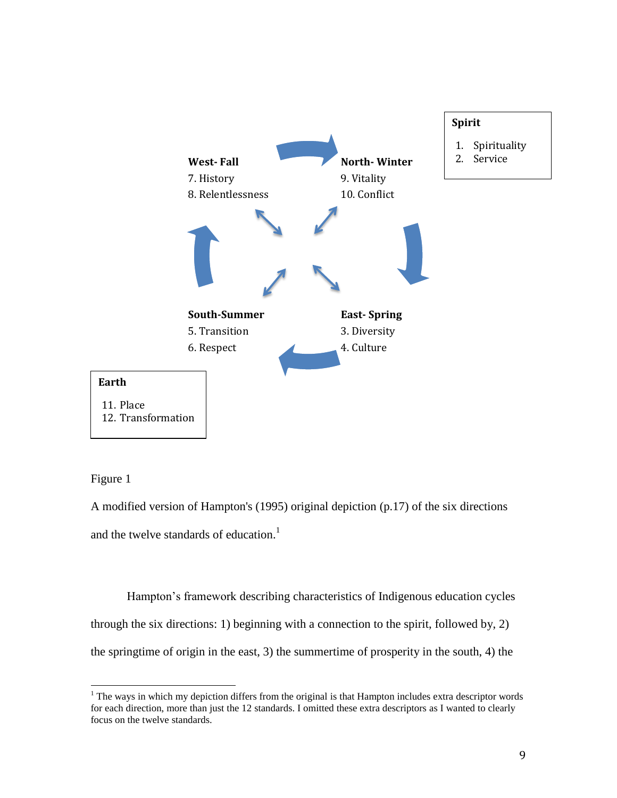

Figure 1

 $\overline{a}$ 

A modified version of Hampton's (1995) original depiction (p.17) of the six directions and the twelve standards of education.<sup>1</sup>

Hampton's framework describing characteristics of Indigenous education cycles through the six directions: 1) beginning with a connection to the spirit, followed by, 2) the springtime of origin in the east, 3) the summertime of prosperity in the south, 4) the

<sup>&</sup>lt;sup>1</sup> The ways in which my depiction differs from the original is that Hampton includes extra descriptor words for each direction, more than just the 12 standards. I omitted these extra descriptors as I wanted to clearly focus on the twelve standards.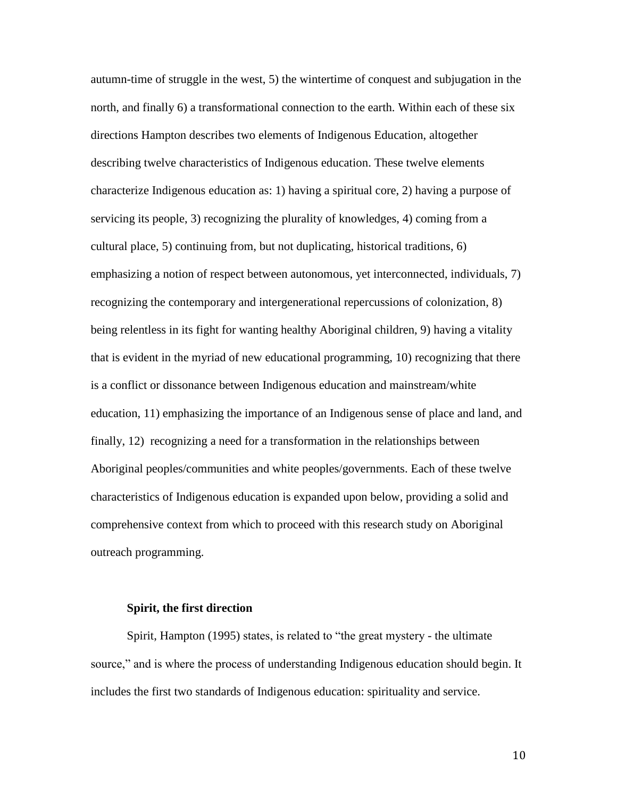autumn-time of struggle in the west, 5) the wintertime of conquest and subjugation in the north, and finally 6) a transformational connection to the earth. Within each of these six directions Hampton describes two elements of Indigenous Education, altogether describing twelve characteristics of Indigenous education. These twelve elements characterize Indigenous education as: 1) having a spiritual core, 2) having a purpose of servicing its people, 3) recognizing the plurality of knowledges, 4) coming from a cultural place, 5) continuing from, but not duplicating, historical traditions, 6) emphasizing a notion of respect between autonomous, yet interconnected, individuals, 7) recognizing the contemporary and intergenerational repercussions of colonization, 8) being relentless in its fight for wanting healthy Aboriginal children, 9) having a vitality that is evident in the myriad of new educational programming, 10) recognizing that there is a conflict or dissonance between Indigenous education and mainstream/white education, 11) emphasizing the importance of an Indigenous sense of place and land, and finally, 12) recognizing a need for a transformation in the relationships between Aboriginal peoples/communities and white peoples/governments. Each of these twelve characteristics of Indigenous education is expanded upon below, providing a solid and comprehensive context from which to proceed with this research study on Aboriginal outreach programming.

#### **Spirit, the first direction**

Spirit, Hampton (1995) states, is related to "the great mystery - the ultimate source," and is where the process of understanding Indigenous education should begin. It includes the first two standards of Indigenous education: spirituality and service.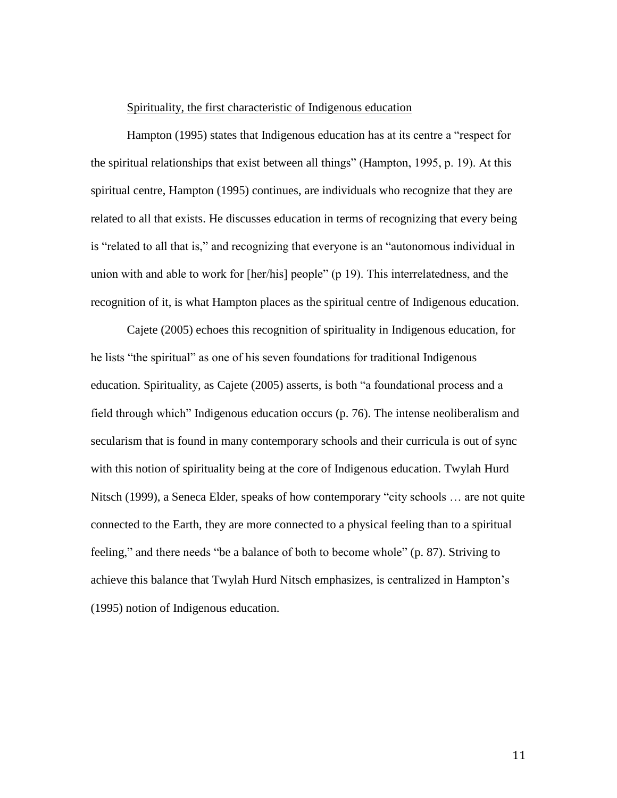#### Spirituality, the first characteristic of Indigenous education

Hampton (1995) states that Indigenous education has at its centre a "respect for the spiritual relationships that exist between all things" (Hampton, 1995, p. 19). At this spiritual centre, Hampton (1995) continues, are individuals who recognize that they are related to all that exists. He discusses education in terms of recognizing that every being is "related to all that is," and recognizing that everyone is an "autonomous individual in union with and able to work for [her/his] people" (p 19). This interrelatedness, and the recognition of it, is what Hampton places as the spiritual centre of Indigenous education.

Cajete (2005) echoes this recognition of spirituality in Indigenous education, for he lists "the spiritual" as one of his seven foundations for traditional Indigenous education. Spirituality, as Cajete (2005) asserts, is both "a foundational process and a field through which" Indigenous education occurs (p. 76). The intense neoliberalism and secularism that is found in many contemporary schools and their curricula is out of sync with this notion of spirituality being at the core of Indigenous education. Twylah Hurd Nitsch (1999), a Seneca Elder, speaks of how contemporary "city schools … are not quite connected to the Earth, they are more connected to a physical feeling than to a spiritual feeling," and there needs "be a balance of both to become whole" (p. 87). Striving to achieve this balance that Twylah Hurd Nitsch emphasizes, is centralized in Hampton's (1995) notion of Indigenous education.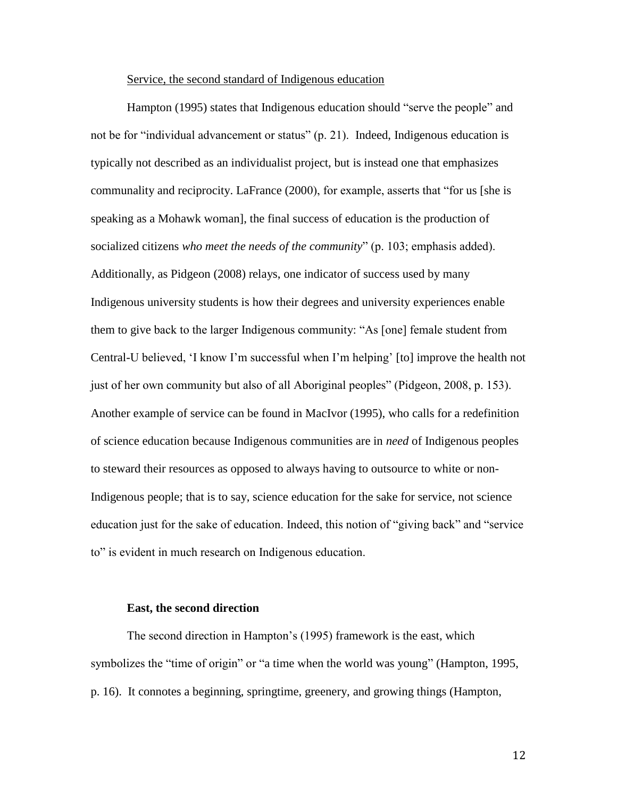#### Service, the second standard of Indigenous education

Hampton (1995) states that Indigenous education should "serve the people" and not be for "individual advancement or status" (p. 21). Indeed, Indigenous education is typically not described as an individualist project, but is instead one that emphasizes communality and reciprocity. LaFrance (2000), for example, asserts that "for us [she is speaking as a Mohawk woman], the final success of education is the production of socialized citizens *who meet the needs of the community*" (p. 103; emphasis added). Additionally, as Pidgeon (2008) relays, one indicator of success used by many Indigenous university students is how their degrees and university experiences enable them to give back to the larger Indigenous community: "As [one] female student from Central-U believed, 'I know I'm successful when I'm helping' [to] improve the health not just of her own community but also of all Aboriginal peoples" (Pidgeon, 2008, p. 153). Another example of service can be found in MacIvor (1995), who calls for a redefinition of science education because Indigenous communities are in *need* of Indigenous peoples to steward their resources as opposed to always having to outsource to white or non-Indigenous people; that is to say, science education for the sake for service, not science education just for the sake of education. Indeed, this notion of "giving back" and "service to" is evident in much research on Indigenous education.

#### **East, the second direction**

The second direction in Hampton's (1995) framework is the east, which symbolizes the "time of origin" or "a time when the world was young" (Hampton, 1995, p. 16). It connotes a beginning, springtime, greenery, and growing things (Hampton,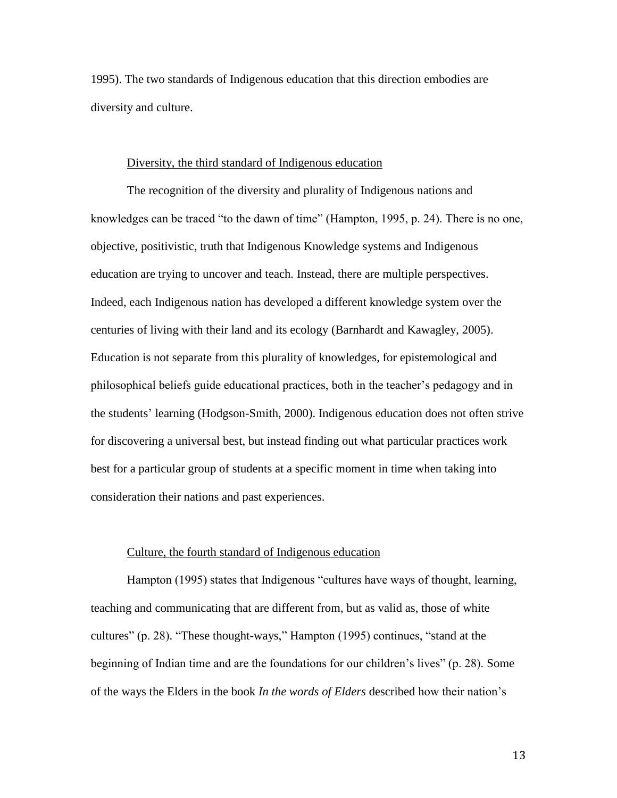1995). The two standards of Indigenous education that this direction embodies are diversity and culture.

#### Diversity, the third standard of Indigenous education

The recognition of the diversity and plurality of Indigenous nations and knowledges can be traced "to the dawn of time" (Hampton, 1995, p. 24). There is no one, objective, positivistic, truth that Indigenous Knowledge systems and Indigenous education are trying to uncover and teach. Instead, there are multiple perspectives. Indeed, each Indigenous nation has developed a different knowledge system over the centuries of living with their land and its ecology (Barnhardt and Kawagley, 2005). Education is not separate from this plurality of knowledges, for epistemological and philosophical beliefs guide educational practices, both in the teacher's pedagogy and in the students' learning (Hodgson-Smith, 2000). Indigenous education does not often strive for discovering a universal best, but instead finding out what particular practices work best for a particular group of students at a specific moment in time when taking into consideration their nations and past experiences.

#### Culture, the fourth standard of Indigenous education

Hampton (1995) states that Indigenous "cultures have ways of thought, learning, teaching and communicating that are different from, but as valid as, those of white cultures" (p. 28). "These thought-ways," Hampton (1995) continues, "stand at the beginning of Indian time and are the foundations for our children's lives" (p. 28). Some of the ways the Elders in the book *In the words of Elders* described how their nation's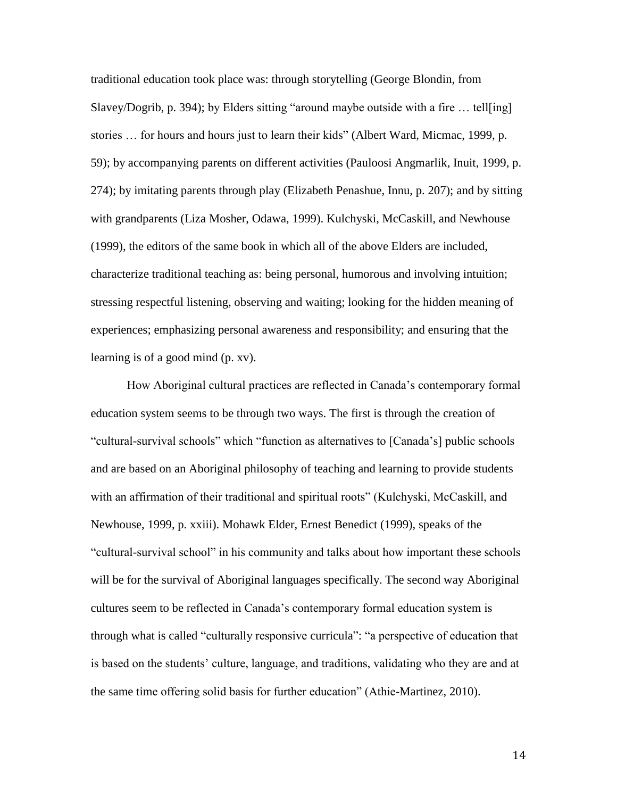traditional education took place was: through storytelling (George Blondin, from Slavey/Dogrib, p. 394); by Elders sitting "around maybe outside with a fire … tell[ing] stories … for hours and hours just to learn their kids" (Albert Ward, Micmac, 1999, p. 59); by accompanying parents on different activities (Pauloosi Angmarlik, Inuit, 1999, p. 274); by imitating parents through play (Elizabeth Penashue, Innu, p. 207); and by sitting with grandparents (Liza Mosher, Odawa, 1999). Kulchyski, McCaskill, and Newhouse (1999), the editors of the same book in which all of the above Elders are included, characterize traditional teaching as: being personal, humorous and involving intuition; stressing respectful listening, observing and waiting; looking for the hidden meaning of experiences; emphasizing personal awareness and responsibility; and ensuring that the learning is of a good mind (p. xv).

How Aboriginal cultural practices are reflected in Canada's contemporary formal education system seems to be through two ways. The first is through the creation of "cultural-survival schools" which "function as alternatives to [Canada's] public schools and are based on an Aboriginal philosophy of teaching and learning to provide students with an affirmation of their traditional and spiritual roots" (Kulchyski, McCaskill, and Newhouse, 1999, p. xxiii). Mohawk Elder, Ernest Benedict (1999), speaks of the "cultural-survival school" in his community and talks about how important these schools will be for the survival of Aboriginal languages specifically. The second way Aboriginal cultures seem to be reflected in Canada's contemporary formal education system is through what is called "culturally responsive curricula": "a perspective of education that is based on the students' culture, language, and traditions, validating who they are and at the same time offering solid basis for further education" (Athie-Martinez, 2010).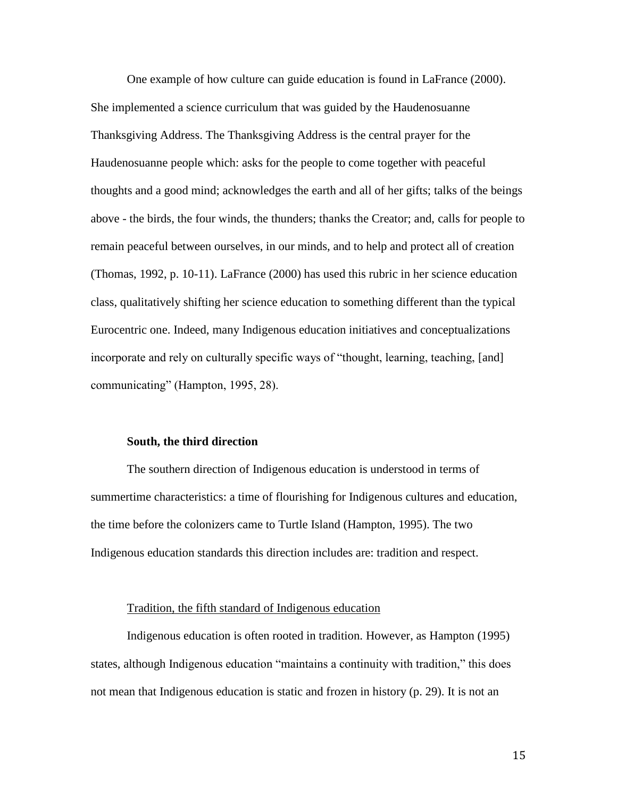One example of how culture can guide education is found in LaFrance (2000). She implemented a science curriculum that was guided by the Haudenosuanne Thanksgiving Address. The Thanksgiving Address is the central prayer for the Haudenosuanne people which: asks for the people to come together with peaceful thoughts and a good mind; acknowledges the earth and all of her gifts; talks of the beings above - the birds, the four winds, the thunders; thanks the Creator; and, calls for people to remain peaceful between ourselves, in our minds, and to help and protect all of creation (Thomas, 1992, p. 10-11). LaFrance (2000) has used this rubric in her science education class, qualitatively shifting her science education to something different than the typical Eurocentric one. Indeed, many Indigenous education initiatives and conceptualizations incorporate and rely on culturally specific ways of "thought, learning, teaching, [and] communicating" (Hampton, 1995, 28).

#### **South, the third direction**

The southern direction of Indigenous education is understood in terms of summertime characteristics: a time of flourishing for Indigenous cultures and education, the time before the colonizers came to Turtle Island (Hampton, 1995). The two Indigenous education standards this direction includes are: tradition and respect.

#### Tradition, the fifth standard of Indigenous education

Indigenous education is often rooted in tradition. However, as Hampton (1995) states, although Indigenous education "maintains a continuity with tradition," this does not mean that Indigenous education is static and frozen in history (p. 29). It is not an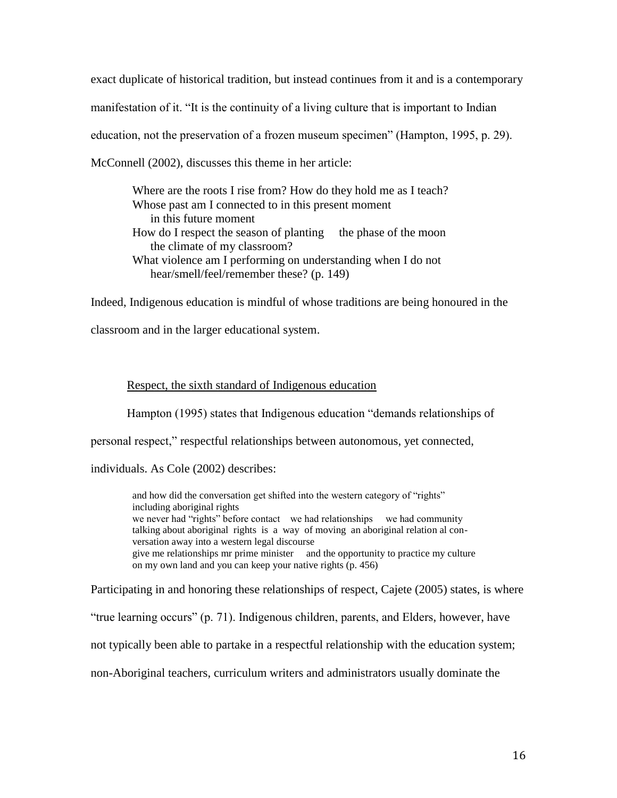exact duplicate of historical tradition, but instead continues from it and is a contemporary manifestation of it. "It is the continuity of a living culture that is important to Indian education, not the preservation of a frozen museum specimen" (Hampton, 1995, p. 29). McConnell (2002), discusses this theme in her article:

Where are the roots I rise from? How do they hold me as I teach? Whose past am I connected to in this present moment in this future moment How do I respect the season of planting the phase of the moon the climate of my classroom? What violence am I performing on understanding when I do not hear/smell/feel/remember these? (p. 149)

Indeed, Indigenous education is mindful of whose traditions are being honoured in the

classroom and in the larger educational system.

#### Respect, the sixth standard of Indigenous education

Hampton (1995) states that Indigenous education "demands relationships of

personal respect," respectful relationships between autonomous, yet connected,

individuals. As Cole (2002) describes:

and how did the conversation get shifted into the western category of "rights" including aboriginal rights we never had "rights" before contact we had relationships we had community talking about aboriginal rights is a way of moving an aboriginal relation al conversation away into a western legal discourse give me relationships mr prime minister and the opportunity to practice my culture on my own land and you can keep your native rights (p. 456)

Participating in and honoring these relationships of respect, Cajete (2005) states, is where

"true learning occurs" (p. 71). Indigenous children, parents, and Elders, however, have

not typically been able to partake in a respectful relationship with the education system;

non-Aboriginal teachers, curriculum writers and administrators usually dominate the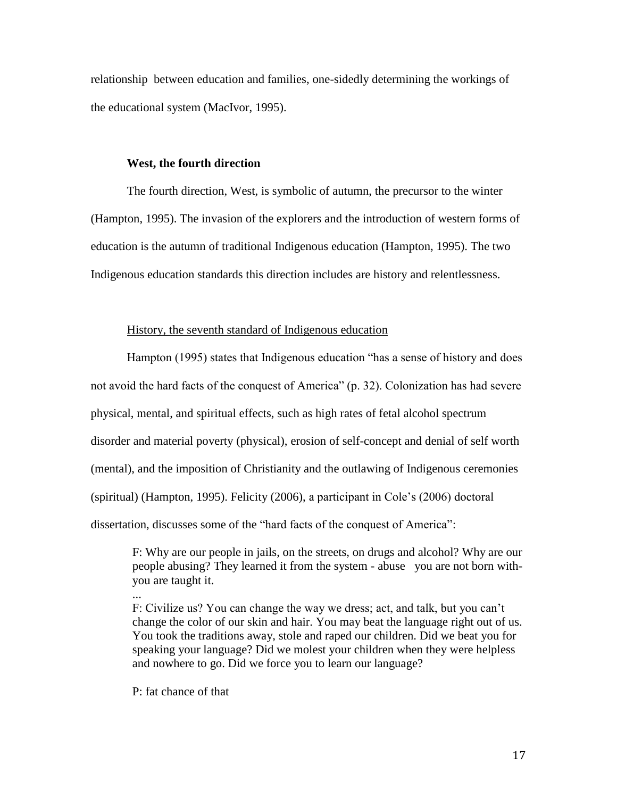relationship between education and families, one-sidedly determining the workings of the educational system (MacIvor, 1995).

#### **West, the fourth direction**

The fourth direction, West, is symbolic of autumn, the precursor to the winter (Hampton, 1995). The invasion of the explorers and the introduction of western forms of education is the autumn of traditional Indigenous education (Hampton, 1995). The two Indigenous education standards this direction includes are history and relentlessness.

#### History, the seventh standard of Indigenous education

Hampton (1995) states that Indigenous education "has a sense of history and does not avoid the hard facts of the conquest of America" (p. 32). Colonization has had severe physical, mental, and spiritual effects, such as high rates of fetal alcohol spectrum disorder and material poverty (physical), erosion of self-concept and denial of self worth (mental), and the imposition of Christianity and the outlawing of Indigenous ceremonies (spiritual) (Hampton, 1995). Felicity (2006), a participant in Cole's (2006) doctoral dissertation, discusses some of the "hard facts of the conquest of America":

F: Why are our people in jails, on the streets, on drugs and alcohol? Why are our people abusing? They learned it from the system - abuse you are not born withyou are taught it.

F: Civilize us? You can change the way we dress; act, and talk, but you can't change the color of our skin and hair. You may beat the language right out of us. You took the traditions away, stole and raped our children. Did we beat you for speaking your language? Did we molest your children when they were helpless and nowhere to go. Did we force you to learn our language?

P: fat chance of that

...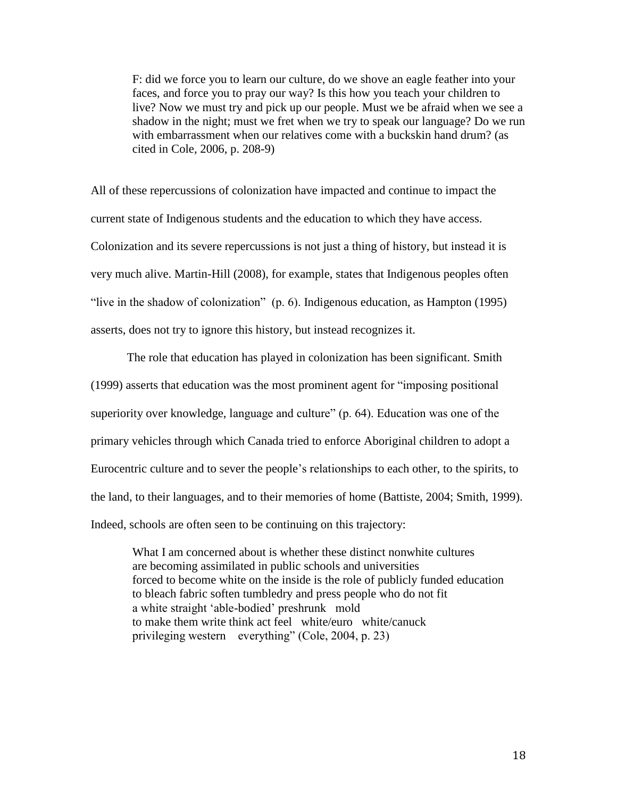F: did we force you to learn our culture, do we shove an eagle feather into your faces, and force you to pray our way? Is this how you teach your children to live? Now we must try and pick up our people. Must we be afraid when we see a shadow in the night; must we fret when we try to speak our language? Do we run with embarrassment when our relatives come with a buckskin hand drum? (as cited in Cole, 2006, p. 208-9)

All of these repercussions of colonization have impacted and continue to impact the current state of Indigenous students and the education to which they have access. Colonization and its severe repercussions is not just a thing of history, but instead it is very much alive. Martin-Hill (2008), for example, states that Indigenous peoples often "live in the shadow of colonization" (p. 6). Indigenous education, as Hampton (1995) asserts, does not try to ignore this history, but instead recognizes it.

The role that education has played in colonization has been significant. Smith (1999) asserts that education was the most prominent agent for "imposing positional superiority over knowledge, language and culture" (p. 64). Education was one of the primary vehicles through which Canada tried to enforce Aboriginal children to adopt a Eurocentric culture and to sever the people's relationships to each other, to the spirits, to the land, to their languages, and to their memories of home (Battiste, 2004; Smith, 1999). Indeed, schools are often seen to be continuing on this trajectory:

What I am concerned about is whether these distinct nonwhite cultures are becoming assimilated in public schools and universities forced to become white on the inside is the role of publicly funded education to bleach fabric soften tumbledry and press people who do not fit a white straight 'able-bodied' preshrunk mold to make them write think act feel white/euro white/canuck privileging western everything" (Cole, 2004, p. 23)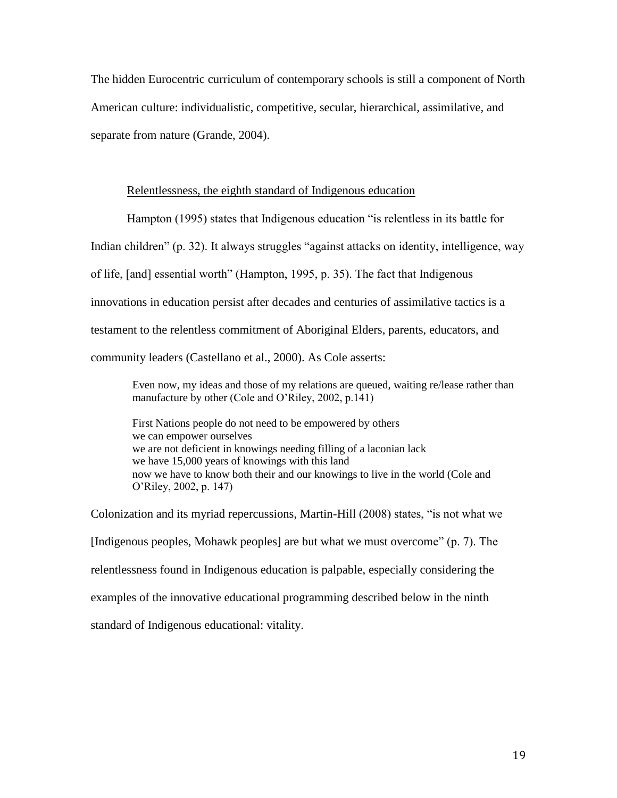The hidden Eurocentric curriculum of contemporary schools is still a component of North American culture: individualistic, competitive, secular, hierarchical, assimilative, and separate from nature (Grande, 2004).

#### Relentlessness, the eighth standard of Indigenous education

Hampton (1995) states that Indigenous education "is relentless in its battle for

Indian children" (p. 32). It always struggles "against attacks on identity, intelligence, way

of life, [and] essential worth" (Hampton, 1995, p. 35). The fact that Indigenous

innovations in education persist after decades and centuries of assimilative tactics is a

testament to the relentless commitment of Aboriginal Elders, parents, educators, and

community leaders (Castellano et al., 2000). As Cole asserts:

Even now, my ideas and those of my relations are queued, waiting re/lease rather than manufacture by other (Cole and O'Riley, 2002, p.141)

First Nations people do not need to be empowered by others we can empower ourselves we are not deficient in knowings needing filling of a laconian lack we have 15,000 years of knowings with this land now we have to know both their and our knowings to live in the world (Cole and O'Riley, 2002, p. 147)

Colonization and its myriad repercussions, Martin-Hill (2008) states, "is not what we [Indigenous peoples, Mohawk peoples] are but what we must overcome" (p. 7). The relentlessness found in Indigenous education is palpable, especially considering the examples of the innovative educational programming described below in the ninth standard of Indigenous educational: vitality.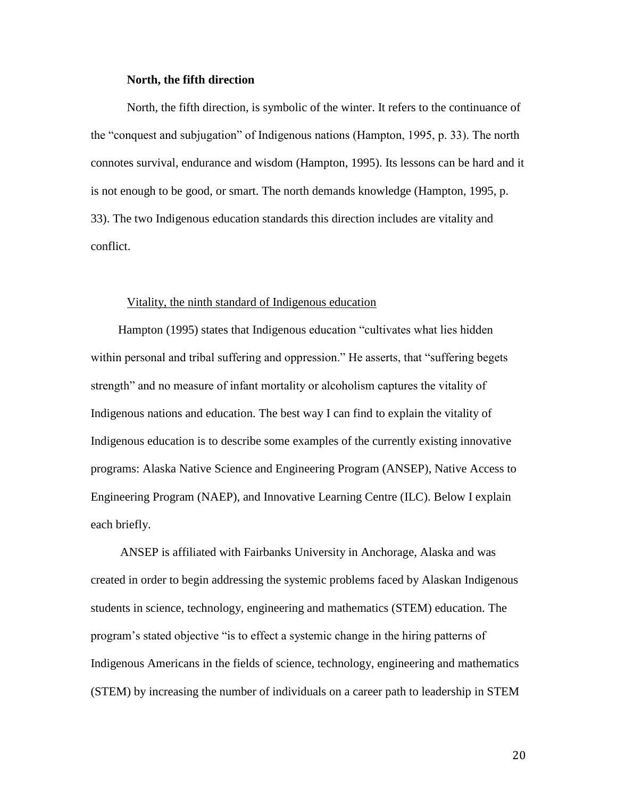#### **North, the fifth direction**

North, the fifth direction, is symbolic of the winter. It refers to the continuance of the "conquest and subjugation" of Indigenous nations (Hampton, 1995, p. 33). The north connotes survival, endurance and wisdom (Hampton, 1995). Its lessons can be hard and it is not enough to be good, or smart. The north demands knowledge (Hampton, 1995, p. 33). The two Indigenous education standards this direction includes are vitality and conflict.

#### Vitality, the ninth standard of Indigenous education

Hampton (1995) states that Indigenous education "cultivates what lies hidden within personal and tribal suffering and oppression." He asserts, that "suffering begets strength" and no measure of infant mortality or alcoholism captures the vitality of Indigenous nations and education. The best way I can find to explain the vitality of Indigenous education is to describe some examples of the currently existing innovative programs: Alaska Native Science and Engineering Program (ANSEP), Native Access to Engineering Program (NAEP), and Innovative Learning Centre (ILC). Below I explain each briefly.

ANSEP is affiliated with Fairbanks University in Anchorage, Alaska and was created in order to begin addressing the systemic problems faced by Alaskan Indigenous students in science, technology, engineering and mathematics (STEM) education. The program's stated objective "is to effect a systemic change in the hiring patterns of Indigenous Americans in the fields of science, technology, engineering and mathematics (STEM) by increasing the number of individuals on a career path to leadership in STEM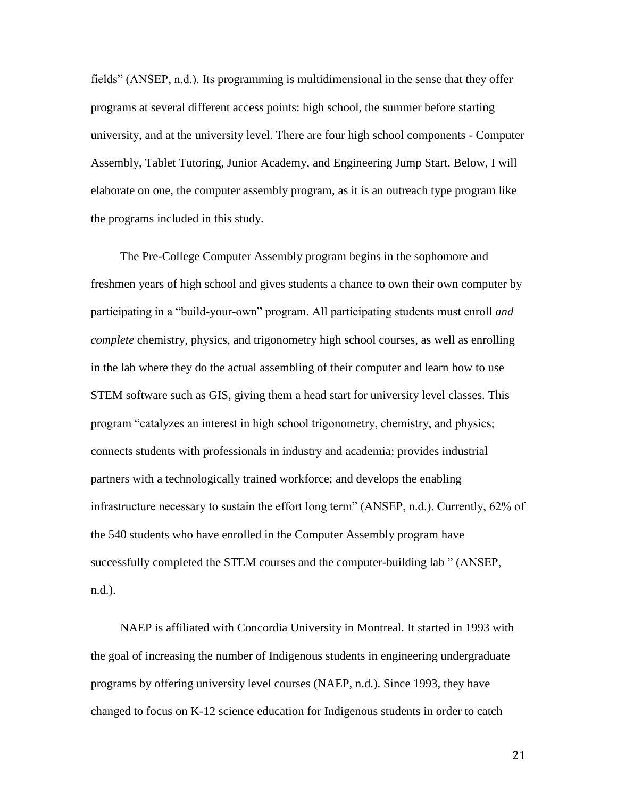fields" (ANSEP, n.d.). Its programming is multidimensional in the sense that they offer programs at several different access points: high school, the summer before starting university, and at the university level. There are four high school components - Computer Assembly, Tablet Tutoring, Junior Academy, and Engineering Jump Start. Below, I will elaborate on one, the computer assembly program, as it is an outreach type program like the programs included in this study.

The Pre-College Computer Assembly program begins in the sophomore and freshmen years of high school and gives students a chance to own their own computer by participating in a "build-your-own" program. All participating students must enroll *and complete* chemistry, physics, and trigonometry high school courses, as well as enrolling in the lab where they do the actual assembling of their computer and learn how to use STEM software such as GIS, giving them a head start for university level classes. This program "catalyzes an interest in high school trigonometry, chemistry, and physics; connects students with professionals in industry and academia; provides industrial partners with a technologically trained workforce; and develops the enabling infrastructure necessary to sustain the effort long term" (ANSEP, n.d.). Currently, 62% of the 540 students who have enrolled in the Computer Assembly program have successfully completed the STEM courses and the computer-building lab " (ANSEP, n.d.).

NAEP is affiliated with Concordia University in Montreal. It started in 1993 with the goal of increasing the number of Indigenous students in engineering undergraduate programs by offering university level courses (NAEP, n.d.). Since 1993, they have changed to focus on K-12 science education for Indigenous students in order to catch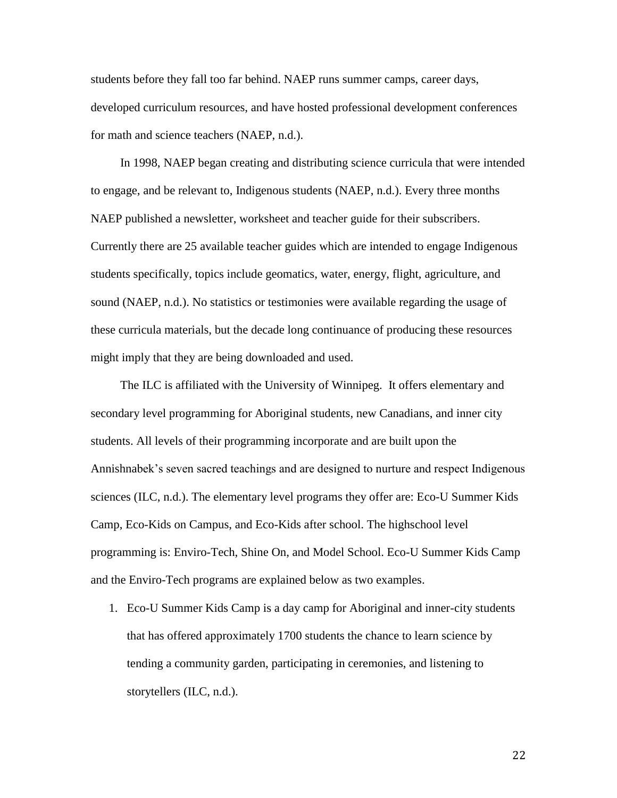students before they fall too far behind. NAEP runs summer camps, career days, developed curriculum resources, and have hosted professional development conferences for math and science teachers (NAEP, n.d.).

In 1998, NAEP began creating and distributing science curricula that were intended to engage, and be relevant to, Indigenous students (NAEP, n.d.). Every three months NAEP published a newsletter, worksheet and teacher guide for their subscribers. Currently there are 25 available teacher guides which are intended to engage Indigenous students specifically, topics include geomatics, water, energy, flight, agriculture, and sound (NAEP, n.d.). No statistics or testimonies were available regarding the usage of these curricula materials, but the decade long continuance of producing these resources might imply that they are being downloaded and used.

The ILC is affiliated with the University of Winnipeg. It offers elementary and secondary level programming for Aboriginal students, new Canadians, and inner city students. All levels of their programming incorporate and are built upon the Annishnabek's seven sacred teachings and are designed to nurture and respect Indigenous sciences (ILC, n.d.). The elementary level programs they offer are: Eco-U Summer Kids Camp, Eco-Kids on Campus, and Eco-Kids after school. The highschool level programming is: Enviro-Tech, Shine On, and Model School. Eco-U Summer Kids Camp and the Enviro-Tech programs are explained below as two examples.

1. Eco-U Summer Kids Camp is a day camp for Aboriginal and inner-city students that has offered approximately 1700 students the chance to learn science by tending a community garden, participating in ceremonies, and listening to storytellers (ILC, n.d.).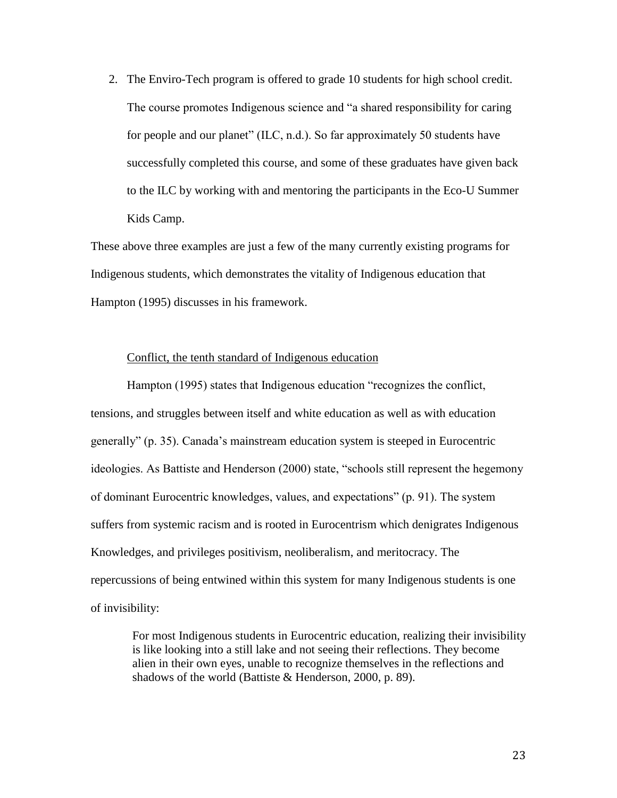2. The Enviro-Tech program is offered to grade 10 students for high school credit. The course promotes Indigenous science and "a shared responsibility for caring for people and our planet" (ILC, n.d.). So far approximately 50 students have successfully completed this course, and some of these graduates have given back to the ILC by working with and mentoring the participants in the Eco-U Summer Kids Camp.

These above three examples are just a few of the many currently existing programs for Indigenous students, which demonstrates the vitality of Indigenous education that Hampton (1995) discusses in his framework.

#### Conflict, the tenth standard of Indigenous education

Hampton (1995) states that Indigenous education "recognizes the conflict, tensions, and struggles between itself and white education as well as with education generally" (p. 35). Canada's mainstream education system is steeped in Eurocentric ideologies. As Battiste and Henderson (2000) state, "schools still represent the hegemony of dominant Eurocentric knowledges, values, and expectations" (p. 91). The system suffers from systemic racism and is rooted in Eurocentrism which denigrates Indigenous Knowledges, and privileges positivism, neoliberalism, and meritocracy. The repercussions of being entwined within this system for many Indigenous students is one of invisibility:

For most Indigenous students in Eurocentric education, realizing their invisibility is like looking into a still lake and not seeing their reflections. They become alien in their own eyes, unable to recognize themselves in the reflections and shadows of the world (Battiste & Henderson, 2000, p. 89).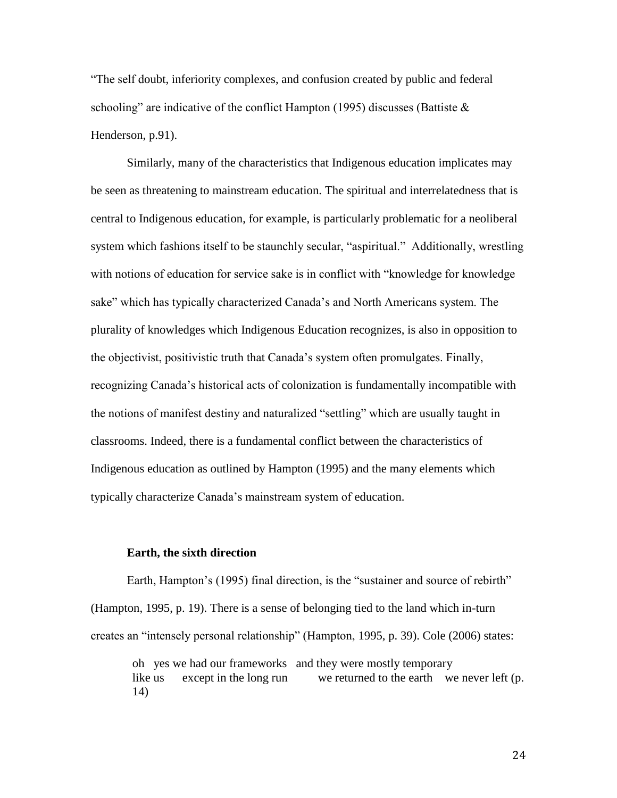"The self doubt, inferiority complexes, and confusion created by public and federal schooling" are indicative of the conflict Hampton (1995) discusses (Battiste  $\&$ Henderson, p.91).

Similarly, many of the characteristics that Indigenous education implicates may be seen as threatening to mainstream education. The spiritual and interrelatedness that is central to Indigenous education, for example, is particularly problematic for a neoliberal system which fashions itself to be staunchly secular, "aspiritual." Additionally, wrestling with notions of education for service sake is in conflict with "knowledge for knowledge" sake" which has typically characterized Canada's and North Americans system. The plurality of knowledges which Indigenous Education recognizes, is also in opposition to the objectivist, positivistic truth that Canada's system often promulgates. Finally, recognizing Canada's historical acts of colonization is fundamentally incompatible with the notions of manifest destiny and naturalized "settling" which are usually taught in classrooms. Indeed, there is a fundamental conflict between the characteristics of Indigenous education as outlined by Hampton (1995) and the many elements which typically characterize Canada's mainstream system of education.

#### **Earth, the sixth direction**

Earth, Hampton's (1995) final direction, is the "sustainer and source of rebirth" (Hampton, 1995, p. 19). There is a sense of belonging tied to the land which in-turn creates an "intensely personal relationship" (Hampton, 1995, p. 39). Cole (2006) states:

oh yes we had our frameworks and they were mostly temporary like us except in the long run we returned to the earth we never left (p. 14)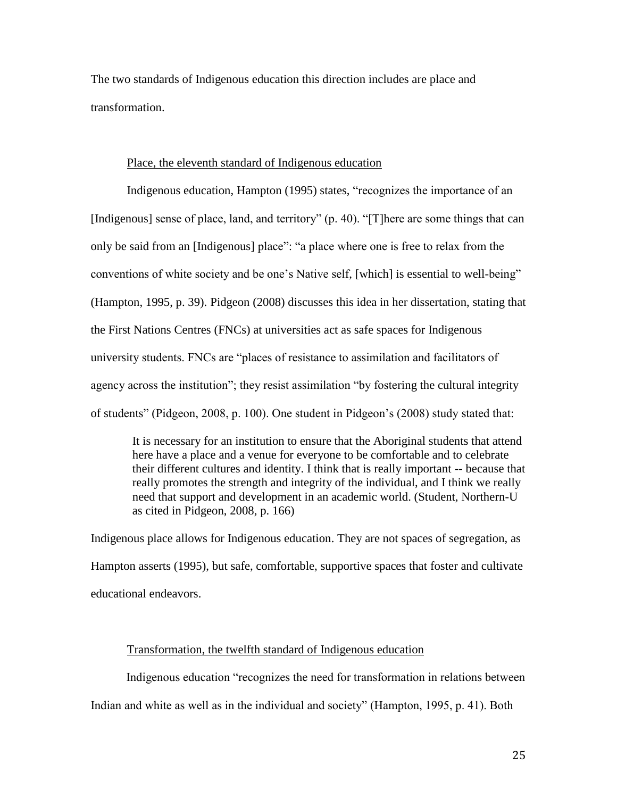The two standards of Indigenous education this direction includes are place and transformation.

#### Place, the eleventh standard of Indigenous education

Indigenous education, Hampton (1995) states, "recognizes the importance of an [Indigenous] sense of place, land, and territory" (p. 40). "[T]here are some things that can only be said from an [Indigenous] place": "a place where one is free to relax from the conventions of white society and be one's Native self, [which] is essential to well-being" (Hampton, 1995, p. 39). Pidgeon (2008) discusses this idea in her dissertation, stating that the First Nations Centres (FNCs) at universities act as safe spaces for Indigenous university students. FNCs are "places of resistance to assimilation and facilitators of agency across the institution"; they resist assimilation "by fostering the cultural integrity of students" (Pidgeon, 2008, p. 100). One student in Pidgeon's (2008) study stated that:

It is necessary for an institution to ensure that the Aboriginal students that attend here have a place and a venue for everyone to be comfortable and to celebrate their different cultures and identity. I think that is really important -- because that really promotes the strength and integrity of the individual, and I think we really need that support and development in an academic world. (Student, Northern-U as cited in Pidgeon, 2008, p. 166)

Indigenous place allows for Indigenous education. They are not spaces of segregation, as Hampton asserts (1995), but safe, comfortable, supportive spaces that foster and cultivate educational endeavors.

#### Transformation, the twelfth standard of Indigenous education

Indigenous education "recognizes the need for transformation in relations between

Indian and white as well as in the individual and society" (Hampton, 1995, p. 41). Both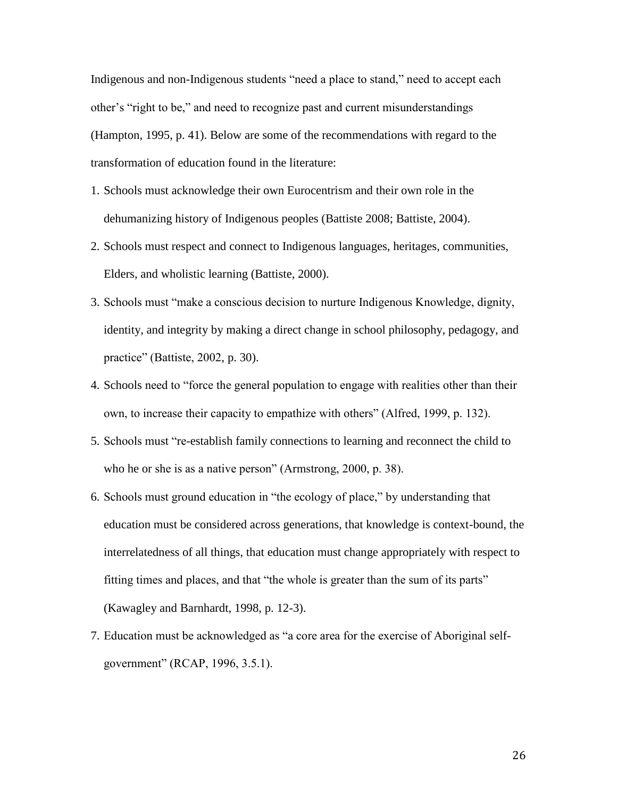Indigenous and non-Indigenous students "need a place to stand," need to accept each other's "right to be," and need to recognize past and current misunderstandings (Hampton, 1995, p. 41). Below are some of the recommendations with regard to the transformation of education found in the literature:

- 1. Schools must acknowledge their own Eurocentrism and their own role in the dehumanizing history of Indigenous peoples (Battiste 2008; Battiste, 2004).
- 2. Schools must respect and connect to Indigenous languages, heritages, communities, Elders, and wholistic learning (Battiste, 2000).
- 3. Schools must "make a conscious decision to nurture Indigenous Knowledge, dignity, identity, and integrity by making a direct change in school philosophy, pedagogy, and practice" (Battiste, 2002, p. 30).
- 4. Schools need to "force the general population to engage with realities other than their own, to increase their capacity to empathize with others" (Alfred, 1999, p. 132).
- 5. Schools must "re-establish family connections to learning and reconnect the child to who he or she is as a native person" (Armstrong, 2000, p. 38).
- 6. Schools must ground education in "the ecology of place," by understanding that education must be considered across generations, that knowledge is context-bound, the interrelatedness of all things, that education must change appropriately with respect to fitting times and places, and that "the whole is greater than the sum of its parts" (Kawagley and Barnhardt, 1998, p. 12-3).
- 7. Education must be acknowledged as "a core area for the exercise of Aboriginal selfgovernment" (RCAP, 1996, 3.5.1).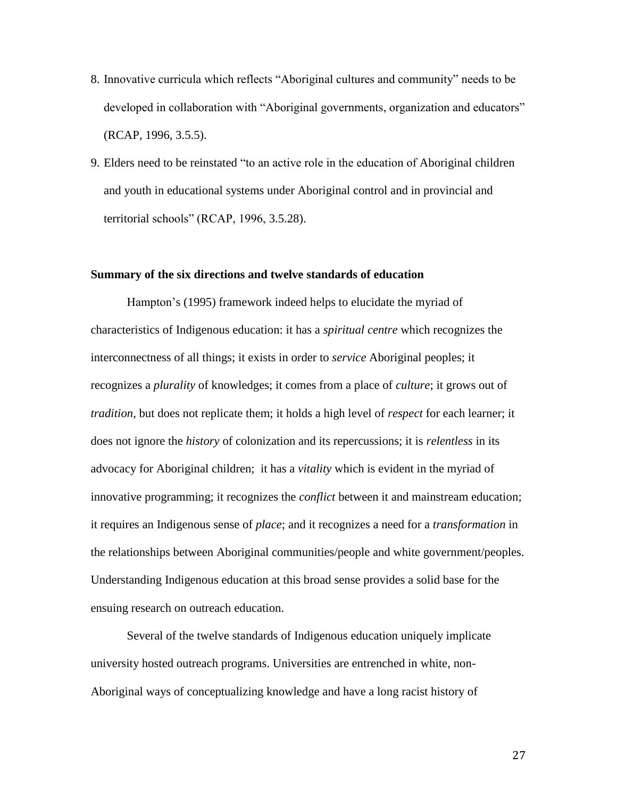- 8. Innovative curricula which reflects "Aboriginal cultures and community" needs to be developed in collaboration with "Aboriginal governments, organization and educators" (RCAP, 1996, 3.5.5).
- 9. Elders need to be reinstated "to an active role in the education of Aboriginal children and youth in educational systems under Aboriginal control and in provincial and territorial schools" (RCAP, 1996, 3.5.28).

#### **Summary of the six directions and twelve standards of education**

Hampton's (1995) framework indeed helps to elucidate the myriad of characteristics of Indigenous education: it has a *spiritual centre* which recognizes the interconnectness of all things; it exists in order to *service* Aboriginal peoples; it recognizes a *plurality* of knowledges; it comes from a place of *culture*; it grows out of *tradition*, but does not replicate them; it holds a high level of *respect* for each learner; it does not ignore the *history* of colonization and its repercussions; it is *relentless* in its advocacy for Aboriginal children; it has a *vitality* which is evident in the myriad of innovative programming; it recognizes the *conflict* between it and mainstream education; it requires an Indigenous sense of *place*; and it recognizes a need for a *transformation* in the relationships between Aboriginal communities/people and white government/peoples. Understanding Indigenous education at this broad sense provides a solid base for the ensuing research on outreach education.

Several of the twelve standards of Indigenous education uniquely implicate university hosted outreach programs. Universities are entrenched in white, non-Aboriginal ways of conceptualizing knowledge and have a long racist history of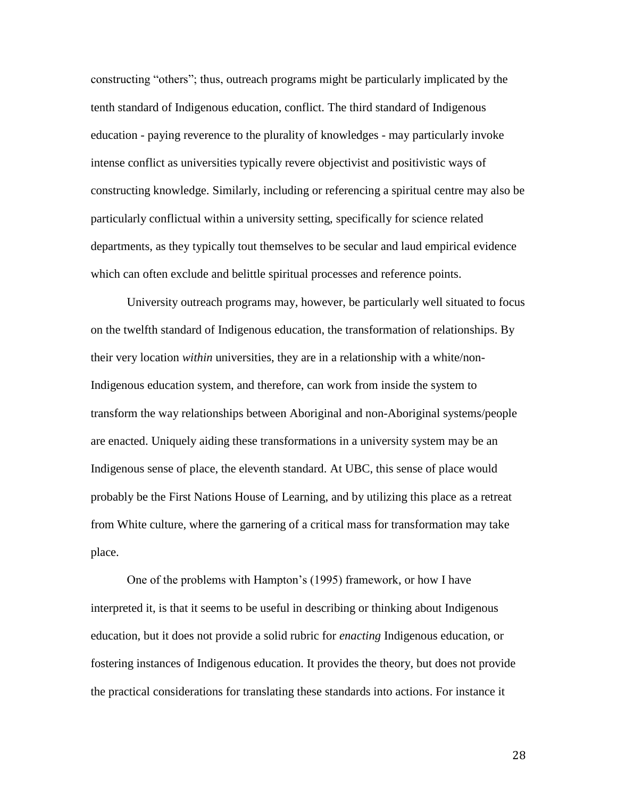constructing "others"; thus, outreach programs might be particularly implicated by the tenth standard of Indigenous education, conflict. The third standard of Indigenous education - paying reverence to the plurality of knowledges - may particularly invoke intense conflict as universities typically revere objectivist and positivistic ways of constructing knowledge. Similarly, including or referencing a spiritual centre may also be particularly conflictual within a university setting, specifically for science related departments, as they typically tout themselves to be secular and laud empirical evidence which can often exclude and belittle spiritual processes and reference points.

University outreach programs may, however, be particularly well situated to focus on the twelfth standard of Indigenous education, the transformation of relationships. By their very location *within* universities, they are in a relationship with a white/non-Indigenous education system, and therefore, can work from inside the system to transform the way relationships between Aboriginal and non-Aboriginal systems/people are enacted. Uniquely aiding these transformations in a university system may be an Indigenous sense of place, the eleventh standard. At UBC, this sense of place would probably be the First Nations House of Learning, and by utilizing this place as a retreat from White culture, where the garnering of a critical mass for transformation may take place.

One of the problems with Hampton's (1995) framework, or how I have interpreted it, is that it seems to be useful in describing or thinking about Indigenous education, but it does not provide a solid rubric for *enacting* Indigenous education, or fostering instances of Indigenous education. It provides the theory, but does not provide the practical considerations for translating these standards into actions. For instance it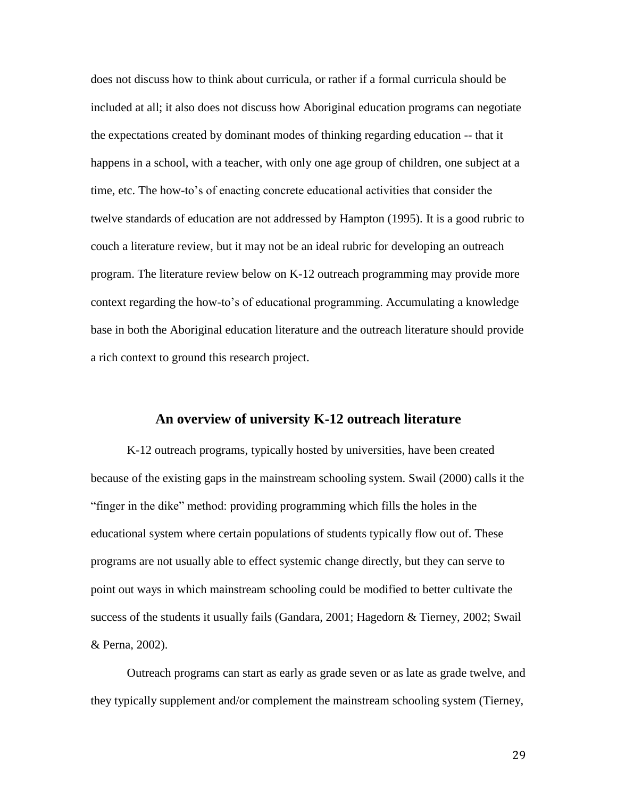does not discuss how to think about curricula, or rather if a formal curricula should be included at all; it also does not discuss how Aboriginal education programs can negotiate the expectations created by dominant modes of thinking regarding education -- that it happens in a school, with a teacher, with only one age group of children, one subject at a time, etc. The how-to's of enacting concrete educational activities that consider the twelve standards of education are not addressed by Hampton (1995). It is a good rubric to couch a literature review, but it may not be an ideal rubric for developing an outreach program. The literature review below on K-12 outreach programming may provide more context regarding the how-to's of educational programming. Accumulating a knowledge base in both the Aboriginal education literature and the outreach literature should provide a rich context to ground this research project.

# **An overview of university K-12 outreach literature**

K-12 outreach programs, typically hosted by universities, have been created because of the existing gaps in the mainstream schooling system. Swail (2000) calls it the "finger in the dike" method: providing programming which fills the holes in the educational system where certain populations of students typically flow out of. These programs are not usually able to effect systemic change directly, but they can serve to point out ways in which mainstream schooling could be modified to better cultivate the success of the students it usually fails (Gandara, 2001; Hagedorn & Tierney, 2002; Swail & Perna, 2002).

Outreach programs can start as early as grade seven or as late as grade twelve, and they typically supplement and/or complement the mainstream schooling system (Tierney,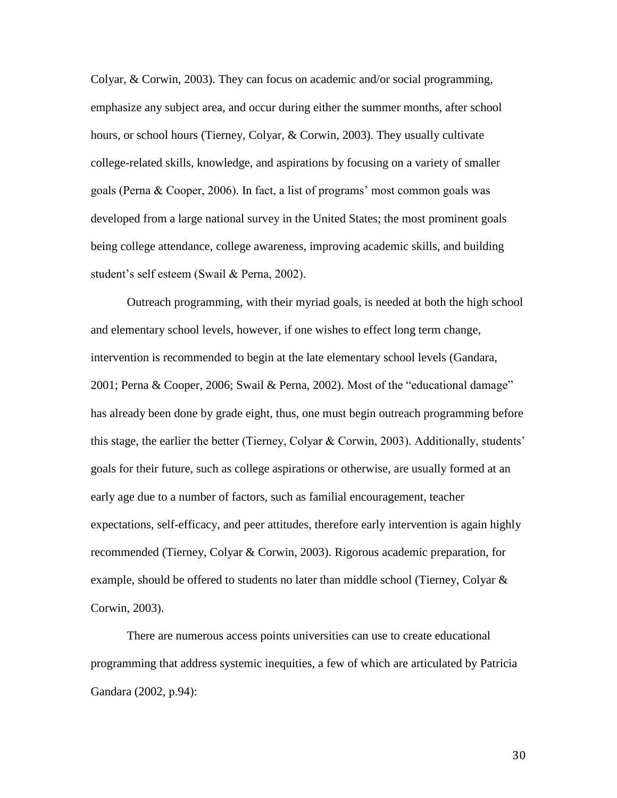Colyar, & Corwin, 2003). They can focus on academic and/or social programming, emphasize any subject area, and occur during either the summer months, after school hours, or school hours (Tierney, Colyar, & Corwin, 2003). They usually cultivate college-related skills, knowledge, and aspirations by focusing on a variety of smaller goals (Perna & Cooper, 2006). In fact, a list of programs' most common goals was developed from a large national survey in the United States; the most prominent goals being college attendance, college awareness, improving academic skills, and building student's self esteem (Swail & Perna, 2002).

Outreach programming, with their myriad goals, is needed at both the high school and elementary school levels, however, if one wishes to effect long term change, intervention is recommended to begin at the late elementary school levels (Gandara, 2001; Perna & Cooper, 2006; Swail & Perna, 2002). Most of the "educational damage" has already been done by grade eight, thus, one must begin outreach programming before this stage, the earlier the better (Tierney, Colyar & Corwin, 2003). Additionally, students' goals for their future, such as college aspirations or otherwise, are usually formed at an early age due to a number of factors, such as familial encouragement, teacher expectations, self-efficacy, and peer attitudes, therefore early intervention is again highly recommended (Tierney, Colyar & Corwin, 2003). Rigorous academic preparation, for example, should be offered to students no later than middle school (Tierney, Colyar  $\&$ Corwin, 2003).

There are numerous access points universities can use to create educational programming that address systemic inequities, a few of which are articulated by Patricia Gandara (2002, p.94):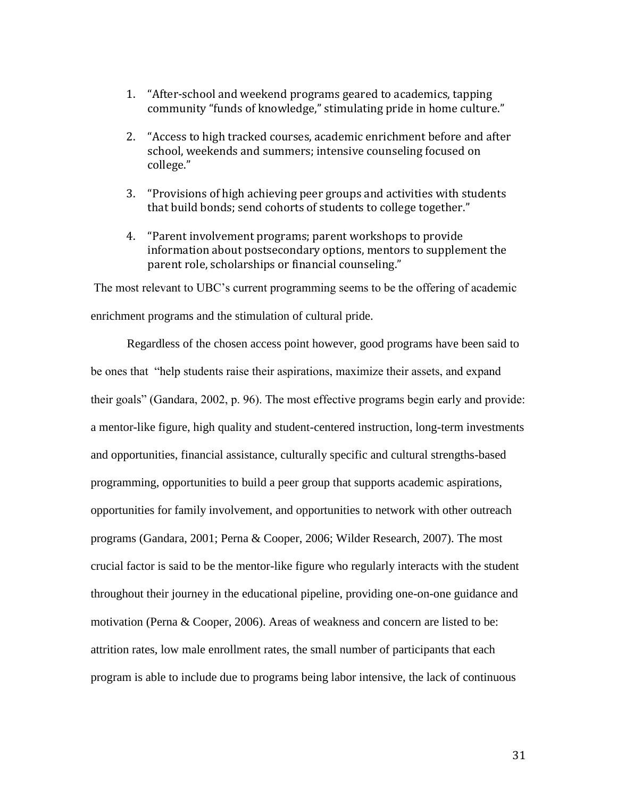- 1. "After-school and weekend programs geared to academics, tapping community "funds of knowledge," stimulating pride in home culture."
- 2. "Access to high tracked courses, academic enrichment before and after school, weekends and summers; intensive counseling focused on college."
- 3. "Provisions of high achieving peer groups and activities with students that build bonds; send cohorts of students to college together."
- 4. "Parent involvement programs; parent workshops to provide information about postsecondary options, mentors to supplement the parent role, scholarships or financial counseling."

The most relevant to UBC's current programming seems to be the offering of academic enrichment programs and the stimulation of cultural pride.

Regardless of the chosen access point however, good programs have been said to be ones that "help students raise their aspirations, maximize their assets, and expand their goals" (Gandara, 2002, p. 96). The most effective programs begin early and provide: a mentor-like figure, high quality and student-centered instruction, long-term investments and opportunities, financial assistance, culturally specific and cultural strengths-based programming, opportunities to build a peer group that supports academic aspirations, opportunities for family involvement, and opportunities to network with other outreach programs (Gandara, 2001; Perna & Cooper, 2006; Wilder Research, 2007). The most crucial factor is said to be the mentor-like figure who regularly interacts with the student throughout their journey in the educational pipeline, providing one-on-one guidance and motivation (Perna & Cooper, 2006). Areas of weakness and concern are listed to be: attrition rates, low male enrollment rates, the small number of participants that each program is able to include due to programs being labor intensive, the lack of continuous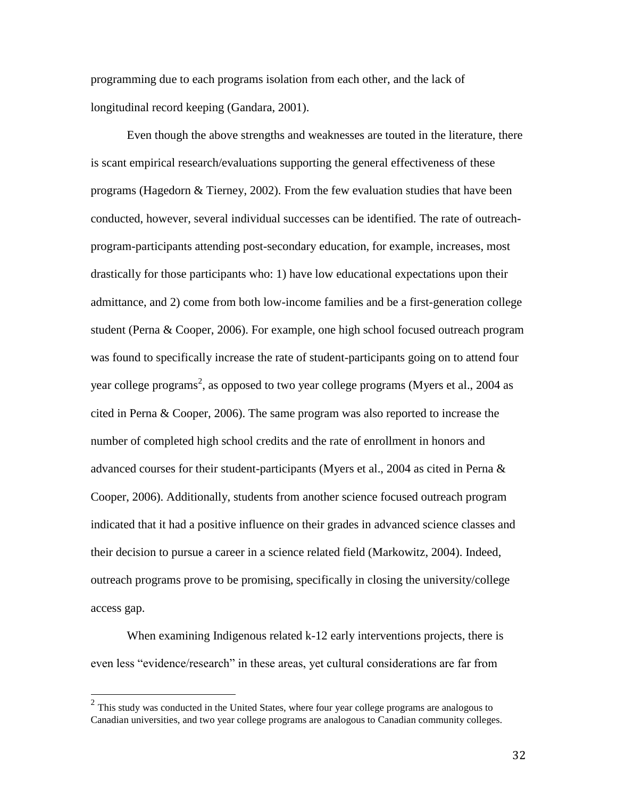programming due to each programs isolation from each other, and the lack of longitudinal record keeping (Gandara, 2001).

Even though the above strengths and weaknesses are touted in the literature, there is scant empirical research/evaluations supporting the general effectiveness of these programs (Hagedorn & Tierney, 2002). From the few evaluation studies that have been conducted, however, several individual successes can be identified. The rate of outreachprogram-participants attending post-secondary education, for example, increases, most drastically for those participants who: 1) have low educational expectations upon their admittance, and 2) come from both low-income families and be a first-generation college student (Perna & Cooper, 2006). For example, one high school focused outreach program was found to specifically increase the rate of student-participants going on to attend four year college programs<sup>2</sup>, as opposed to two year college programs (Myers et al., 2004 as cited in Perna & Cooper, 2006). The same program was also reported to increase the number of completed high school credits and the rate of enrollment in honors and advanced courses for their student-participants (Myers et al., 2004 as cited in Perna & Cooper, 2006). Additionally, students from another science focused outreach program indicated that it had a positive influence on their grades in advanced science classes and their decision to pursue a career in a science related field (Markowitz, 2004). Indeed, outreach programs prove to be promising, specifically in closing the university/college access gap.

When examining Indigenous related k-12 early interventions projects, there is even less "evidence/research" in these areas, yet cultural considerations are far from

<sup>&</sup>lt;sup>2</sup> This study was conducted in the United States, where four year college programs are analogous to Canadian universities, and two year college programs are analogous to Canadian community colleges.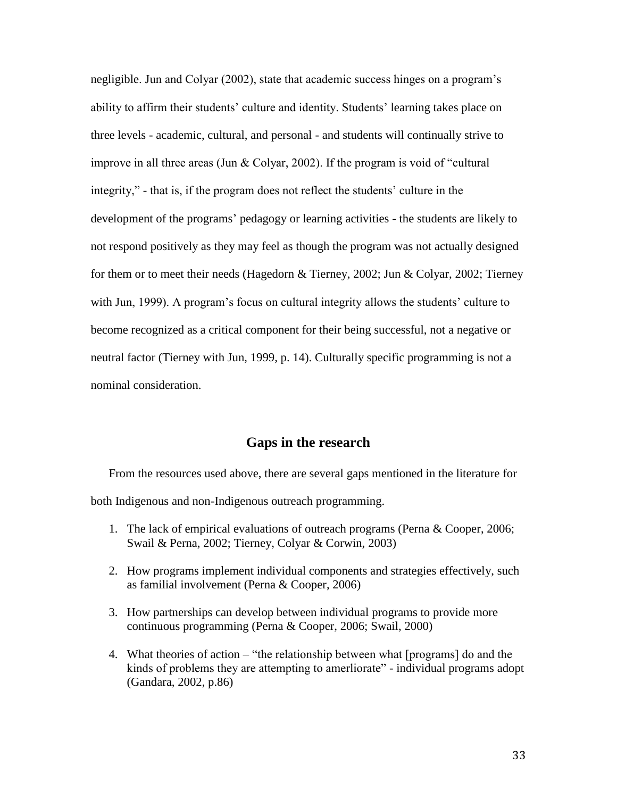negligible. Jun and Colyar (2002), state that academic success hinges on a program's ability to affirm their students' culture and identity. Students' learning takes place on three levels - academic, cultural, and personal - and students will continually strive to improve in all three areas (Jun & Colyar, 2002). If the program is void of "cultural integrity," - that is, if the program does not reflect the students' culture in the development of the programs' pedagogy or learning activities - the students are likely to not respond positively as they may feel as though the program was not actually designed for them or to meet their needs (Hagedorn & Tierney, 2002; Jun & Colyar, 2002; Tierney with Jun, 1999). A program's focus on cultural integrity allows the students' culture to become recognized as a critical component for their being successful, not a negative or neutral factor (Tierney with Jun, 1999, p. 14). Culturally specific programming is not a nominal consideration.

# **Gaps in the research**

From the resources used above, there are several gaps mentioned in the literature for both Indigenous and non-Indigenous outreach programming.

- 1. The lack of empirical evaluations of outreach programs (Perna & Cooper, 2006; Swail & Perna, 2002; Tierney, Colyar & Corwin, 2003)
- 2. How programs implement individual components and strategies effectively, such as familial involvement (Perna & Cooper, 2006)
- 3. How partnerships can develop between individual programs to provide more continuous programming (Perna & Cooper, 2006; Swail, 2000)
- 4. What theories of action "the relationship between what [programs] do and the kinds of problems they are attempting to amerliorate" - individual programs adopt (Gandara, 2002, p.86)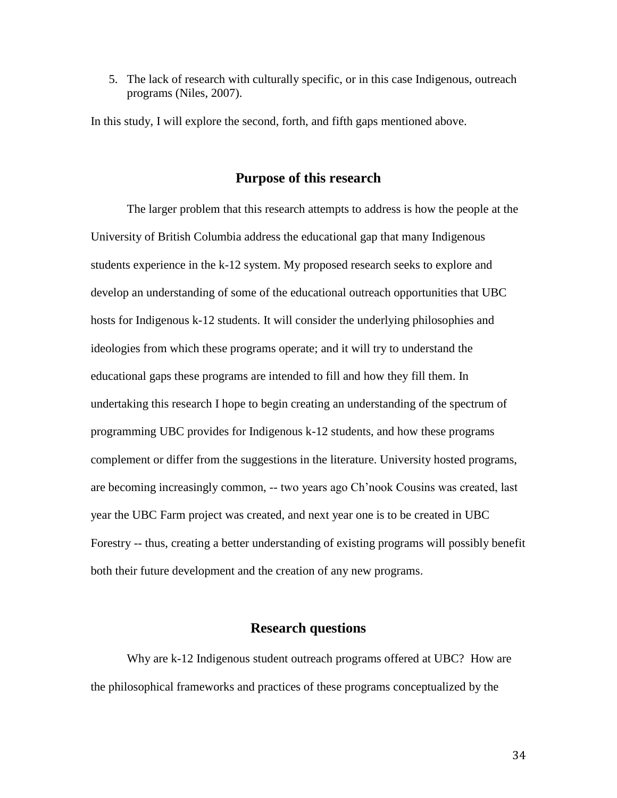5. The lack of research with culturally specific, or in this case Indigenous, outreach programs (Niles, 2007).

In this study, I will explore the second, forth, and fifth gaps mentioned above.

# **Purpose of this research**

The larger problem that this research attempts to address is how the people at the University of British Columbia address the educational gap that many Indigenous students experience in the k-12 system. My proposed research seeks to explore and develop an understanding of some of the educational outreach opportunities that UBC hosts for Indigenous k-12 students. It will consider the underlying philosophies and ideologies from which these programs operate; and it will try to understand the educational gaps these programs are intended to fill and how they fill them. In undertaking this research I hope to begin creating an understanding of the spectrum of programming UBC provides for Indigenous k-12 students, and how these programs complement or differ from the suggestions in the literature. University hosted programs, are becoming increasingly common, -- two years ago Ch'nook Cousins was created, last year the UBC Farm project was created, and next year one is to be created in UBC Forestry -- thus, creating a better understanding of existing programs will possibly benefit both their future development and the creation of any new programs.

# **Research questions**

Why are k-12 Indigenous student outreach programs offered at UBC? How are the philosophical frameworks and practices of these programs conceptualized by the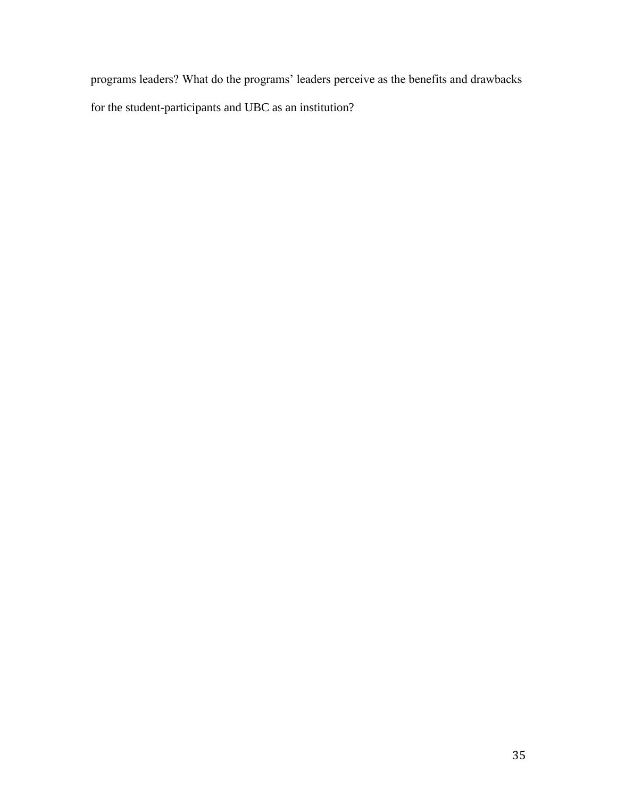programs leaders? What do the programs' leaders perceive as the benefits and drawbacks for the student-participants and UBC as an institution?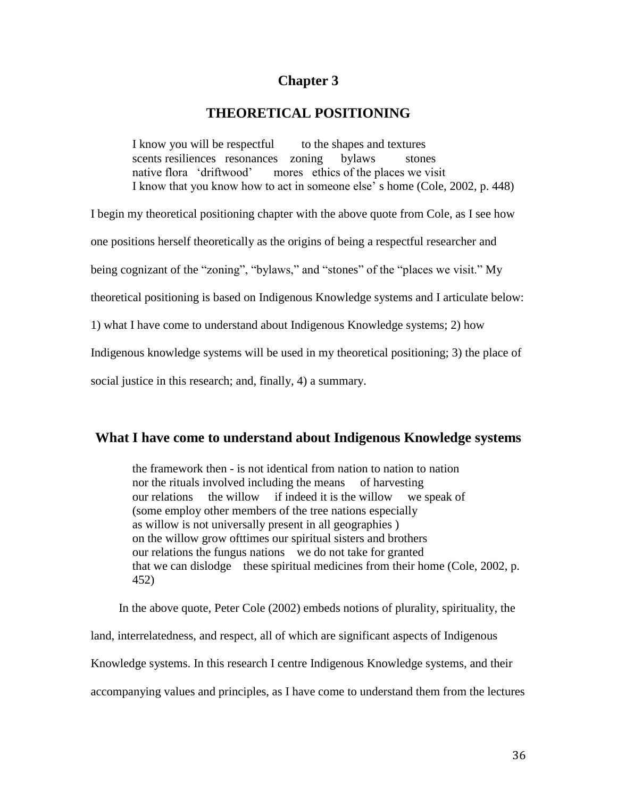# **Chapter 3**

# **THEORETICAL POSITIONING**

I know you will be respectful to the shapes and textures scents resiliences resonances zoning bylaws stones native flora 'driftwood' mores ethics of the places we visit I know that you know how to act in someone else' s home (Cole, 2002, p. 448)

I begin my theoretical positioning chapter with the above quote from Cole, as I see how

one positions herself theoretically as the origins of being a respectful researcher and

being cognizant of the "zoning", "bylaws," and "stones" of the "places we visit." My

theoretical positioning is based on Indigenous Knowledge systems and I articulate below:

1) what I have come to understand about Indigenous Knowledge systems; 2) how

Indigenous knowledge systems will be used in my theoretical positioning; 3) the place of

social justice in this research; and, finally, 4) a summary.

# **What I have come to understand about Indigenous Knowledge systems**

the framework then - is not identical from nation to nation to nation nor the rituals involved including the means of harvesting our relations the willow if indeed it is the willow we speak of (some employ other members of the tree nations especially as willow is not universally present in all geographies ) on the willow grow ofttimes our spiritual sisters and brothers our relations the fungus nations we do not take for granted that we can dislodge these spiritual medicines from their home (Cole, 2002, p. 452)

In the above quote, Peter Cole (2002) embeds notions of plurality, spirituality, the land, interrelatedness, and respect, all of which are significant aspects of Indigenous Knowledge systems. In this research I centre Indigenous Knowledge systems, and their accompanying values and principles, as I have come to understand them from the lectures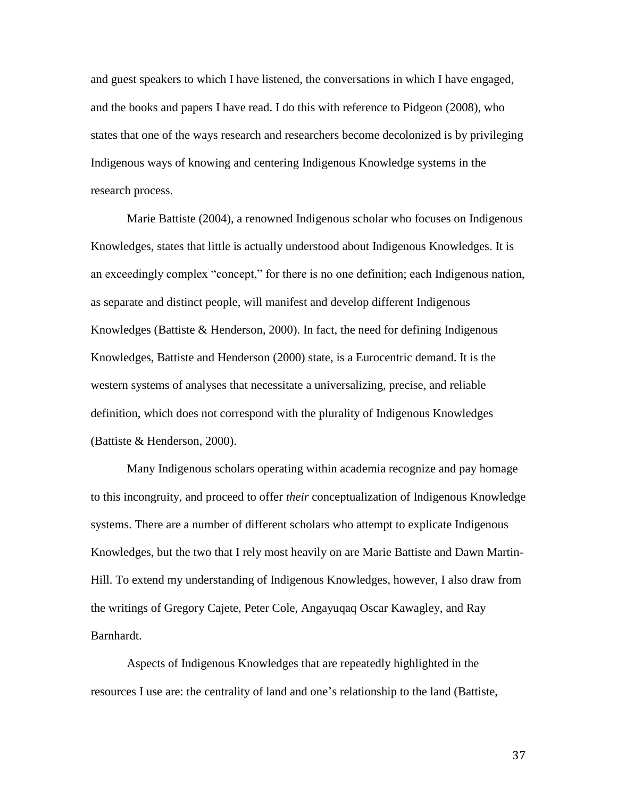and guest speakers to which I have listened, the conversations in which I have engaged, and the books and papers I have read. I do this with reference to Pidgeon (2008), who states that one of the ways research and researchers become decolonized is by privileging Indigenous ways of knowing and centering Indigenous Knowledge systems in the research process.

Marie Battiste (2004), a renowned Indigenous scholar who focuses on Indigenous Knowledges, states that little is actually understood about Indigenous Knowledges. It is an exceedingly complex "concept," for there is no one definition; each Indigenous nation, as separate and distinct people, will manifest and develop different Indigenous Knowledges (Battiste  $\&$  Henderson, 2000). In fact, the need for defining Indigenous Knowledges, Battiste and Henderson (2000) state, is a Eurocentric demand. It is the western systems of analyses that necessitate a universalizing, precise, and reliable definition, which does not correspond with the plurality of Indigenous Knowledges (Battiste & Henderson, 2000).

Many Indigenous scholars operating within academia recognize and pay homage to this incongruity, and proceed to offer *their* conceptualization of Indigenous Knowledge systems. There are a number of different scholars who attempt to explicate Indigenous Knowledges, but the two that I rely most heavily on are Marie Battiste and Dawn Martin-Hill. To extend my understanding of Indigenous Knowledges, however, I also draw from the writings of Gregory Cajete, Peter Cole, Angayuqaq Oscar Kawagley, and Ray Barnhardt.

Aspects of Indigenous Knowledges that are repeatedly highlighted in the resources I use are: the centrality of land and one's relationship to the land (Battiste,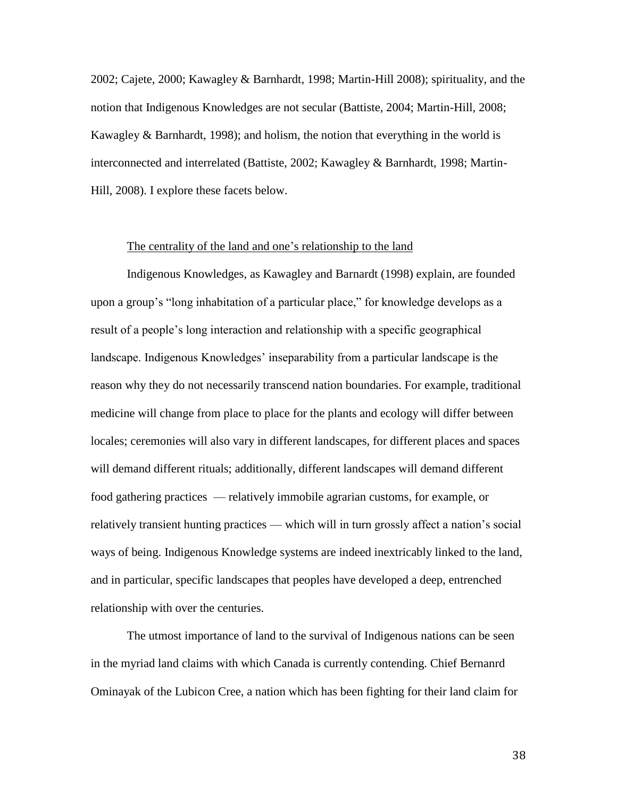2002; Cajete, 2000; Kawagley & Barnhardt, 1998; Martin-Hill 2008); spirituality, and the notion that Indigenous Knowledges are not secular (Battiste, 2004; Martin-Hill, 2008; Kawagley & Barnhardt, 1998); and holism, the notion that everything in the world is interconnected and interrelated (Battiste, 2002; Kawagley & Barnhardt, 1998; Martin-Hill, 2008). I explore these facets below.

# The centrality of the land and one's relationship to the land

Indigenous Knowledges, as Kawagley and Barnardt (1998) explain, are founded upon a group's "long inhabitation of a particular place," for knowledge develops as a result of a people's long interaction and relationship with a specific geographical landscape. Indigenous Knowledges' inseparability from a particular landscape is the reason why they do not necessarily transcend nation boundaries. For example, traditional medicine will change from place to place for the plants and ecology will differ between locales; ceremonies will also vary in different landscapes, for different places and spaces will demand different rituals; additionally, different landscapes will demand different food gathering practices — relatively immobile agrarian customs, for example, or relatively transient hunting practices — which will in turn grossly affect a nation's social ways of being. Indigenous Knowledge systems are indeed inextricably linked to the land, and in particular, specific landscapes that peoples have developed a deep, entrenched relationship with over the centuries.

The utmost importance of land to the survival of Indigenous nations can be seen in the myriad land claims with which Canada is currently contending. Chief Bernanrd Ominayak of the Lubicon Cree, a nation which has been fighting for their land claim for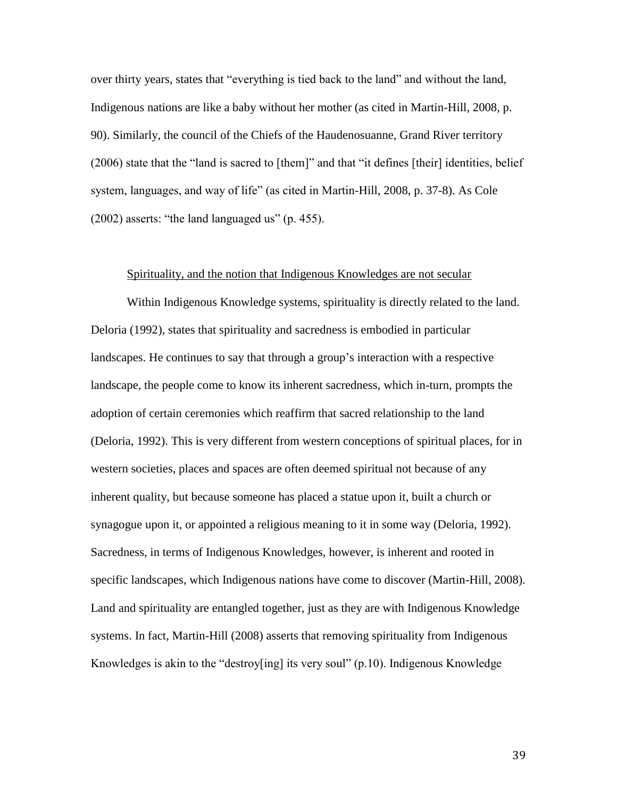over thirty years, states that "everything is tied back to the land" and without the land, Indigenous nations are like a baby without her mother (as cited in Martin-Hill, 2008, p. 90). Similarly, the council of the Chiefs of the Haudenosuanne, Grand River territory (2006) state that the "land is sacred to [them]" and that "it defines [their] identities, belief system, languages, and way of life" (as cited in Martin-Hill, 2008, p. 37-8). As Cole (2002) asserts: "the land languaged us" (p. 455).

### Spirituality, and the notion that Indigenous Knowledges are not secular

Within Indigenous Knowledge systems, spirituality is directly related to the land. Deloria (1992), states that spirituality and sacredness is embodied in particular landscapes. He continues to say that through a group's interaction with a respective landscape, the people come to know its inherent sacredness, which in-turn, prompts the adoption of certain ceremonies which reaffirm that sacred relationship to the land (Deloria, 1992). This is very different from western conceptions of spiritual places, for in western societies, places and spaces are often deemed spiritual not because of any inherent quality, but because someone has placed a statue upon it, built a church or synagogue upon it, or appointed a religious meaning to it in some way (Deloria, 1992). Sacredness, in terms of Indigenous Knowledges, however, is inherent and rooted in specific landscapes, which Indigenous nations have come to discover (Martin-Hill, 2008). Land and spirituality are entangled together, just as they are with Indigenous Knowledge systems. In fact, Martin-Hill (2008) asserts that removing spirituality from Indigenous Knowledges is akin to the "destroy[ing] its very soul" (p.10). Indigenous Knowledge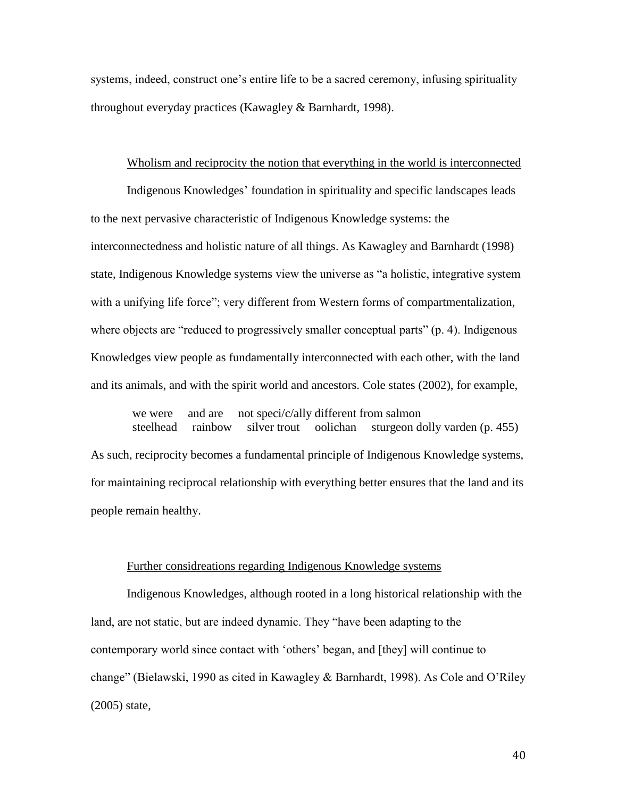systems, indeed, construct one's entire life to be a sacred ceremony, infusing spirituality throughout everyday practices (Kawagley & Barnhardt, 1998).

## Wholism and reciprocity the notion that everything in the world is interconnected

Indigenous Knowledges' foundation in spirituality and specific landscapes leads to the next pervasive characteristic of Indigenous Knowledge systems: the interconnectedness and holistic nature of all things. As Kawagley and Barnhardt (1998) state, Indigenous Knowledge systems view the universe as "a holistic, integrative system with a unifying life force"; very different from Western forms of compartmentalization, where objects are "reduced to progressively smaller conceptual parts" (p. 4). Indigenous Knowledges view people as fundamentally interconnected with each other, with the land and its animals, and with the spirit world and ancestors. Cole states (2002), for example,

we were and are not speci/c/ally different from salmon steelhead rainbow silver trout oolichan sturgeon dolly varden (p. 455) As such, reciprocity becomes a fundamental principle of Indigenous Knowledge systems, for maintaining reciprocal relationship with everything better ensures that the land and its people remain healthy.

#### Further considreations regarding Indigenous Knowledge systems

Indigenous Knowledges, although rooted in a long historical relationship with the land, are not static, but are indeed dynamic. They "have been adapting to the contemporary world since contact with 'others' began, and [they] will continue to change" (Bielawski, 1990 as cited in Kawagley & Barnhardt, 1998). As Cole and O'Riley (2005) state,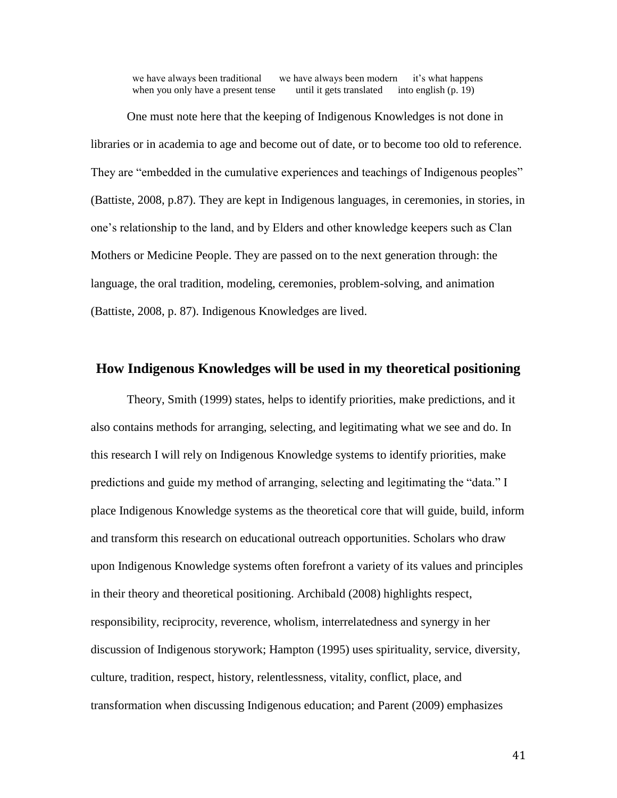we have always been traditional we have always been modern it's what happens when you only have a present tense until it gets translated into english (p. 19)

One must note here that the keeping of Indigenous Knowledges is not done in libraries or in academia to age and become out of date, or to become too old to reference. They are "embedded in the cumulative experiences and teachings of Indigenous peoples" (Battiste, 2008, p.87). They are kept in Indigenous languages, in ceremonies, in stories, in one's relationship to the land, and by Elders and other knowledge keepers such as Clan Mothers or Medicine People. They are passed on to the next generation through: the language, the oral tradition, modeling, ceremonies, problem-solving, and animation (Battiste, 2008, p. 87). Indigenous Knowledges are lived.

# **How Indigenous Knowledges will be used in my theoretical positioning**

Theory, Smith (1999) states, helps to identify priorities, make predictions, and it also contains methods for arranging, selecting, and legitimating what we see and do. In this research I will rely on Indigenous Knowledge systems to identify priorities, make predictions and guide my method of arranging, selecting and legitimating the "data." I place Indigenous Knowledge systems as the theoretical core that will guide, build, inform and transform this research on educational outreach opportunities. Scholars who draw upon Indigenous Knowledge systems often forefront a variety of its values and principles in their theory and theoretical positioning. Archibald (2008) highlights respect, responsibility, reciprocity, reverence, wholism, interrelatedness and synergy in her discussion of Indigenous storywork; Hampton (1995) uses spirituality, service, diversity, culture, tradition, respect, history, relentlessness, vitality, conflict, place, and transformation when discussing Indigenous education; and Parent (2009) emphasizes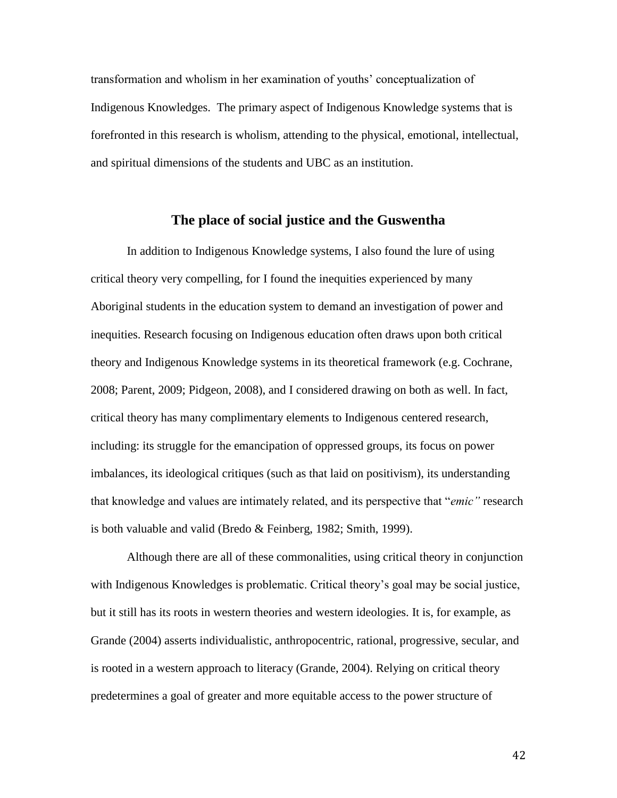transformation and wholism in her examination of youths' conceptualization of Indigenous Knowledges. The primary aspect of Indigenous Knowledge systems that is forefronted in this research is wholism, attending to the physical, emotional, intellectual, and spiritual dimensions of the students and UBC as an institution.

# **The place of social justice and the Guswentha**

In addition to Indigenous Knowledge systems, I also found the lure of using critical theory very compelling, for I found the inequities experienced by many Aboriginal students in the education system to demand an investigation of power and inequities. Research focusing on Indigenous education often draws upon both critical theory and Indigenous Knowledge systems in its theoretical framework (e.g. Cochrane, 2008; Parent, 2009; Pidgeon, 2008), and I considered drawing on both as well. In fact, critical theory has many complimentary elements to Indigenous centered research, including: its struggle for the emancipation of oppressed groups, its focus on power imbalances, its ideological critiques (such as that laid on positivism), its understanding that knowledge and values are intimately related, and its perspective that "*emic"* research is both valuable and valid (Bredo & Feinberg, 1982; Smith, 1999).

Although there are all of these commonalities, using critical theory in conjunction with Indigenous Knowledges is problematic. Critical theory's goal may be social justice, but it still has its roots in western theories and western ideologies. It is, for example, as Grande (2004) asserts individualistic, anthropocentric, rational, progressive, secular, and is rooted in a western approach to literacy (Grande, 2004). Relying on critical theory predetermines a goal of greater and more equitable access to the power structure of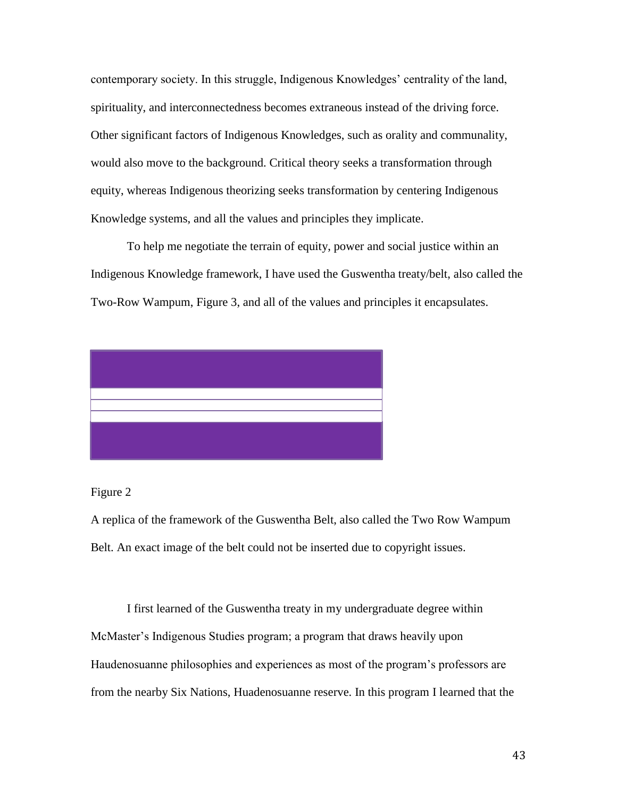contemporary society. In this struggle, Indigenous Knowledges' centrality of the land, spirituality, and interconnectedness becomes extraneous instead of the driving force. Other significant factors of Indigenous Knowledges, such as orality and communality, would also move to the background. Critical theory seeks a transformation through equity, whereas Indigenous theorizing seeks transformation by centering Indigenous Knowledge systems, and all the values and principles they implicate.

To help me negotiate the terrain of equity, power and social justice within an Indigenous Knowledge framework, I have used the Guswentha treaty/belt, also called the Two-Row Wampum, Figure 3, and all of the values and principles it encapsulates.



# Figure 2

A replica of the framework of the Guswentha Belt, also called the Two Row Wampum Belt. An exact image of the belt could not be inserted due to copyright issues.

I first learned of the Guswentha treaty in my undergraduate degree within McMaster's Indigenous Studies program; a program that draws heavily upon Haudenosuanne philosophies and experiences as most of the program's professors are from the nearby Six Nations, Huadenosuanne reserve. In this program I learned that the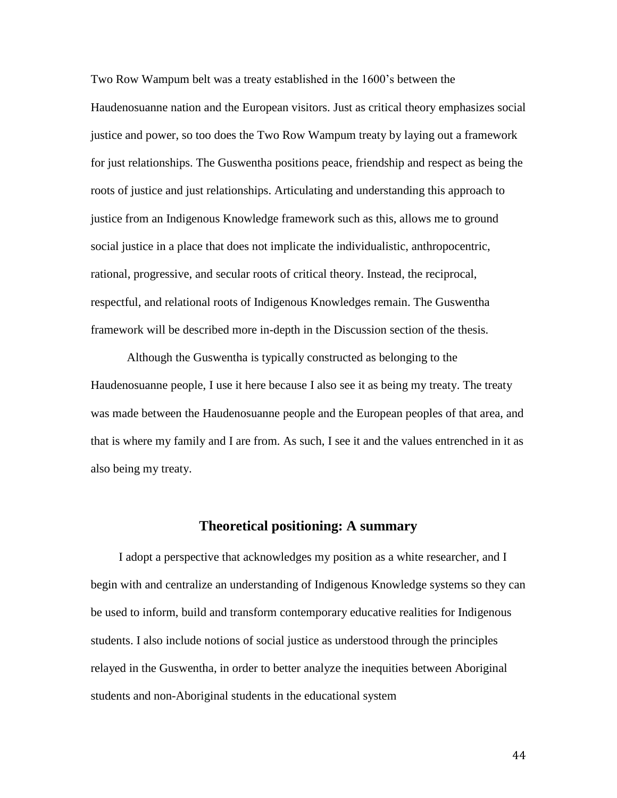Two Row Wampum belt was a treaty established in the 1600's between the Haudenosuanne nation and the European visitors. Just as critical theory emphasizes social justice and power, so too does the Two Row Wampum treaty by laying out a framework for just relationships. The Guswentha positions peace, friendship and respect as being the roots of justice and just relationships. Articulating and understanding this approach to justice from an Indigenous Knowledge framework such as this, allows me to ground social justice in a place that does not implicate the individualistic, anthropocentric, rational, progressive, and secular roots of critical theory. Instead, the reciprocal, respectful, and relational roots of Indigenous Knowledges remain. The Guswentha framework will be described more in-depth in the Discussion section of the thesis.

Although the Guswentha is typically constructed as belonging to the Haudenosuanne people, I use it here because I also see it as being my treaty. The treaty was made between the Haudenosuanne people and the European peoples of that area, and that is where my family and I are from. As such, I see it and the values entrenched in it as also being my treaty.

# **Theoretical positioning: A summary**

I adopt a perspective that acknowledges my position as a white researcher, and I begin with and centralize an understanding of Indigenous Knowledge systems so they can be used to inform, build and transform contemporary educative realities for Indigenous students. I also include notions of social justice as understood through the principles relayed in the Guswentha, in order to better analyze the inequities between Aboriginal students and non-Aboriginal students in the educational system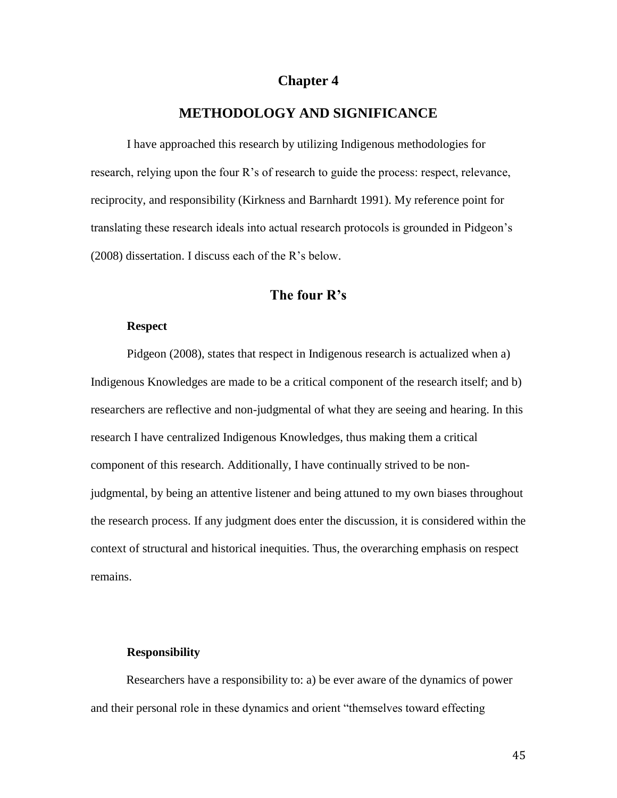# **Chapter 4**

# **METHODOLOGY AND SIGNIFICANCE**

I have approached this research by utilizing Indigenous methodologies for research, relying upon the four R's of research to guide the process: respect, relevance, reciprocity, and responsibility (Kirkness and Barnhardt 1991). My reference point for translating these research ideals into actual research protocols is grounded in Pidgeon's (2008) dissertation. I discuss each of the R's below.

# **The four R's**

## **Respect**

Pidgeon (2008), states that respect in Indigenous research is actualized when a) Indigenous Knowledges are made to be a critical component of the research itself; and b) researchers are reflective and non-judgmental of what they are seeing and hearing. In this research I have centralized Indigenous Knowledges, thus making them a critical component of this research. Additionally, I have continually strived to be nonjudgmental, by being an attentive listener and being attuned to my own biases throughout the research process. If any judgment does enter the discussion, it is considered within the context of structural and historical inequities. Thus, the overarching emphasis on respect remains.

#### **Responsibility**

Researchers have a responsibility to: a) be ever aware of the dynamics of power and their personal role in these dynamics and orient "themselves toward effecting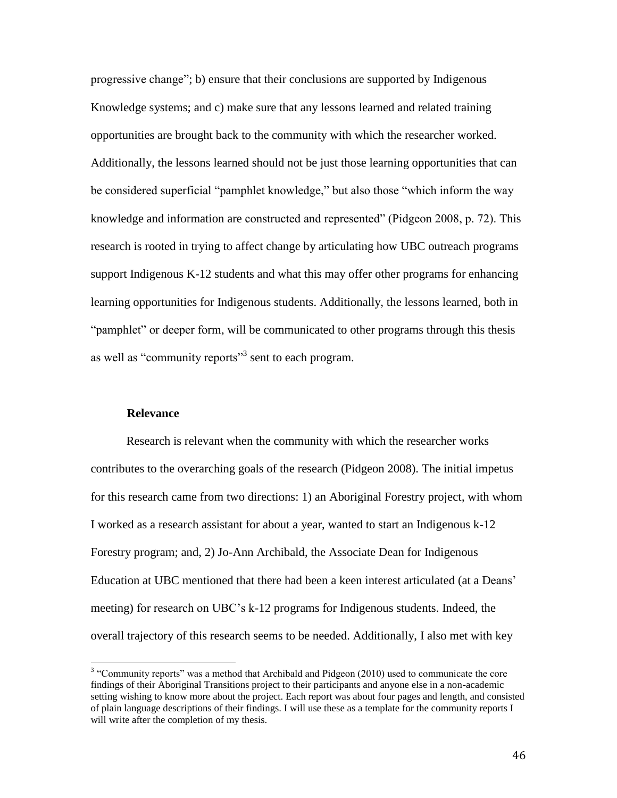progressive change"; b) ensure that their conclusions are supported by Indigenous Knowledge systems; and c) make sure that any lessons learned and related training opportunities are brought back to the community with which the researcher worked. Additionally, the lessons learned should not be just those learning opportunities that can be considered superficial "pamphlet knowledge," but also those "which inform the way knowledge and information are constructed and represented" (Pidgeon 2008, p. 72). This research is rooted in trying to affect change by articulating how UBC outreach programs support Indigenous K-12 students and what this may offer other programs for enhancing learning opportunities for Indigenous students. Additionally, the lessons learned, both in "pamphlet" or deeper form, will be communicated to other programs through this thesis as well as "community reports"<sup>3</sup> sent to each program.

## **Relevance**

Research is relevant when the community with which the researcher works contributes to the overarching goals of the research (Pidgeon 2008). The initial impetus for this research came from two directions: 1) an Aboriginal Forestry project, with whom I worked as a research assistant for about a year, wanted to start an Indigenous k-12 Forestry program; and, 2) Jo-Ann Archibald, the Associate Dean for Indigenous Education at UBC mentioned that there had been a keen interest articulated (at a Deans' meeting) for research on UBC's k-12 programs for Indigenous students. Indeed, the overall trajectory of this research seems to be needed. Additionally, I also met with key

<sup>&</sup>lt;sup>3</sup> "Community reports" was a method that Archibald and Pidgeon (2010) used to communicate the core findings of their Aboriginal Transitions project to their participants and anyone else in a non-academic setting wishing to know more about the project. Each report was about four pages and length, and consisted of plain language descriptions of their findings. I will use these as a template for the community reports I will write after the completion of my thesis.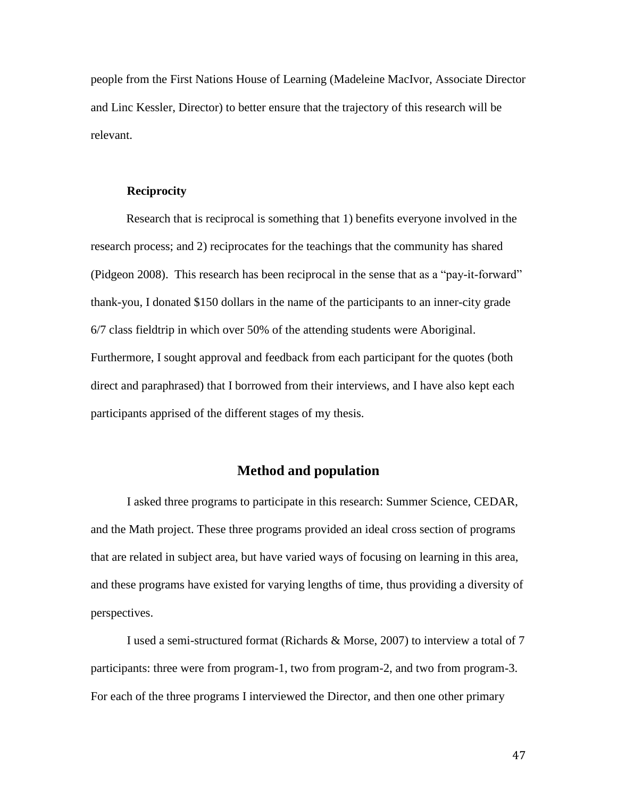people from the First Nations House of Learning (Madeleine MacIvor, Associate Director and Linc Kessler, Director) to better ensure that the trajectory of this research will be relevant.

#### **Reciprocity**

Research that is reciprocal is something that 1) benefits everyone involved in the research process; and 2) reciprocates for the teachings that the community has shared (Pidgeon 2008). This research has been reciprocal in the sense that as a "pay-it-forward" thank-you, I donated \$150 dollars in the name of the participants to an inner-city grade 6/7 class fieldtrip in which over 50% of the attending students were Aboriginal. Furthermore, I sought approval and feedback from each participant for the quotes (both direct and paraphrased) that I borrowed from their interviews, and I have also kept each participants apprised of the different stages of my thesis.

# **Method and population**

I asked three programs to participate in this research: Summer Science, CEDAR, and the Math project. These three programs provided an ideal cross section of programs that are related in subject area, but have varied ways of focusing on learning in this area, and these programs have existed for varying lengths of time, thus providing a diversity of perspectives.

I used a semi-structured format (Richards & Morse, 2007) to interview a total of 7 participants: three were from program-1, two from program-2, and two from program-3. For each of the three programs I interviewed the Director, and then one other primary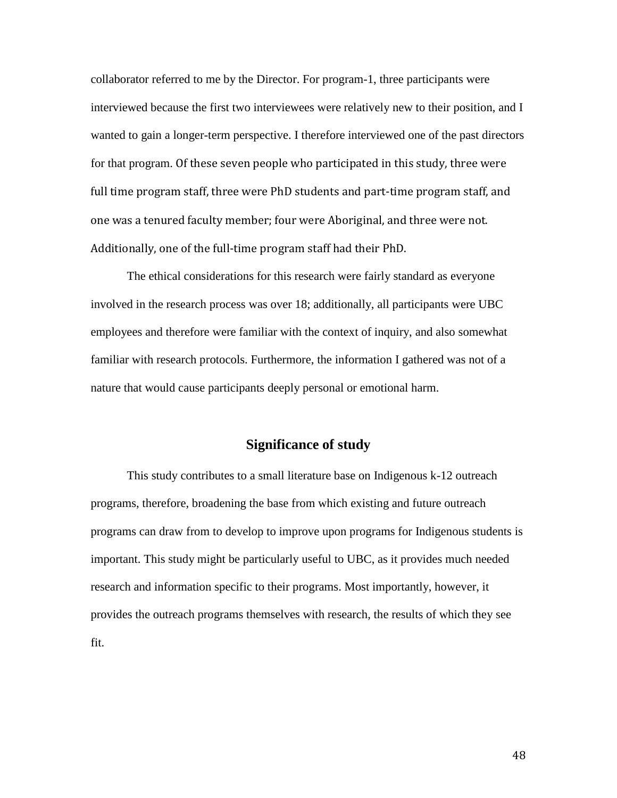collaborator referred to me by the Director. For program-1, three participants were interviewed because the first two interviewees were relatively new to their position, and I wanted to gain a longer-term perspective. I therefore interviewed one of the past directors for that program. Of these seven people who participated in this study, three were full time program staff, three were PhD students and part-time program staff, and one was a tenured faculty member; four were Aboriginal, and three were not. Additionally, one of the full-time program staff had their PhD.

The ethical considerations for this research were fairly standard as everyone involved in the research process was over 18; additionally, all participants were UBC employees and therefore were familiar with the context of inquiry, and also somewhat familiar with research protocols. Furthermore, the information I gathered was not of a nature that would cause participants deeply personal or emotional harm.

# **Significance of study**

This study contributes to a small literature base on Indigenous k-12 outreach programs, therefore, broadening the base from which existing and future outreach programs can draw from to develop to improve upon programs for Indigenous students is important. This study might be particularly useful to UBC, as it provides much needed research and information specific to their programs. Most importantly, however, it provides the outreach programs themselves with research, the results of which they see fit.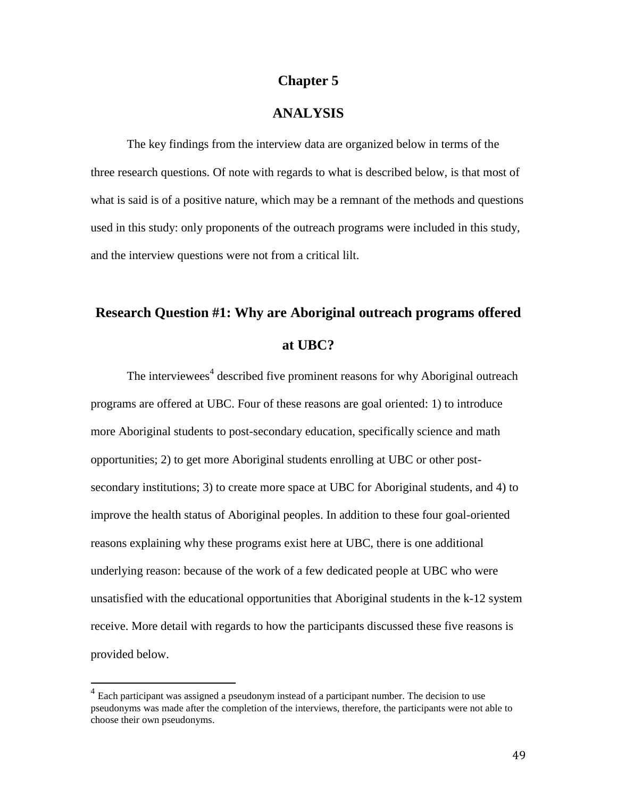# **Chapter 5**

# **ANALYSIS**

The key findings from the interview data are organized below in terms of the three research questions. Of note with regards to what is described below, is that most of what is said is of a positive nature, which may be a remnant of the methods and questions used in this study: only proponents of the outreach programs were included in this study, and the interview questions were not from a critical lilt.

# **Research Question #1: Why are Aboriginal outreach programs offered at UBC?**

The interviewees<sup>4</sup> described five prominent reasons for why Aboriginal outreach programs are offered at UBC. Four of these reasons are goal oriented: 1) to introduce more Aboriginal students to post-secondary education, specifically science and math opportunities; 2) to get more Aboriginal students enrolling at UBC or other postsecondary institutions; 3) to create more space at UBC for Aboriginal students, and 4) to improve the health status of Aboriginal peoples. In addition to these four goal-oriented reasons explaining why these programs exist here at UBC, there is one additional underlying reason: because of the work of a few dedicated people at UBC who were unsatisfied with the educational opportunities that Aboriginal students in the k-12 system receive. More detail with regards to how the participants discussed these five reasons is provided below.

<sup>&</sup>lt;sup>4</sup> Each participant was assigned a pseudonym instead of a participant number. The decision to use pseudonyms was made after the completion of the interviews, therefore, the participants were not able to choose their own pseudonyms.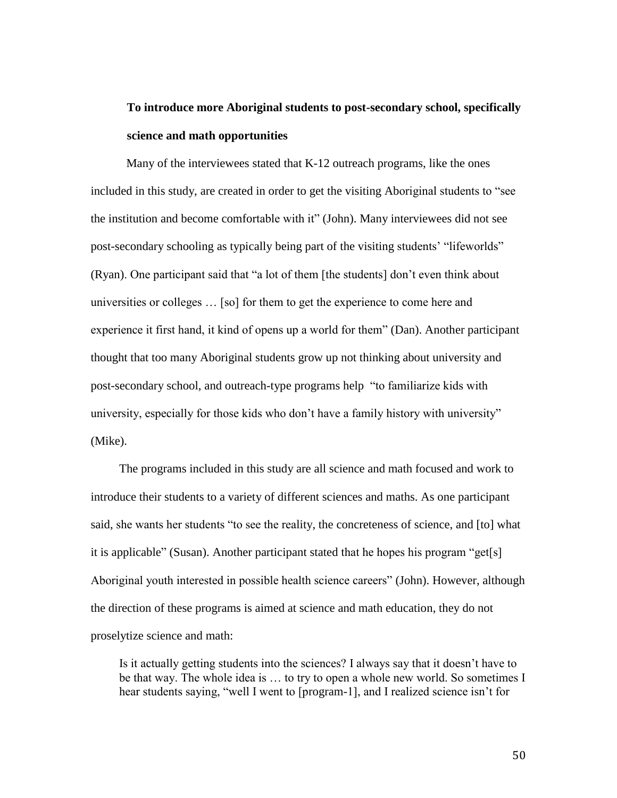# **To introduce more Aboriginal students to post-secondary school, specifically science and math opportunities**

Many of the interviewees stated that K-12 outreach programs, like the ones included in this study, are created in order to get the visiting Aboriginal students to "see the institution and become comfortable with it" (John). Many interviewees did not see post-secondary schooling as typically being part of the visiting students' "lifeworlds" (Ryan). One participant said that "a lot of them [the students] don't even think about universities or colleges … [so] for them to get the experience to come here and experience it first hand, it kind of opens up a world for them" (Dan). Another participant thought that too many Aboriginal students grow up not thinking about university and post-secondary school, and outreach-type programs help "to familiarize kids with university, especially for those kids who don't have a family history with university" (Mike).

The programs included in this study are all science and math focused and work to introduce their students to a variety of different sciences and maths. As one participant said, she wants her students "to see the reality, the concreteness of science, and [to] what it is applicable" (Susan). Another participant stated that he hopes his program "get[s] Aboriginal youth interested in possible health science careers" (John). However, although the direction of these programs is aimed at science and math education, they do not proselytize science and math:

Is it actually getting students into the sciences? I always say that it doesn't have to be that way. The whole idea is … to try to open a whole new world. So sometimes I hear students saying, "well I went to [program-1], and I realized science isn't for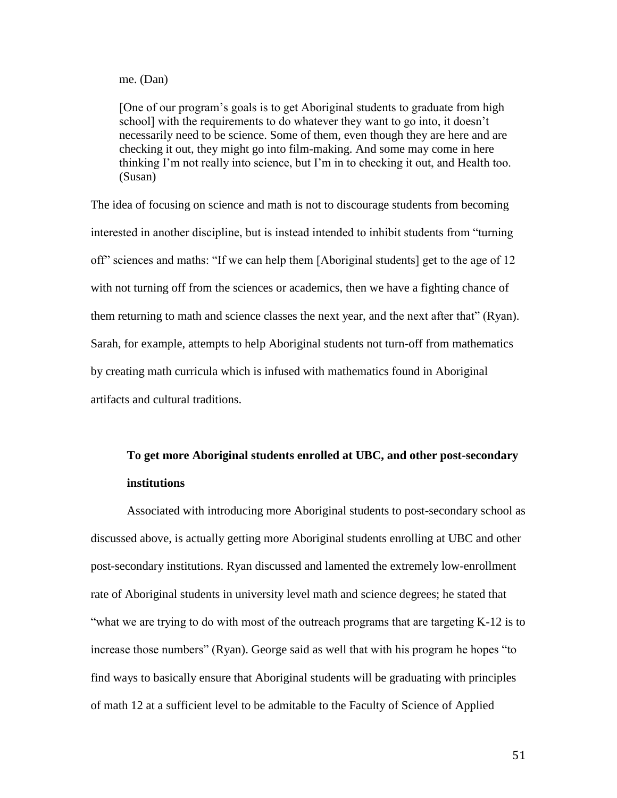#### me. (Dan)

[One of our program's goals is to get Aboriginal students to graduate from high school] with the requirements to do whatever they want to go into, it doesn't necessarily need to be science. Some of them, even though they are here and are checking it out, they might go into film-making. And some may come in here thinking I'm not really into science, but I'm in to checking it out, and Health too. (Susan)

The idea of focusing on science and math is not to discourage students from becoming interested in another discipline, but is instead intended to inhibit students from "turning off" sciences and maths: "If we can help them [Aboriginal students] get to the age of 12 with not turning off from the sciences or academics, then we have a fighting chance of them returning to math and science classes the next year, and the next after that" (Ryan). Sarah, for example, attempts to help Aboriginal students not turn-off from mathematics by creating math curricula which is infused with mathematics found in Aboriginal artifacts and cultural traditions.

# **To get more Aboriginal students enrolled at UBC, and other post-secondary institutions**

Associated with introducing more Aboriginal students to post-secondary school as discussed above, is actually getting more Aboriginal students enrolling at UBC and other post-secondary institutions. Ryan discussed and lamented the extremely low-enrollment rate of Aboriginal students in university level math and science degrees; he stated that "what we are trying to do with most of the outreach programs that are targeting K-12 is to increase those numbers" (Ryan). George said as well that with his program he hopes "to find ways to basically ensure that Aboriginal students will be graduating with principles of math 12 at a sufficient level to be admitable to the Faculty of Science of Applied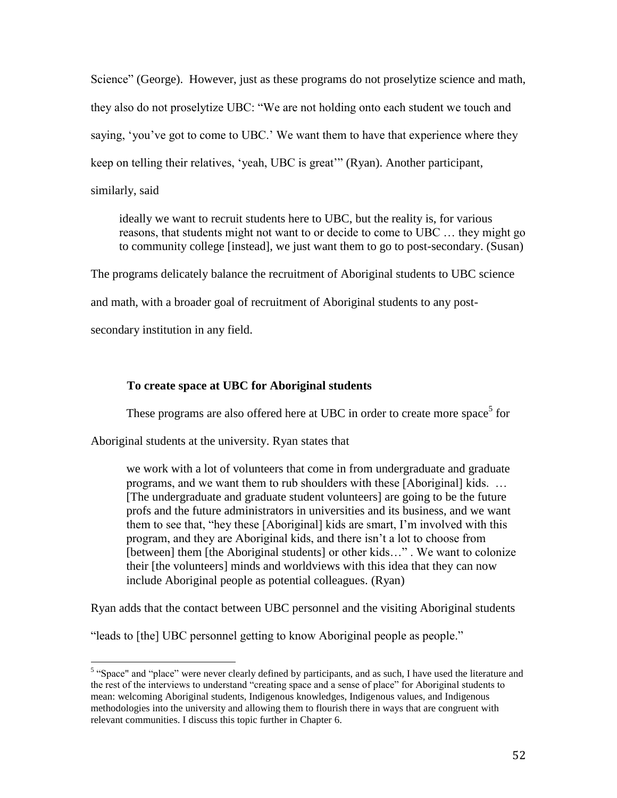Science" (George). However, just as these programs do not proselytize science and math, they also do not proselytize UBC: "We are not holding onto each student we touch and saying, 'you've got to come to UBC.' We want them to have that experience where they keep on telling their relatives, 'yeah, UBC is great'" (Ryan). Another participant, similarly, said

ideally we want to recruit students here to UBC, but the reality is, for various reasons, that students might not want to or decide to come to UBC … they might go to community college [instead], we just want them to go to post-secondary. (Susan)

The programs delicately balance the recruitment of Aboriginal students to UBC science

and math, with a broader goal of recruitment of Aboriginal students to any post-

secondary institution in any field.

# **To create space at UBC for Aboriginal students**

These programs are also offered here at UBC in order to create more space<sup>5</sup> for

Aboriginal students at the university. Ryan states that

we work with a lot of volunteers that come in from undergraduate and graduate programs, and we want them to rub shoulders with these [Aboriginal] kids. … [The undergraduate and graduate student volunteers] are going to be the future profs and the future administrators in universities and its business, and we want them to see that, "hey these [Aboriginal] kids are smart, I'm involved with this program, and they are Aboriginal kids, and there isn't a lot to choose from [between] them [the Aboriginal students] or other kids..." . We want to colonize their [the volunteers] minds and worldviews with this idea that they can now include Aboriginal people as potential colleagues. (Ryan)

Ryan adds that the contact between UBC personnel and the visiting Aboriginal students

"leads to [the] UBC personnel getting to know Aboriginal people as people."

<sup>&</sup>lt;sup>5</sup> "Space" and "place" were never clearly defined by participants, and as such, I have used the literature and the rest of the interviews to understand "creating space and a sense of place" for Aboriginal students to mean: welcoming Aboriginal students, Indigenous knowledges, Indigenous values, and Indigenous methodologies into the university and allowing them to flourish there in ways that are congruent with relevant communities. I discuss this topic further in Chapter 6.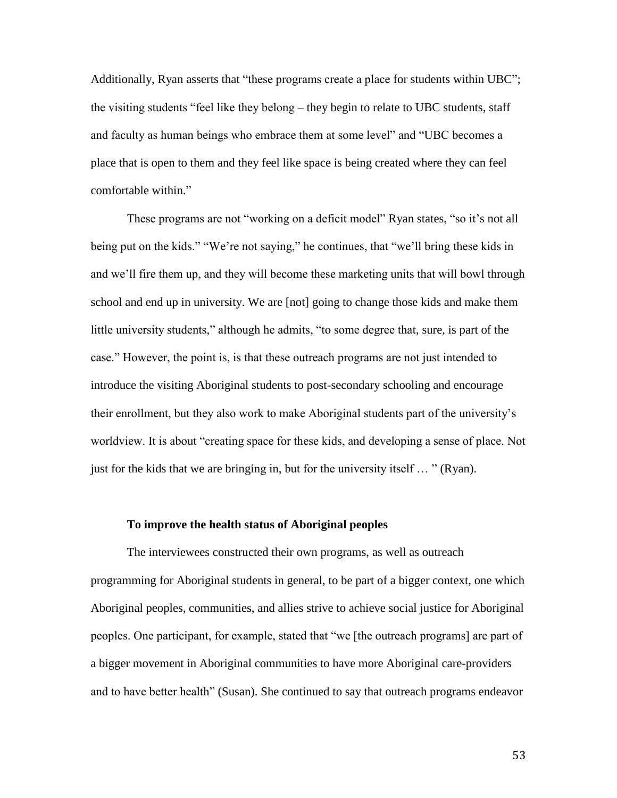Additionally, Ryan asserts that "these programs create a place for students within UBC"; the visiting students "feel like they belong – they begin to relate to UBC students, staff and faculty as human beings who embrace them at some level" and "UBC becomes a place that is open to them and they feel like space is being created where they can feel comfortable within."

These programs are not "working on a deficit model" Ryan states, "so it's not all being put on the kids." "We're not saying," he continues, that "we'll bring these kids in and we'll fire them up, and they will become these marketing units that will bowl through school and end up in university. We are [not] going to change those kids and make them little university students," although he admits, "to some degree that, sure, is part of the case." However, the point is, is that these outreach programs are not just intended to introduce the visiting Aboriginal students to post-secondary schooling and encourage their enrollment, but they also work to make Aboriginal students part of the university's worldview. It is about "creating space for these kids, and developing a sense of place. Not just for the kids that we are bringing in, but for the university itself … " (Ryan).

### **To improve the health status of Aboriginal peoples**

The interviewees constructed their own programs, as well as outreach programming for Aboriginal students in general, to be part of a bigger context, one which Aboriginal peoples, communities, and allies strive to achieve social justice for Aboriginal peoples. One participant, for example, stated that "we [the outreach programs] are part of a bigger movement in Aboriginal communities to have more Aboriginal care-providers and to have better health" (Susan). She continued to say that outreach programs endeavor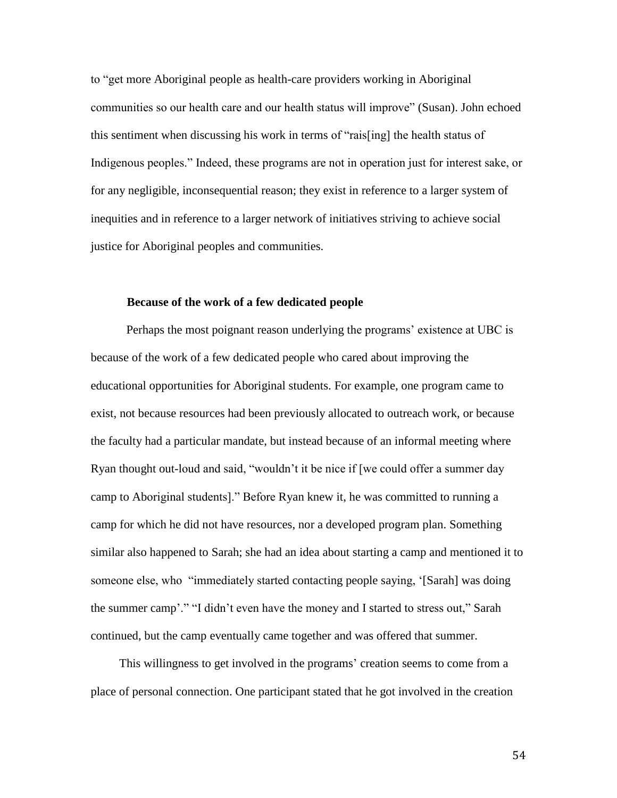to "get more Aboriginal people as health-care providers working in Aboriginal communities so our health care and our health status will improve" (Susan). John echoed this sentiment when discussing his work in terms of "rais[ing] the health status of Indigenous peoples." Indeed, these programs are not in operation just for interest sake, or for any negligible, inconsequential reason; they exist in reference to a larger system of inequities and in reference to a larger network of initiatives striving to achieve social justice for Aboriginal peoples and communities.

#### **Because of the work of a few dedicated people**

Perhaps the most poignant reason underlying the programs' existence at UBC is because of the work of a few dedicated people who cared about improving the educational opportunities for Aboriginal students. For example, one program came to exist, not because resources had been previously allocated to outreach work, or because the faculty had a particular mandate, but instead because of an informal meeting where Ryan thought out-loud and said, "wouldn't it be nice if [we could offer a summer day camp to Aboriginal students]." Before Ryan knew it, he was committed to running a camp for which he did not have resources, nor a developed program plan. Something similar also happened to Sarah; she had an idea about starting a camp and mentioned it to someone else, who "immediately started contacting people saying, '[Sarah] was doing the summer camp'." "I didn't even have the money and I started to stress out," Sarah continued, but the camp eventually came together and was offered that summer.

This willingness to get involved in the programs' creation seems to come from a place of personal connection. One participant stated that he got involved in the creation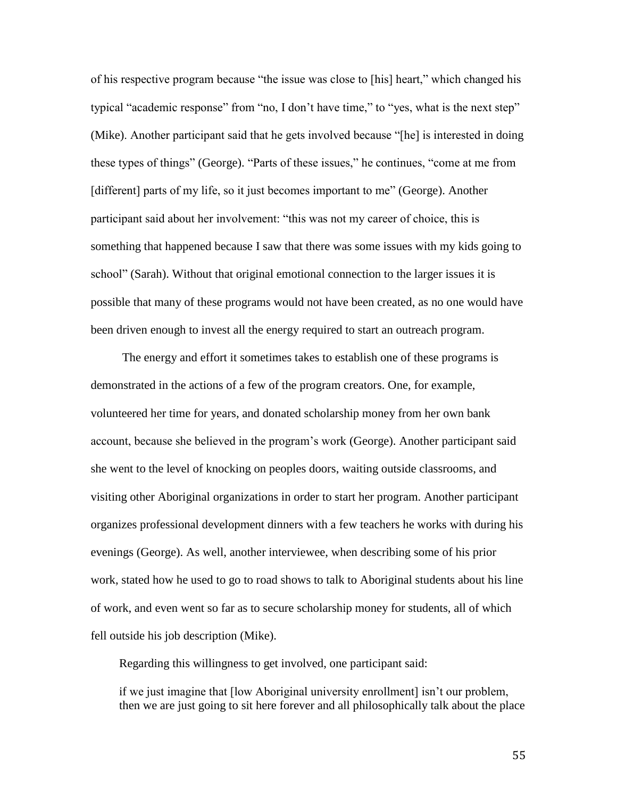of his respective program because "the issue was close to [his] heart," which changed his typical "academic response" from "no, I don't have time," to "yes, what is the next step" (Mike). Another participant said that he gets involved because "[he] is interested in doing these types of things" (George). "Parts of these issues," he continues, "come at me from [different] parts of my life, so it just becomes important to me" (George). Another participant said about her involvement: "this was not my career of choice, this is something that happened because I saw that there was some issues with my kids going to school" (Sarah). Without that original emotional connection to the larger issues it is possible that many of these programs would not have been created, as no one would have been driven enough to invest all the energy required to start an outreach program.

The energy and effort it sometimes takes to establish one of these programs is demonstrated in the actions of a few of the program creators. One, for example, volunteered her time for years, and donated scholarship money from her own bank account, because she believed in the program's work (George). Another participant said she went to the level of knocking on peoples doors, waiting outside classrooms, and visiting other Aboriginal organizations in order to start her program. Another participant organizes professional development dinners with a few teachers he works with during his evenings (George). As well, another interviewee, when describing some of his prior work, stated how he used to go to road shows to talk to Aboriginal students about his line of work, and even went so far as to secure scholarship money for students, all of which fell outside his job description (Mike).

Regarding this willingness to get involved, one participant said:

if we just imagine that [low Aboriginal university enrollment] isn't our problem, then we are just going to sit here forever and all philosophically talk about the place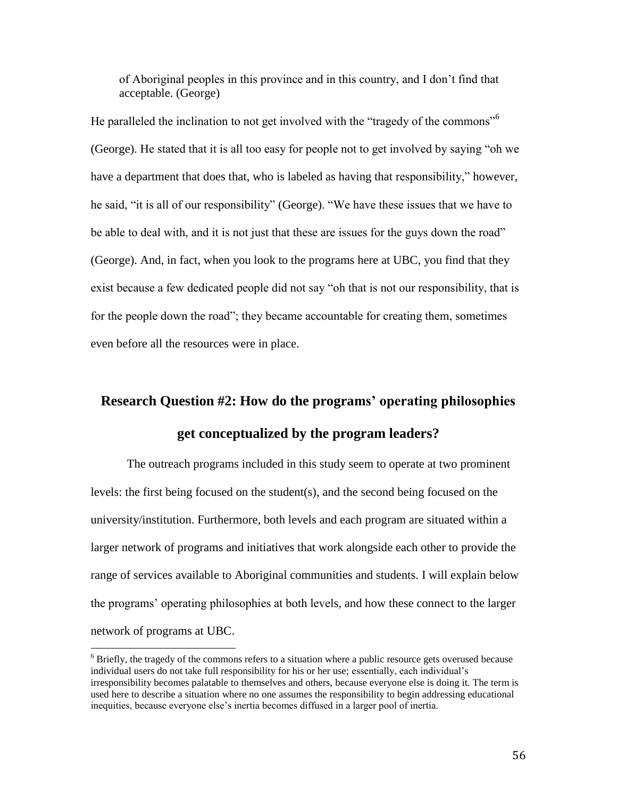of Aboriginal peoples in this province and in this country, and I don't find that acceptable. (George)

He paralleled the inclination to not get involved with the "tragedy of the commons"<sup>6</sup> (George). He stated that it is all too easy for people not to get involved by saying "oh we have a department that does that, who is labeled as having that responsibility," however, he said, "it is all of our responsibility" (George). "We have these issues that we have to be able to deal with, and it is not just that these are issues for the guys down the road" (George). And, in fact, when you look to the programs here at UBC, you find that they exist because a few dedicated people did not say "oh that is not our responsibility, that is for the people down the road"; they became accountable for creating them, sometimes even before all the resources were in place.

# **Research Question #2: How do the programs' operating philosophies get conceptualized by the program leaders?**

The outreach programs included in this study seem to operate at two prominent levels: the first being focused on the student(s), and the second being focused on the university/institution. Furthermore, both levels and each program are situated within a larger network of programs and initiatives that work alongside each other to provide the range of services available to Aboriginal communities and students. I will explain below the programs' operating philosophies at both levels, and how these connect to the larger network of programs at UBC.

 $\overline{\phantom{a}}$ 

<sup>&</sup>lt;sup>6</sup> Briefly, the tragedy of the commons refers to a situation where a public resource gets overused because individual users do not take full responsibility for his or her use; essentially, each individual's irresponsibility becomes palatable to themselves and others, because everyone else is doing it. The term is used here to describe a situation where no one assumes the responsibility to begin addressing educational inequities, because everyone else's inertia becomes diffused in a larger pool of inertia.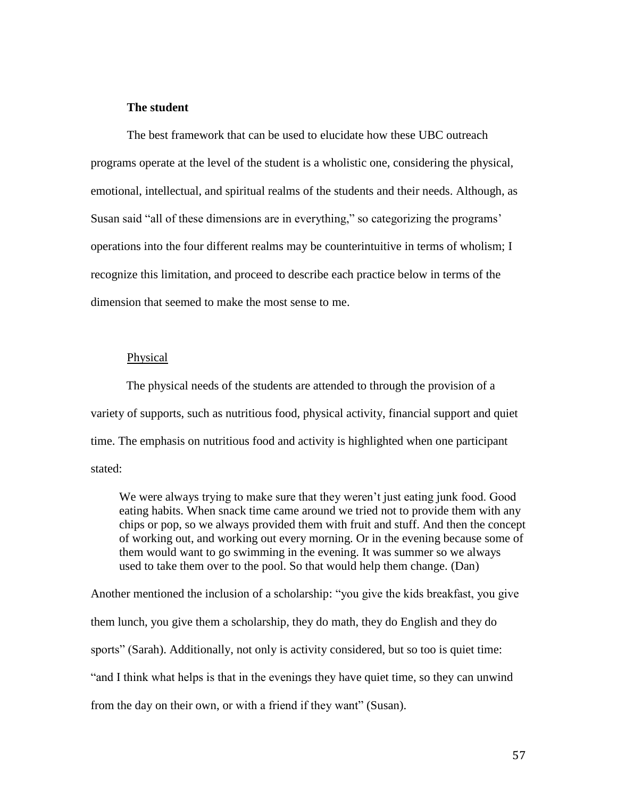# **The student**

The best framework that can be used to elucidate how these UBC outreach programs operate at the level of the student is a wholistic one, considering the physical, emotional, intellectual, and spiritual realms of the students and their needs. Although, as Susan said "all of these dimensions are in everything," so categorizing the programs' operations into the four different realms may be counterintuitive in terms of wholism; I recognize this limitation, and proceed to describe each practice below in terms of the dimension that seemed to make the most sense to me.

#### Physical

The physical needs of the students are attended to through the provision of a variety of supports, such as nutritious food, physical activity, financial support and quiet time. The emphasis on nutritious food and activity is highlighted when one participant stated:

We were always trying to make sure that they weren't just eating junk food. Good eating habits. When snack time came around we tried not to provide them with any chips or pop, so we always provided them with fruit and stuff. And then the concept of working out, and working out every morning. Or in the evening because some of them would want to go swimming in the evening. It was summer so we always used to take them over to the pool. So that would help them change. (Dan)

Another mentioned the inclusion of a scholarship: "you give the kids breakfast, you give them lunch, you give them a scholarship, they do math, they do English and they do sports" (Sarah). Additionally, not only is activity considered, but so too is quiet time: "and I think what helps is that in the evenings they have quiet time, so they can unwind from the day on their own, or with a friend if they want" (Susan).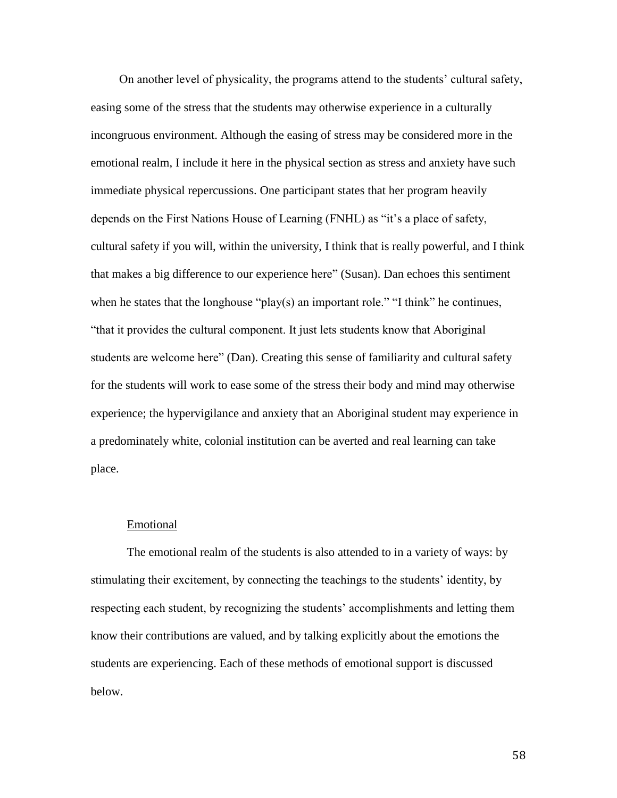On another level of physicality, the programs attend to the students' cultural safety, easing some of the stress that the students may otherwise experience in a culturally incongruous environment. Although the easing of stress may be considered more in the emotional realm, I include it here in the physical section as stress and anxiety have such immediate physical repercussions. One participant states that her program heavily depends on the First Nations House of Learning (FNHL) as "it's a place of safety, cultural safety if you will, within the university, I think that is really powerful, and I think that makes a big difference to our experience here" (Susan). Dan echoes this sentiment when he states that the longhouse "play(s) an important role." "I think" he continues, "that it provides the cultural component. It just lets students know that Aboriginal students are welcome here" (Dan). Creating this sense of familiarity and cultural safety for the students will work to ease some of the stress their body and mind may otherwise experience; the hypervigilance and anxiety that an Aboriginal student may experience in a predominately white, colonial institution can be averted and real learning can take place.

### Emotional

The emotional realm of the students is also attended to in a variety of ways: by stimulating their excitement, by connecting the teachings to the students' identity, by respecting each student, by recognizing the students' accomplishments and letting them know their contributions are valued, and by talking explicitly about the emotions the students are experiencing. Each of these methods of emotional support is discussed below.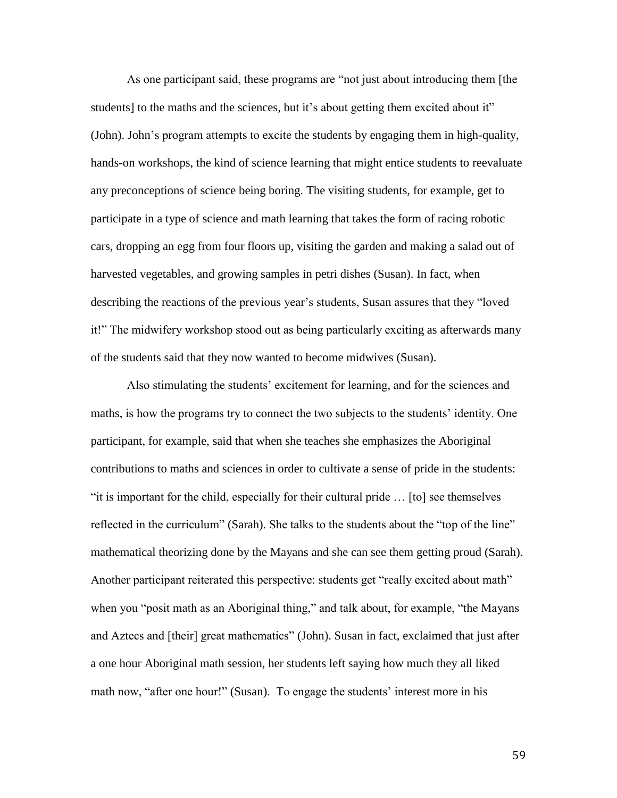As one participant said, these programs are "not just about introducing them [the students] to the maths and the sciences, but it's about getting them excited about it" (John). John's program attempts to excite the students by engaging them in high-quality, hands-on workshops, the kind of science learning that might entice students to reevaluate any preconceptions of science being boring. The visiting students, for example, get to participate in a type of science and math learning that takes the form of racing robotic cars, dropping an egg from four floors up, visiting the garden and making a salad out of harvested vegetables, and growing samples in petri dishes (Susan). In fact, when describing the reactions of the previous year's students, Susan assures that they "loved it!" The midwifery workshop stood out as being particularly exciting as afterwards many of the students said that they now wanted to become midwives (Susan).

Also stimulating the students' excitement for learning, and for the sciences and maths, is how the programs try to connect the two subjects to the students' identity. One participant, for example, said that when she teaches she emphasizes the Aboriginal contributions to maths and sciences in order to cultivate a sense of pride in the students: "it is important for the child, especially for their cultural pride … [to] see themselves reflected in the curriculum" (Sarah). She talks to the students about the "top of the line" mathematical theorizing done by the Mayans and she can see them getting proud (Sarah). Another participant reiterated this perspective: students get "really excited about math" when you "posit math as an Aboriginal thing," and talk about, for example, "the Mayans and Aztecs and [their] great mathematics" (John). Susan in fact, exclaimed that just after a one hour Aboriginal math session, her students left saying how much they all liked math now, "after one hour!" (Susan). To engage the students' interest more in his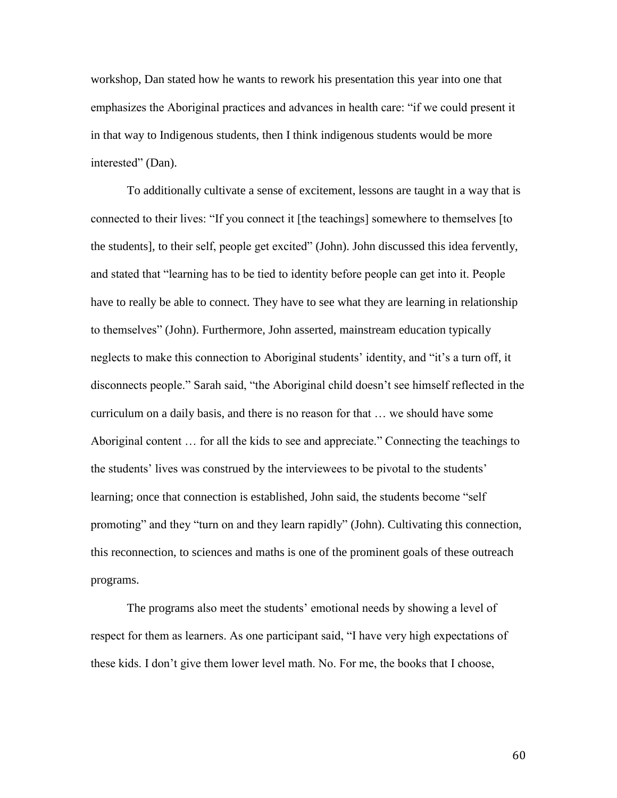workshop, Dan stated how he wants to rework his presentation this year into one that emphasizes the Aboriginal practices and advances in health care: "if we could present it in that way to Indigenous students, then I think indigenous students would be more interested" (Dan).

To additionally cultivate a sense of excitement, lessons are taught in a way that is connected to their lives: "If you connect it [the teachings] somewhere to themselves [to the students], to their self, people get excited" (John). John discussed this idea fervently, and stated that "learning has to be tied to identity before people can get into it. People have to really be able to connect. They have to see what they are learning in relationship to themselves" (John). Furthermore, John asserted, mainstream education typically neglects to make this connection to Aboriginal students' identity, and "it's a turn off, it disconnects people." Sarah said, "the Aboriginal child doesn't see himself reflected in the curriculum on a daily basis, and there is no reason for that … we should have some Aboriginal content … for all the kids to see and appreciate." Connecting the teachings to the students' lives was construed by the interviewees to be pivotal to the students' learning; once that connection is established, John said, the students become "self promoting" and they "turn on and they learn rapidly" (John). Cultivating this connection, this reconnection, to sciences and maths is one of the prominent goals of these outreach programs.

The programs also meet the students' emotional needs by showing a level of respect for them as learners. As one participant said, "I have very high expectations of these kids. I don't give them lower level math. No. For me, the books that I choose,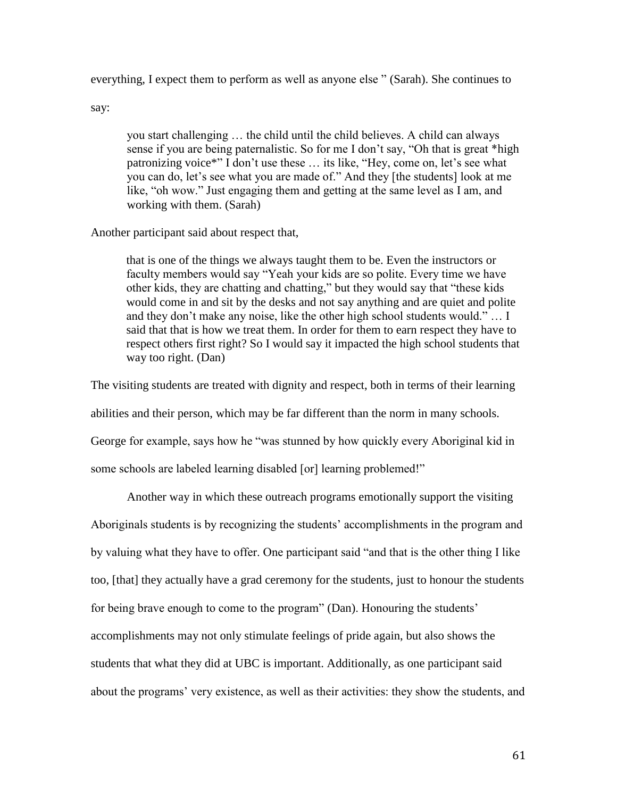everything, I expect them to perform as well as anyone else " (Sarah). She continues to

say:

you start challenging … the child until the child believes. A child can always sense if you are being paternalistic. So for me I don't say, "Oh that is great \*high patronizing voice\*" I don't use these … its like, "Hey, come on, let's see what you can do, let's see what you are made of." And they [the students] look at me like, "oh wow." Just engaging them and getting at the same level as I am, and working with them. (Sarah)

# Another participant said about respect that,

that is one of the things we always taught them to be. Even the instructors or faculty members would say "Yeah your kids are so polite. Every time we have other kids, they are chatting and chatting," but they would say that "these kids would come in and sit by the desks and not say anything and are quiet and polite and they don't make any noise, like the other high school students would." … I said that that is how we treat them. In order for them to earn respect they have to respect others first right? So I would say it impacted the high school students that way too right. (Dan)

The visiting students are treated with dignity and respect, both in terms of their learning

abilities and their person, which may be far different than the norm in many schools.

George for example, says how he "was stunned by how quickly every Aboriginal kid in

some schools are labeled learning disabled [or] learning problemed!"

Another way in which these outreach programs emotionally support the visiting Aboriginals students is by recognizing the students' accomplishments in the program and by valuing what they have to offer. One participant said "and that is the other thing I like too, [that] they actually have a grad ceremony for the students, just to honour the students for being brave enough to come to the program" (Dan). Honouring the students' accomplishments may not only stimulate feelings of pride again, but also shows the students that what they did at UBC is important. Additionally, as one participant said

about the programs' very existence, as well as their activities: they show the students, and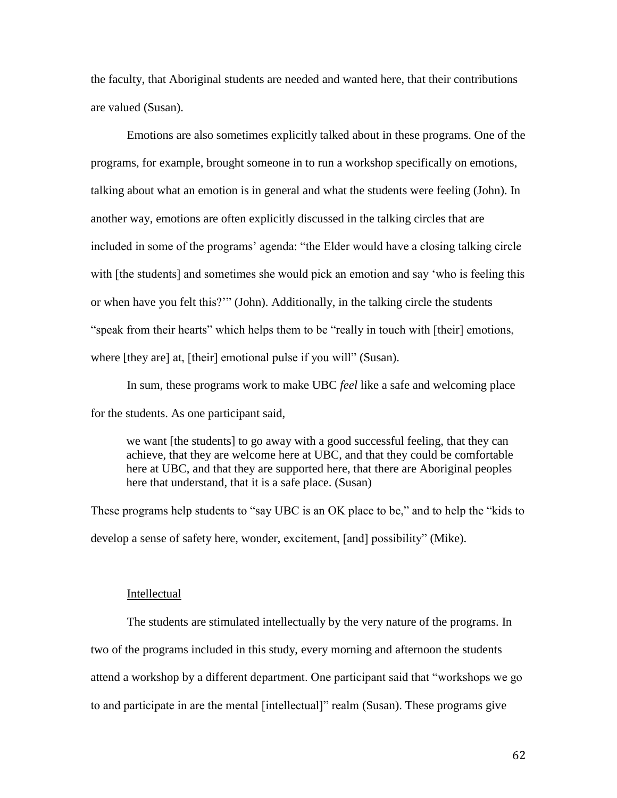the faculty, that Aboriginal students are needed and wanted here, that their contributions are valued (Susan).

Emotions are also sometimes explicitly talked about in these programs. One of the programs, for example, brought someone in to run a workshop specifically on emotions, talking about what an emotion is in general and what the students were feeling (John). In another way, emotions are often explicitly discussed in the talking circles that are included in some of the programs' agenda: "the Elder would have a closing talking circle with [the students] and sometimes she would pick an emotion and say 'who is feeling this or when have you felt this?'" (John). Additionally, in the talking circle the students "speak from their hearts" which helps them to be "really in touch with [their] emotions, where [they are] at, [their] emotional pulse if you will" (Susan).

In sum, these programs work to make UBC *feel* like a safe and welcoming place for the students. As one participant said,

we want [the students] to go away with a good successful feeling, that they can achieve, that they are welcome here at UBC, and that they could be comfortable here at UBC, and that they are supported here, that there are Aboriginal peoples here that understand, that it is a safe place. (Susan)

These programs help students to "say UBC is an OK place to be," and to help the "kids to develop a sense of safety here, wonder, excitement, [and] possibility" (Mike).

#### Intellectual

The students are stimulated intellectually by the very nature of the programs. In two of the programs included in this study, every morning and afternoon the students attend a workshop by a different department. One participant said that "workshops we go to and participate in are the mental [intellectual]" realm (Susan). These programs give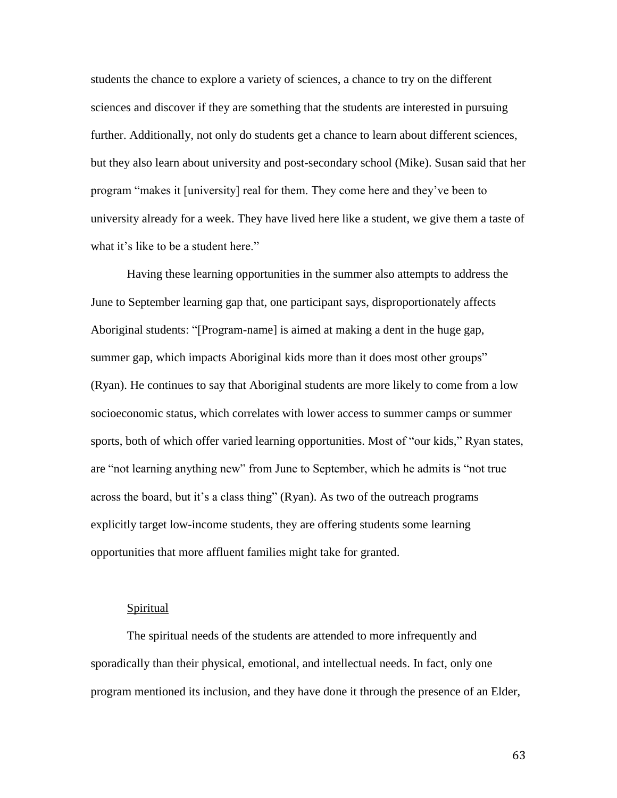students the chance to explore a variety of sciences, a chance to try on the different sciences and discover if they are something that the students are interested in pursuing further. Additionally, not only do students get a chance to learn about different sciences, but they also learn about university and post-secondary school (Mike). Susan said that her program "makes it [university] real for them. They come here and they've been to university already for a week. They have lived here like a student, we give them a taste of what it's like to be a student here."

Having these learning opportunities in the summer also attempts to address the June to September learning gap that, one participant says, disproportionately affects Aboriginal students: "[Program-name] is aimed at making a dent in the huge gap, summer gap, which impacts Aboriginal kids more than it does most other groups" (Ryan). He continues to say that Aboriginal students are more likely to come from a low socioeconomic status, which correlates with lower access to summer camps or summer sports, both of which offer varied learning opportunities. Most of "our kids," Ryan states, are "not learning anything new" from June to September, which he admits is "not true across the board, but it's a class thing" (Ryan). As two of the outreach programs explicitly target low-income students, they are offering students some learning opportunities that more affluent families might take for granted.

#### Spiritual

The spiritual needs of the students are attended to more infrequently and sporadically than their physical, emotional, and intellectual needs. In fact, only one program mentioned its inclusion, and they have done it through the presence of an Elder,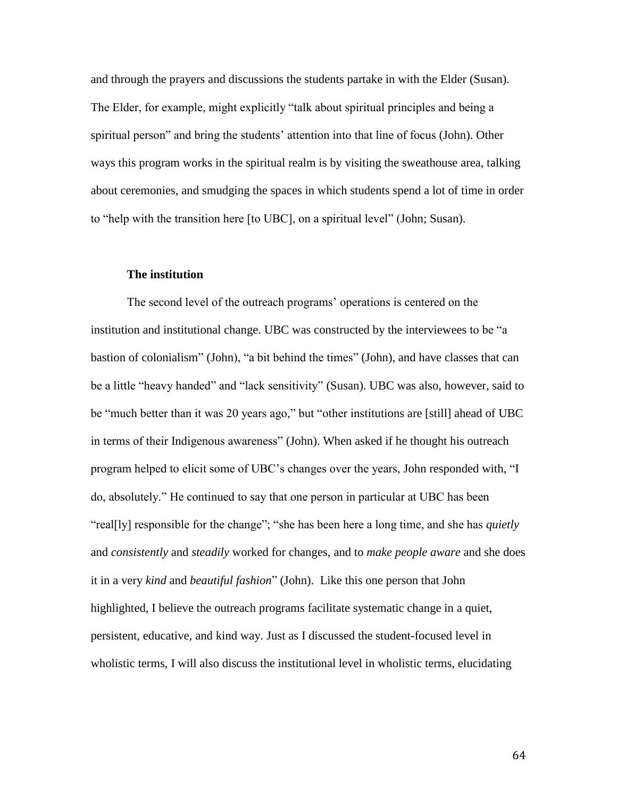and through the prayers and discussions the students partake in with the Elder (Susan). The Elder, for example, might explicitly "talk about spiritual principles and being a spiritual person" and bring the students' attention into that line of focus (John). Other ways this program works in the spiritual realm is by visiting the sweathouse area, talking about ceremonies, and smudging the spaces in which students spend a lot of time in order to "help with the transition here [to UBC], on a spiritual level" (John; Susan).

#### **The institution**

The second level of the outreach programs' operations is centered on the institution and institutional change. UBC was constructed by the interviewees to be "a bastion of colonialism" (John), "a bit behind the times" (John), and have classes that can be a little "heavy handed" and "lack sensitivity" (Susan). UBC was also, however, said to be "much better than it was 20 years ago," but "other institutions are [still] ahead of UBC in terms of their Indigenous awareness" (John). When asked if he thought his outreach program helped to elicit some of UBC's changes over the years, John responded with, "I do, absolutely." He continued to say that one person in particular at UBC has been "real[ly] responsible for the change"; "she has been here a long time, and she has *quietly* and *consistently* and *steadily* worked for changes, and to *make people aware* and she does it in a very *kind* and *beautiful fashion*" (John). Like this one person that John highlighted, I believe the outreach programs facilitate systematic change in a quiet, persistent, educative, and kind way. Just as I discussed the student-focused level in wholistic terms, I will also discuss the institutional level in wholistic terms, elucidating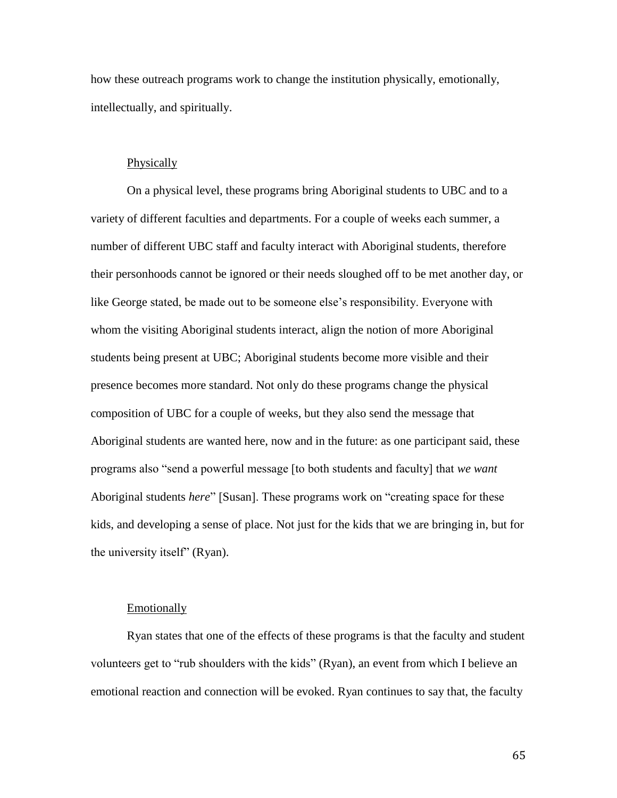how these outreach programs work to change the institution physically, emotionally, intellectually, and spiritually.

## **Physically**

On a physical level, these programs bring Aboriginal students to UBC and to a variety of different faculties and departments. For a couple of weeks each summer, a number of different UBC staff and faculty interact with Aboriginal students, therefore their personhoods cannot be ignored or their needs sloughed off to be met another day, or like George stated, be made out to be someone else's responsibility. Everyone with whom the visiting Aboriginal students interact, align the notion of more Aboriginal students being present at UBC; Aboriginal students become more visible and their presence becomes more standard. Not only do these programs change the physical composition of UBC for a couple of weeks, but they also send the message that Aboriginal students are wanted here, now and in the future: as one participant said, these programs also "send a powerful message [to both students and faculty] that *we want* Aboriginal students *here*" [Susan]. These programs work on "creating space for these kids, and developing a sense of place. Not just for the kids that we are bringing in, but for the university itself" (Ryan).

## **Emotionally**

Ryan states that one of the effects of these programs is that the faculty and student volunteers get to "rub shoulders with the kids" (Ryan), an event from which I believe an emotional reaction and connection will be evoked. Ryan continues to say that, the faculty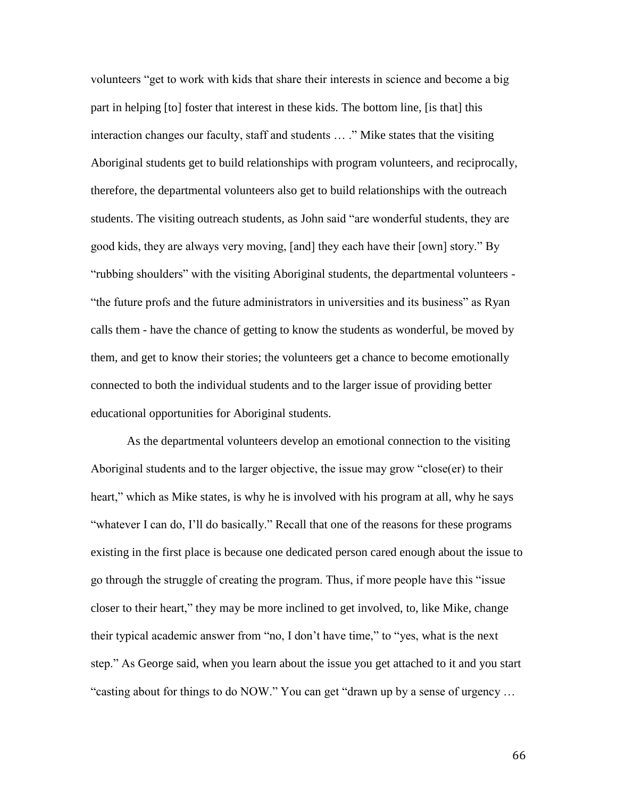volunteers "get to work with kids that share their interests in science and become a big part in helping [to] foster that interest in these kids. The bottom line, [is that] this interaction changes our faculty, staff and students … ." Mike states that the visiting Aboriginal students get to build relationships with program volunteers, and reciprocally, therefore, the departmental volunteers also get to build relationships with the outreach students. The visiting outreach students, as John said "are wonderful students, they are good kids, they are always very moving, [and] they each have their [own] story." By "rubbing shoulders" with the visiting Aboriginal students, the departmental volunteers - "the future profs and the future administrators in universities and its business" as Ryan calls them - have the chance of getting to know the students as wonderful, be moved by them, and get to know their stories; the volunteers get a chance to become emotionally connected to both the individual students and to the larger issue of providing better educational opportunities for Aboriginal students.

As the departmental volunteers develop an emotional connection to the visiting Aboriginal students and to the larger objective, the issue may grow "close(er) to their heart," which as Mike states, is why he is involved with his program at all, why he says "whatever I can do, I'll do basically." Recall that one of the reasons for these programs existing in the first place is because one dedicated person cared enough about the issue to go through the struggle of creating the program. Thus, if more people have this "issue closer to their heart," they may be more inclined to get involved, to, like Mike, change their typical academic answer from "no, I don't have time," to "yes, what is the next step." As George said, when you learn about the issue you get attached to it and you start "casting about for things to do NOW." You can get "drawn up by a sense of urgency …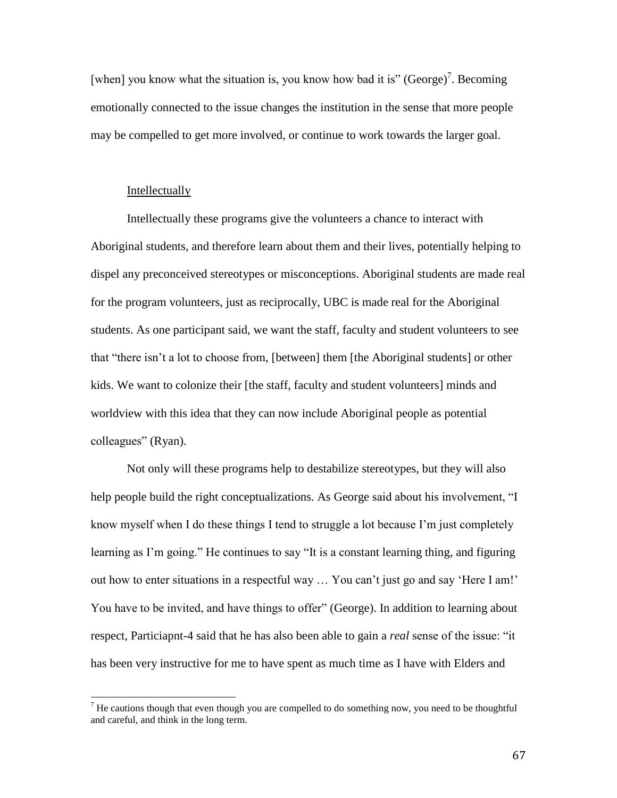[when] you know what the situation is, you know how bad it is" (George)<sup>7</sup>. Becoming emotionally connected to the issue changes the institution in the sense that more people may be compelled to get more involved, or continue to work towards the larger goal.

### Intellectually

l

Intellectually these programs give the volunteers a chance to interact with Aboriginal students, and therefore learn about them and their lives, potentially helping to dispel any preconceived stereotypes or misconceptions. Aboriginal students are made real for the program volunteers, just as reciprocally, UBC is made real for the Aboriginal students. As one participant said, we want the staff, faculty and student volunteers to see that "there isn't a lot to choose from, [between] them [the Aboriginal students] or other kids. We want to colonize their [the staff, faculty and student volunteers] minds and worldview with this idea that they can now include Aboriginal people as potential colleagues" (Ryan).

Not only will these programs help to destabilize stereotypes, but they will also help people build the right conceptualizations. As George said about his involvement, "I know myself when I do these things I tend to struggle a lot because I'm just completely learning as I'm going." He continues to say "It is a constant learning thing, and figuring out how to enter situations in a respectful way … You can't just go and say 'Here I am!' You have to be invited, and have things to offer" (George). In addition to learning about respect, Particiapnt-4 said that he has also been able to gain a *real* sense of the issue: "it has been very instructive for me to have spent as much time as I have with Elders and

<sup>&</sup>lt;sup>7</sup> He cautions though that even though you are compelled to do something now, you need to be thoughtful and careful, and think in the long term.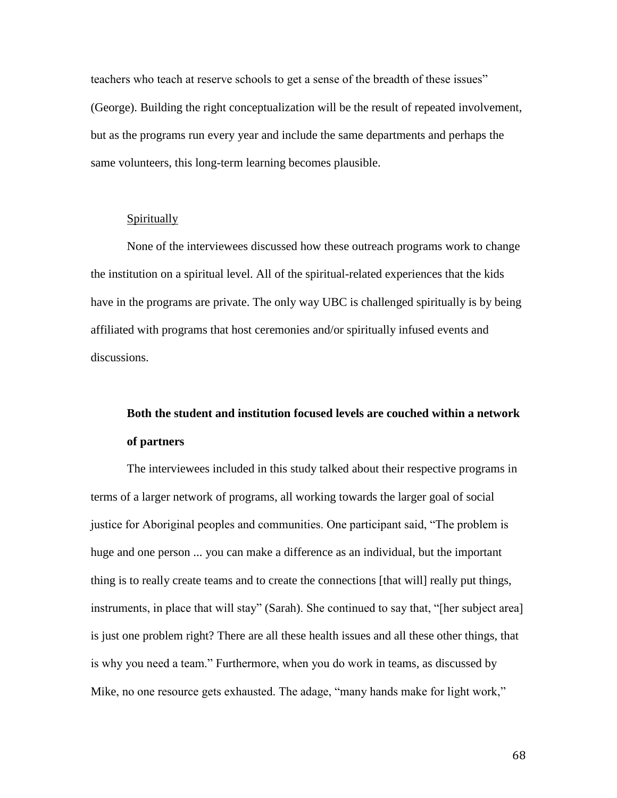teachers who teach at reserve schools to get a sense of the breadth of these issues" (George). Building the right conceptualization will be the result of repeated involvement, but as the programs run every year and include the same departments and perhaps the same volunteers, this long-term learning becomes plausible.

## Spiritually

None of the interviewees discussed how these outreach programs work to change the institution on a spiritual level. All of the spiritual-related experiences that the kids have in the programs are private. The only way UBC is challenged spiritually is by being affiliated with programs that host ceremonies and/or spiritually infused events and discussions.

# **Both the student and institution focused levels are couched within a network of partners**

The interviewees included in this study talked about their respective programs in terms of a larger network of programs, all working towards the larger goal of social justice for Aboriginal peoples and communities. One participant said, "The problem is huge and one person ... you can make a difference as an individual, but the important thing is to really create teams and to create the connections [that will] really put things, instruments, in place that will stay" (Sarah). She continued to say that, "[her subject area] is just one problem right? There are all these health issues and all these other things, that is why you need a team." Furthermore, when you do work in teams, as discussed by Mike, no one resource gets exhausted. The adage, "many hands make for light work,"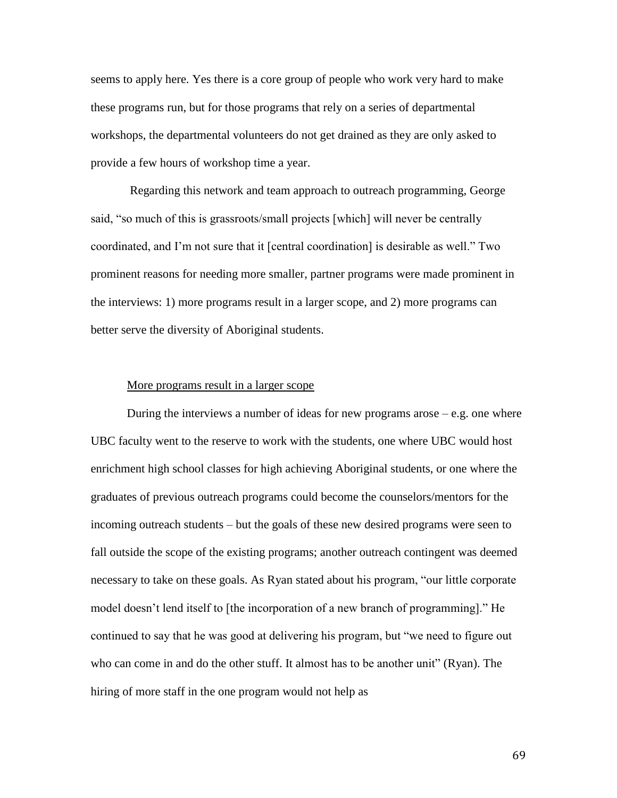seems to apply here. Yes there is a core group of people who work very hard to make these programs run, but for those programs that rely on a series of departmental workshops, the departmental volunteers do not get drained as they are only asked to provide a few hours of workshop time a year.

Regarding this network and team approach to outreach programming, George said, "so much of this is grassroots/small projects [which] will never be centrally coordinated, and I'm not sure that it [central coordination] is desirable as well." Two prominent reasons for needing more smaller, partner programs were made prominent in the interviews: 1) more programs result in a larger scope, and 2) more programs can better serve the diversity of Aboriginal students.

#### More programs result in a larger scope

During the interviews a number of ideas for new programs arose  $-e.g.$  one where UBC faculty went to the reserve to work with the students, one where UBC would host enrichment high school classes for high achieving Aboriginal students, or one where the graduates of previous outreach programs could become the counselors/mentors for the incoming outreach students – but the goals of these new desired programs were seen to fall outside the scope of the existing programs; another outreach contingent was deemed necessary to take on these goals. As Ryan stated about his program, "our little corporate model doesn't lend itself to [the incorporation of a new branch of programming]." He continued to say that he was good at delivering his program, but "we need to figure out who can come in and do the other stuff. It almost has to be another unit" (Ryan). The hiring of more staff in the one program would not help as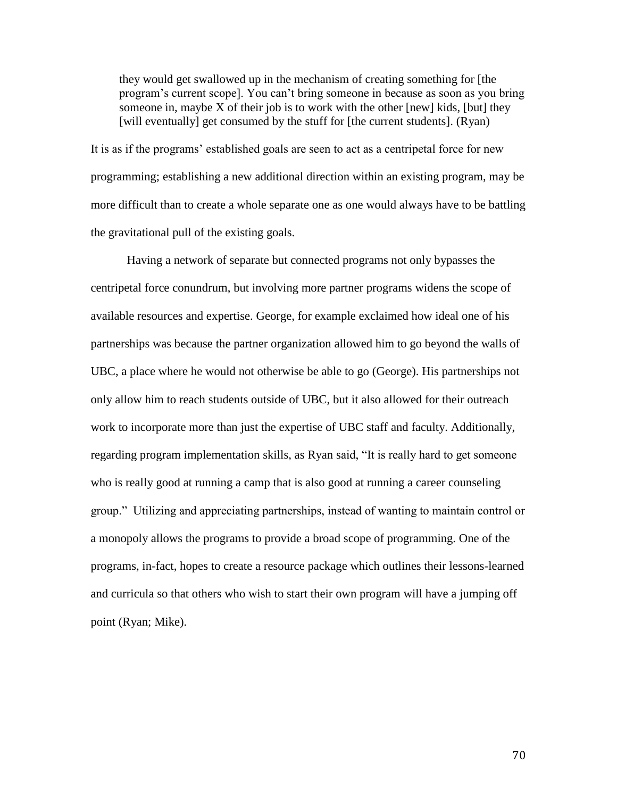they would get swallowed up in the mechanism of creating something for [the program's current scope]. You can't bring someone in because as soon as you bring someone in, maybe  $X$  of their job is to work with the other [new] kids, [but] they [will eventually] get consumed by the stuff for [the current students]. (Ryan)

It is as if the programs' established goals are seen to act as a centripetal force for new programming; establishing a new additional direction within an existing program, may be more difficult than to create a whole separate one as one would always have to be battling the gravitational pull of the existing goals.

Having a network of separate but connected programs not only bypasses the centripetal force conundrum, but involving more partner programs widens the scope of available resources and expertise. George, for example exclaimed how ideal one of his partnerships was because the partner organization allowed him to go beyond the walls of UBC, a place where he would not otherwise be able to go (George). His partnerships not only allow him to reach students outside of UBC, but it also allowed for their outreach work to incorporate more than just the expertise of UBC staff and faculty. Additionally, regarding program implementation skills, as Ryan said, "It is really hard to get someone who is really good at running a camp that is also good at running a career counseling group." Utilizing and appreciating partnerships, instead of wanting to maintain control or a monopoly allows the programs to provide a broad scope of programming. One of the programs, in-fact, hopes to create a resource package which outlines their lessons-learned and curricula so that others who wish to start their own program will have a jumping off point (Ryan; Mike).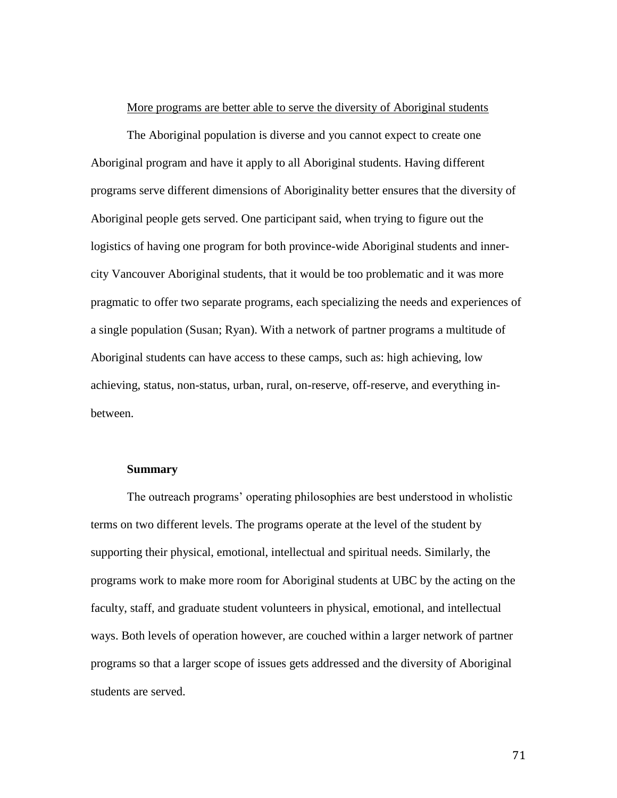#### More programs are better able to serve the diversity of Aboriginal students

The Aboriginal population is diverse and you cannot expect to create one Aboriginal program and have it apply to all Aboriginal students. Having different programs serve different dimensions of Aboriginality better ensures that the diversity of Aboriginal people gets served. One participant said, when trying to figure out the logistics of having one program for both province-wide Aboriginal students and innercity Vancouver Aboriginal students, that it would be too problematic and it was more pragmatic to offer two separate programs, each specializing the needs and experiences of a single population (Susan; Ryan). With a network of partner programs a multitude of Aboriginal students can have access to these camps, such as: high achieving, low achieving, status, non-status, urban, rural, on-reserve, off-reserve, and everything inbetween.

#### **Summary**

The outreach programs' operating philosophies are best understood in wholistic terms on two different levels. The programs operate at the level of the student by supporting their physical, emotional, intellectual and spiritual needs. Similarly, the programs work to make more room for Aboriginal students at UBC by the acting on the faculty, staff, and graduate student volunteers in physical, emotional, and intellectual ways. Both levels of operation however, are couched within a larger network of partner programs so that a larger scope of issues gets addressed and the diversity of Aboriginal students are served.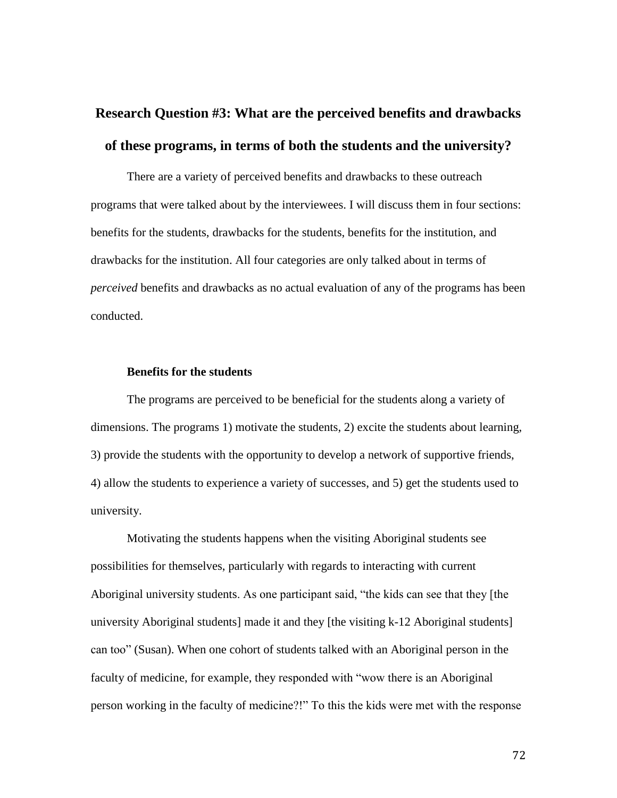# **Research Question #3: What are the perceived benefits and drawbacks of these programs, in terms of both the students and the university?**

There are a variety of perceived benefits and drawbacks to these outreach programs that were talked about by the interviewees. I will discuss them in four sections: benefits for the students, drawbacks for the students, benefits for the institution, and drawbacks for the institution. All four categories are only talked about in terms of *perceived* benefits and drawbacks as no actual evaluation of any of the programs has been conducted.

## **Benefits for the students**

The programs are perceived to be beneficial for the students along a variety of dimensions. The programs 1) motivate the students, 2) excite the students about learning, 3) provide the students with the opportunity to develop a network of supportive friends, 4) allow the students to experience a variety of successes, and 5) get the students used to university.

Motivating the students happens when the visiting Aboriginal students see possibilities for themselves, particularly with regards to interacting with current Aboriginal university students. As one participant said, "the kids can see that they [the university Aboriginal students] made it and they [the visiting k-12 Aboriginal students] can too" (Susan). When one cohort of students talked with an Aboriginal person in the faculty of medicine, for example, they responded with "wow there is an Aboriginal person working in the faculty of medicine?!" To this the kids were met with the response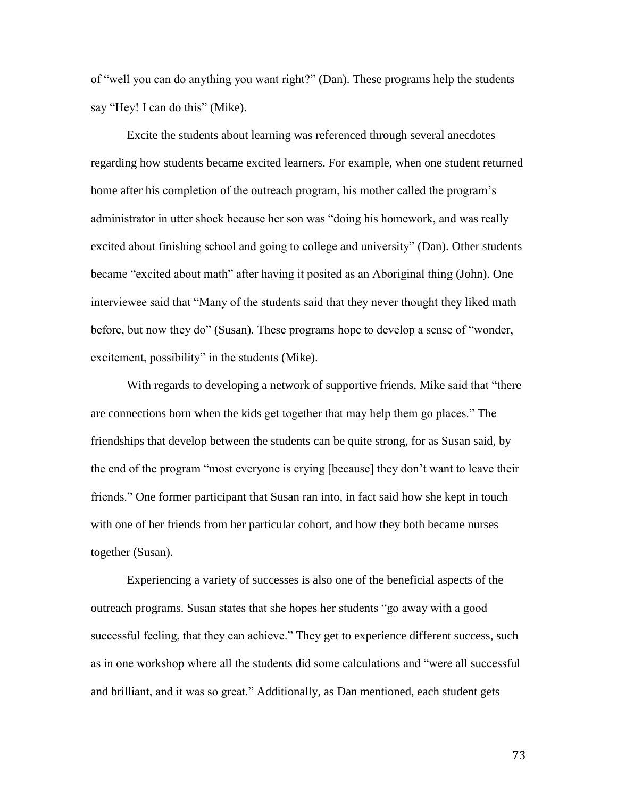of "well you can do anything you want right?" (Dan). These programs help the students say "Hey! I can do this" (Mike).

Excite the students about learning was referenced through several anecdotes regarding how students became excited learners. For example, when one student returned home after his completion of the outreach program, his mother called the program's administrator in utter shock because her son was "doing his homework, and was really excited about finishing school and going to college and university" (Dan). Other students became "excited about math" after having it posited as an Aboriginal thing (John). One interviewee said that "Many of the students said that they never thought they liked math before, but now they do" (Susan). These programs hope to develop a sense of "wonder, excitement, possibility" in the students (Mike).

With regards to developing a network of supportive friends, Mike said that "there are connections born when the kids get together that may help them go places." The friendships that develop between the students can be quite strong, for as Susan said, by the end of the program "most everyone is crying [because] they don't want to leave their friends." One former participant that Susan ran into, in fact said how she kept in touch with one of her friends from her particular cohort, and how they both became nurses together (Susan).

Experiencing a variety of successes is also one of the beneficial aspects of the outreach programs. Susan states that she hopes her students "go away with a good successful feeling, that they can achieve." They get to experience different success, such as in one workshop where all the students did some calculations and "were all successful and brilliant, and it was so great." Additionally, as Dan mentioned, each student gets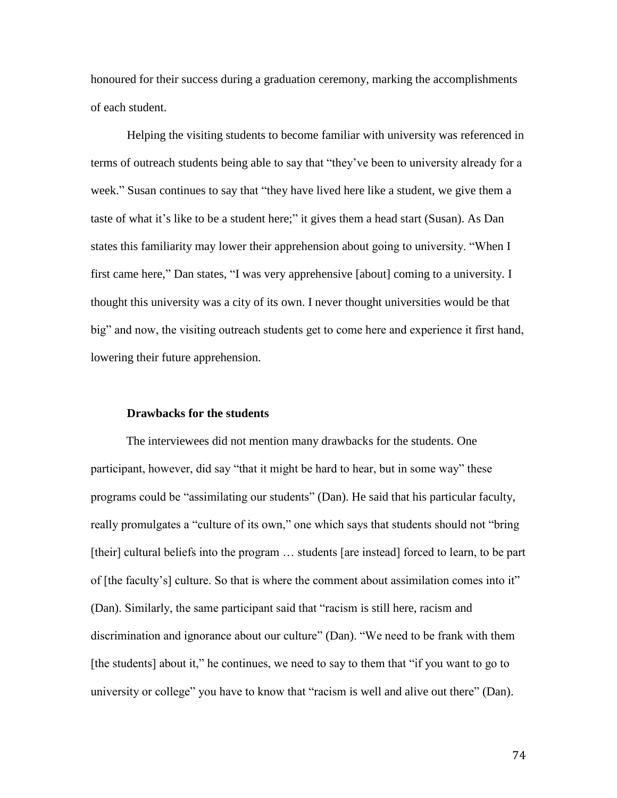honoured for their success during a graduation ceremony, marking the accomplishments of each student.

Helping the visiting students to become familiar with university was referenced in terms of outreach students being able to say that "they've been to university already for a week." Susan continues to say that "they have lived here like a student, we give them a taste of what it's like to be a student here;" it gives them a head start (Susan). As Dan states this familiarity may lower their apprehension about going to university. "When I first came here," Dan states, "I was very apprehensive [about] coming to a university. I thought this university was a city of its own. I never thought universities would be that big" and now, the visiting outreach students get to come here and experience it first hand, lowering their future apprehension.

#### **Drawbacks for the students**

The interviewees did not mention many drawbacks for the students. One participant, however, did say "that it might be hard to hear, but in some way" these programs could be "assimilating our students" (Dan). He said that his particular faculty, really promulgates a "culture of its own," one which says that students should not "bring [their] cultural beliefs into the program ... students [are instead] forced to learn, to be part of [the faculty's] culture. So that is where the comment about assimilation comes into it" (Dan). Similarly, the same participant said that "racism is still here, racism and discrimination and ignorance about our culture" (Dan). "We need to be frank with them [the students] about it," he continues, we need to say to them that "if you want to go to university or college" you have to know that "racism is well and alive out there" (Dan).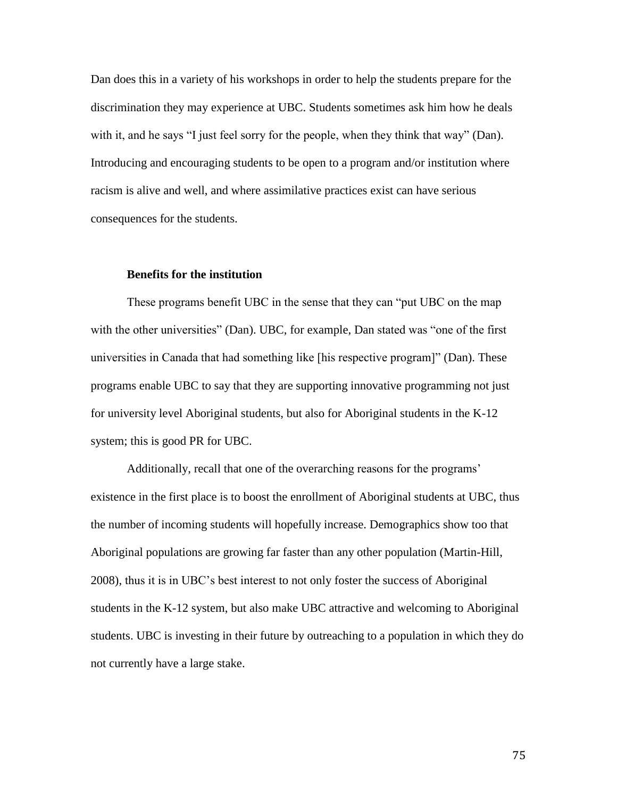Dan does this in a variety of his workshops in order to help the students prepare for the discrimination they may experience at UBC. Students sometimes ask him how he deals with it, and he says "I just feel sorry for the people, when they think that way" (Dan). Introducing and encouraging students to be open to a program and/or institution where racism is alive and well, and where assimilative practices exist can have serious consequences for the students.

### **Benefits for the institution**

These programs benefit UBC in the sense that they can "put UBC on the map with the other universities" (Dan). UBC, for example, Dan stated was "one of the first universities in Canada that had something like [his respective program]" (Dan). These programs enable UBC to say that they are supporting innovative programming not just for university level Aboriginal students, but also for Aboriginal students in the K-12 system; this is good PR for UBC.

Additionally, recall that one of the overarching reasons for the programs' existence in the first place is to boost the enrollment of Aboriginal students at UBC, thus the number of incoming students will hopefully increase. Demographics show too that Aboriginal populations are growing far faster than any other population (Martin-Hill, 2008), thus it is in UBC's best interest to not only foster the success of Aboriginal students in the K-12 system, but also make UBC attractive and welcoming to Aboriginal students. UBC is investing in their future by outreaching to a population in which they do not currently have a large stake.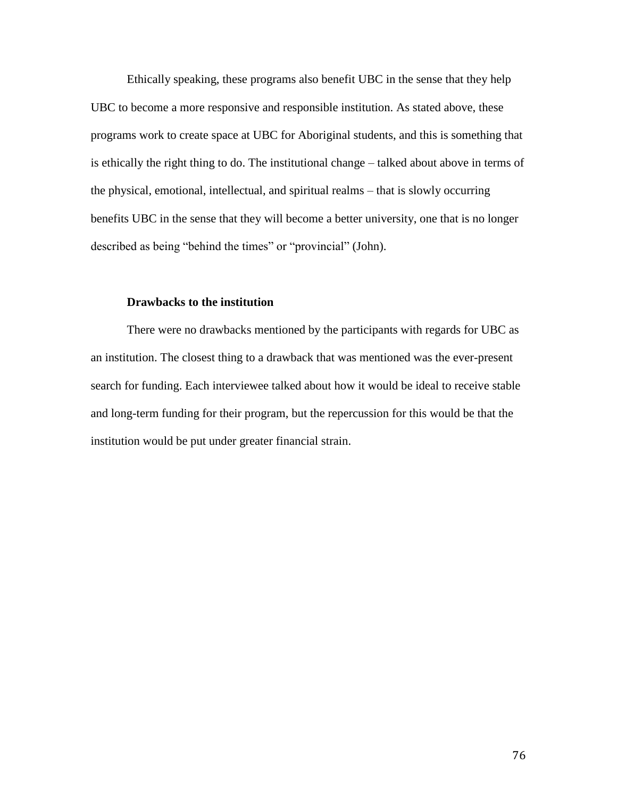Ethically speaking, these programs also benefit UBC in the sense that they help UBC to become a more responsive and responsible institution. As stated above, these programs work to create space at UBC for Aboriginal students, and this is something that is ethically the right thing to do. The institutional change – talked about above in terms of the physical, emotional, intellectual, and spiritual realms – that is slowly occurring benefits UBC in the sense that they will become a better university, one that is no longer described as being "behind the times" or "provincial" (John).

## **Drawbacks to the institution**

There were no drawbacks mentioned by the participants with regards for UBC as an institution. The closest thing to a drawback that was mentioned was the ever-present search for funding. Each interviewee talked about how it would be ideal to receive stable and long-term funding for their program, but the repercussion for this would be that the institution would be put under greater financial strain.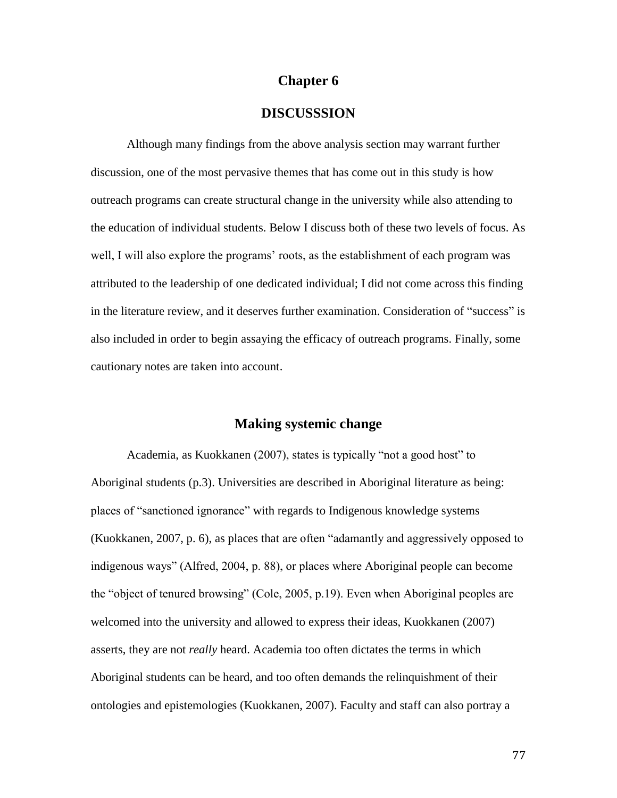## **Chapter 6**

## **DISCUSSSION**

Although many findings from the above analysis section may warrant further discussion, one of the most pervasive themes that has come out in this study is how outreach programs can create structural change in the university while also attending to the education of individual students. Below I discuss both of these two levels of focus. As well, I will also explore the programs' roots, as the establishment of each program was attributed to the leadership of one dedicated individual; I did not come across this finding in the literature review, and it deserves further examination. Consideration of "success" is also included in order to begin assaying the efficacy of outreach programs. Finally, some cautionary notes are taken into account.

## **Making systemic change**

Academia, as Kuokkanen (2007), states is typically "not a good host" to Aboriginal students (p.3). Universities are described in Aboriginal literature as being: places of "sanctioned ignorance" with regards to Indigenous knowledge systems (Kuokkanen, 2007, p. 6), as places that are often "adamantly and aggressively opposed to indigenous ways" (Alfred, 2004, p. 88), or places where Aboriginal people can become the "object of tenured browsing" (Cole, 2005, p.19). Even when Aboriginal peoples are welcomed into the university and allowed to express their ideas, Kuokkanen (2007) asserts, they are not *really* heard. Academia too often dictates the terms in which Aboriginal students can be heard, and too often demands the relinquishment of their ontologies and epistemologies (Kuokkanen, 2007). Faculty and staff can also portray a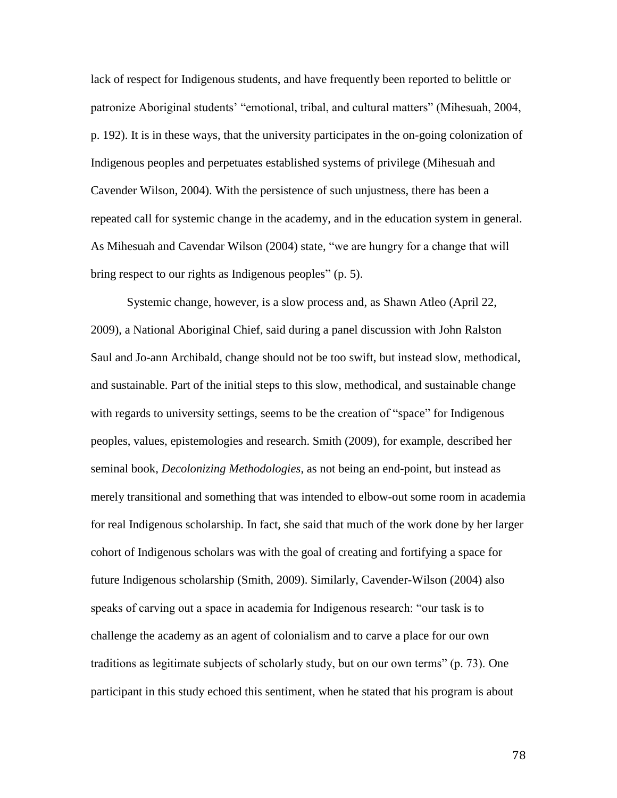lack of respect for Indigenous students, and have frequently been reported to belittle or patronize Aboriginal students' "emotional, tribal, and cultural matters" (Mihesuah, 2004, p. 192). It is in these ways, that the university participates in the on-going colonization of Indigenous peoples and perpetuates established systems of privilege (Mihesuah and Cavender Wilson, 2004). With the persistence of such unjustness, there has been a repeated call for systemic change in the academy, and in the education system in general. As Mihesuah and Cavendar Wilson (2004) state, "we are hungry for a change that will bring respect to our rights as Indigenous peoples" (p. 5).

Systemic change, however, is a slow process and, as Shawn Atleo (April 22, 2009), a National Aboriginal Chief, said during a panel discussion with John Ralston Saul and Jo-ann Archibald, change should not be too swift, but instead slow, methodical, and sustainable. Part of the initial steps to this slow, methodical, and sustainable change with regards to university settings, seems to be the creation of "space" for Indigenous peoples, values, epistemologies and research. Smith (2009), for example, described her seminal book, *Decolonizing Methodologies*, as not being an end-point, but instead as merely transitional and something that was intended to elbow-out some room in academia for real Indigenous scholarship. In fact, she said that much of the work done by her larger cohort of Indigenous scholars was with the goal of creating and fortifying a space for future Indigenous scholarship (Smith, 2009). Similarly, Cavender-Wilson (2004) also speaks of carving out a space in academia for Indigenous research: "our task is to challenge the academy as an agent of colonialism and to carve a place for our own traditions as legitimate subjects of scholarly study, but on our own terms" (p. 73). One participant in this study echoed this sentiment, when he stated that his program is about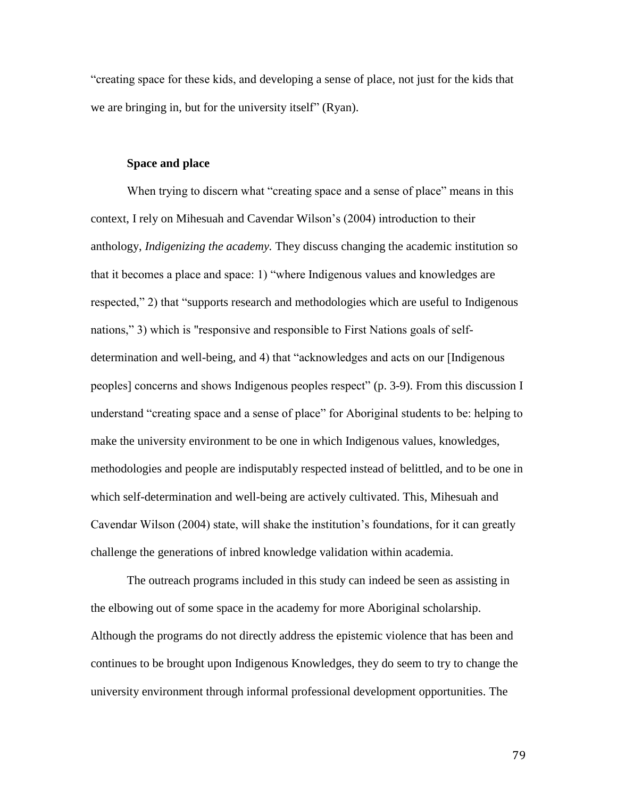"creating space for these kids, and developing a sense of place, not just for the kids that we are bringing in, but for the university itself" (Ryan).

### **Space and place**

When trying to discern what "creating space and a sense of place" means in this context, I rely on Mihesuah and Cavendar Wilson's (2004) introduction to their anthology, *Indigenizing the academy.* They discuss changing the academic institution so that it becomes a place and space: 1) "where Indigenous values and knowledges are respected," 2) that "supports research and methodologies which are useful to Indigenous nations," 3) which is "responsive and responsible to First Nations goals of selfdetermination and well-being, and 4) that "acknowledges and acts on our [Indigenous peoples] concerns and shows Indigenous peoples respect" (p. 3-9). From this discussion I understand "creating space and a sense of place" for Aboriginal students to be: helping to make the university environment to be one in which Indigenous values, knowledges, methodologies and people are indisputably respected instead of belittled, and to be one in which self-determination and well-being are actively cultivated. This, Mihesuah and Cavendar Wilson (2004) state, will shake the institution's foundations, for it can greatly challenge the generations of inbred knowledge validation within academia.

The outreach programs included in this study can indeed be seen as assisting in the elbowing out of some space in the academy for more Aboriginal scholarship. Although the programs do not directly address the epistemic violence that has been and continues to be brought upon Indigenous Knowledges, they do seem to try to change the university environment through informal professional development opportunities. The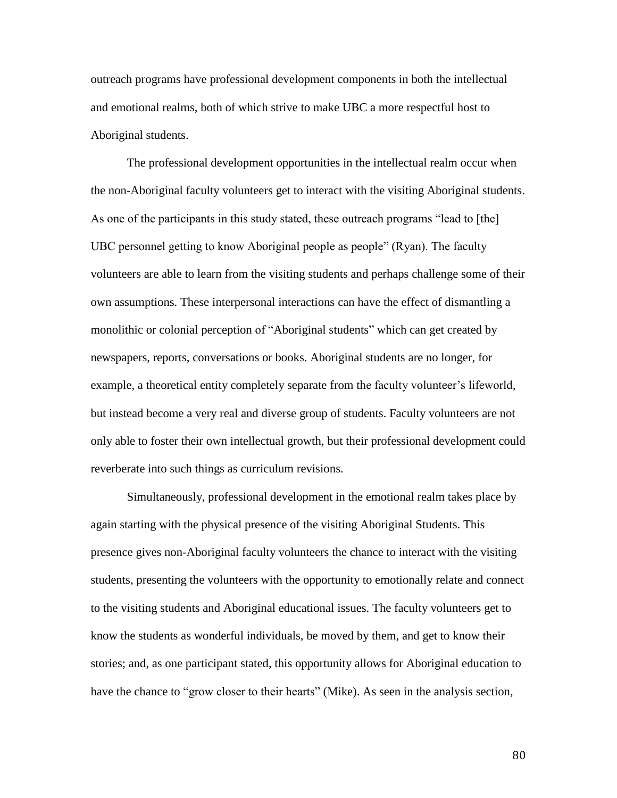outreach programs have professional development components in both the intellectual and emotional realms, both of which strive to make UBC a more respectful host to Aboriginal students.

The professional development opportunities in the intellectual realm occur when the non-Aboriginal faculty volunteers get to interact with the visiting Aboriginal students. As one of the participants in this study stated, these outreach programs "lead to [the] UBC personnel getting to know Aboriginal people as people" (Ryan). The faculty volunteers are able to learn from the visiting students and perhaps challenge some of their own assumptions. These interpersonal interactions can have the effect of dismantling a monolithic or colonial perception of "Aboriginal students" which can get created by newspapers, reports, conversations or books. Aboriginal students are no longer, for example, a theoretical entity completely separate from the faculty volunteer's lifeworld, but instead become a very real and diverse group of students. Faculty volunteers are not only able to foster their own intellectual growth, but their professional development could reverberate into such things as curriculum revisions.

Simultaneously, professional development in the emotional realm takes place by again starting with the physical presence of the visiting Aboriginal Students. This presence gives non-Aboriginal faculty volunteers the chance to interact with the visiting students, presenting the volunteers with the opportunity to emotionally relate and connect to the visiting students and Aboriginal educational issues. The faculty volunteers get to know the students as wonderful individuals, be moved by them, and get to know their stories; and, as one participant stated, this opportunity allows for Aboriginal education to have the chance to "grow closer to their hearts" (Mike). As seen in the analysis section,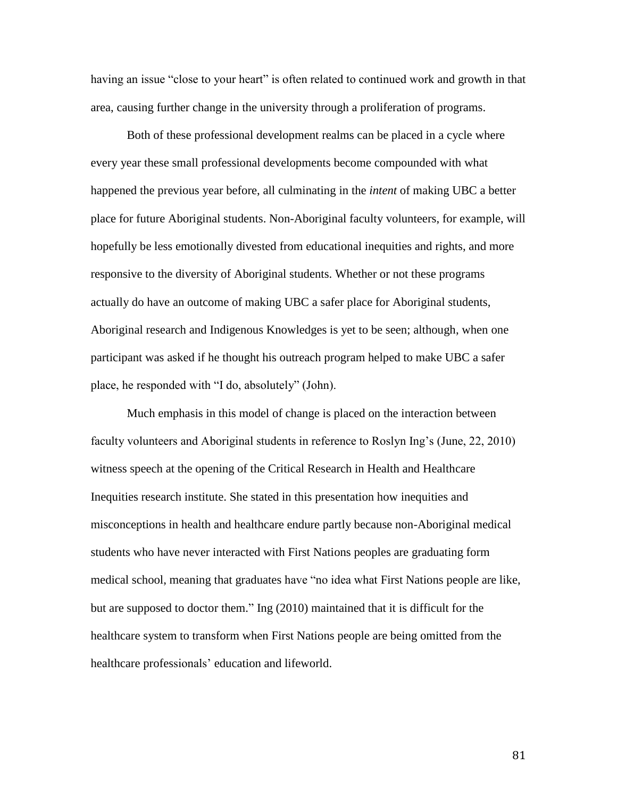having an issue "close to your heart" is often related to continued work and growth in that area, causing further change in the university through a proliferation of programs.

Both of these professional development realms can be placed in a cycle where every year these small professional developments become compounded with what happened the previous year before, all culminating in the *intent* of making UBC a better place for future Aboriginal students. Non-Aboriginal faculty volunteers, for example, will hopefully be less emotionally divested from educational inequities and rights, and more responsive to the diversity of Aboriginal students. Whether or not these programs actually do have an outcome of making UBC a safer place for Aboriginal students, Aboriginal research and Indigenous Knowledges is yet to be seen; although, when one participant was asked if he thought his outreach program helped to make UBC a safer place, he responded with "I do, absolutely" (John).

Much emphasis in this model of change is placed on the interaction between faculty volunteers and Aboriginal students in reference to Roslyn Ing's (June, 22, 2010) witness speech at the opening of the Critical Research in Health and Healthcare Inequities research institute. She stated in this presentation how inequities and misconceptions in health and healthcare endure partly because non-Aboriginal medical students who have never interacted with First Nations peoples are graduating form medical school, meaning that graduates have "no idea what First Nations people are like, but are supposed to doctor them." Ing (2010) maintained that it is difficult for the healthcare system to transform when First Nations people are being omitted from the healthcare professionals' education and lifeworld.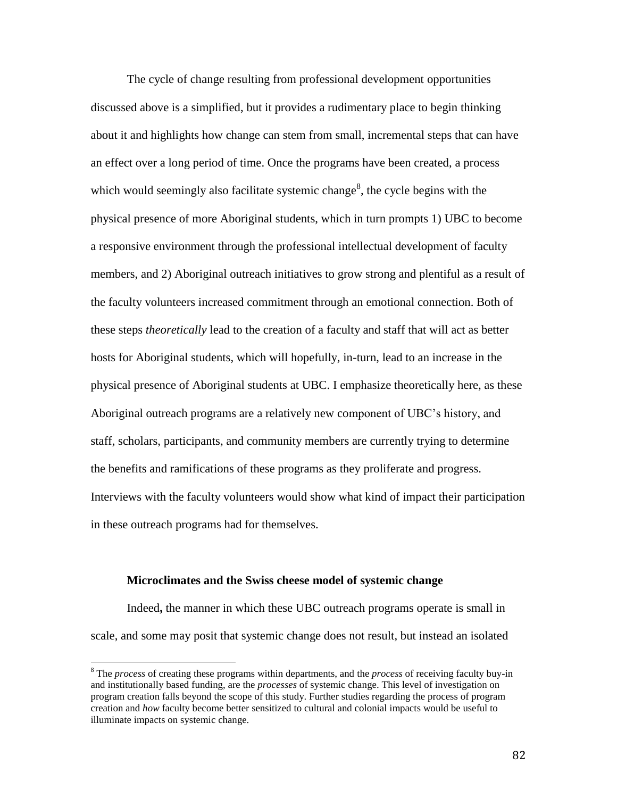The cycle of change resulting from professional development opportunities discussed above is a simplified, but it provides a rudimentary place to begin thinking about it and highlights how change can stem from small, incremental steps that can have an effect over a long period of time. Once the programs have been created, a process which would seemingly also facilitate systemic change $\delta$ , the cycle begins with the physical presence of more Aboriginal students, which in turn prompts 1) UBC to become a responsive environment through the professional intellectual development of faculty members, and 2) Aboriginal outreach initiatives to grow strong and plentiful as a result of the faculty volunteers increased commitment through an emotional connection. Both of these steps *theoretically* lead to the creation of a faculty and staff that will act as better hosts for Aboriginal students, which will hopefully, in-turn, lead to an increase in the physical presence of Aboriginal students at UBC. I emphasize theoretically here, as these Aboriginal outreach programs are a relatively new component of UBC's history, and staff, scholars, participants, and community members are currently trying to determine the benefits and ramifications of these programs as they proliferate and progress. Interviews with the faculty volunteers would show what kind of impact their participation in these outreach programs had for themselves.

#### **Microclimates and the Swiss cheese model of systemic change**

 $\overline{\phantom{a}}$ 

Indeed**,** the manner in which these UBC outreach programs operate is small in scale, and some may posit that systemic change does not result, but instead an isolated

<sup>8</sup> The *process* of creating these programs within departments, and the *process* of receiving faculty buy-in and institutionally based funding, are the *processes* of systemic change. This level of investigation on program creation falls beyond the scope of this study. Further studies regarding the process of program creation and *how* faculty become better sensitized to cultural and colonial impacts would be useful to illuminate impacts on systemic change.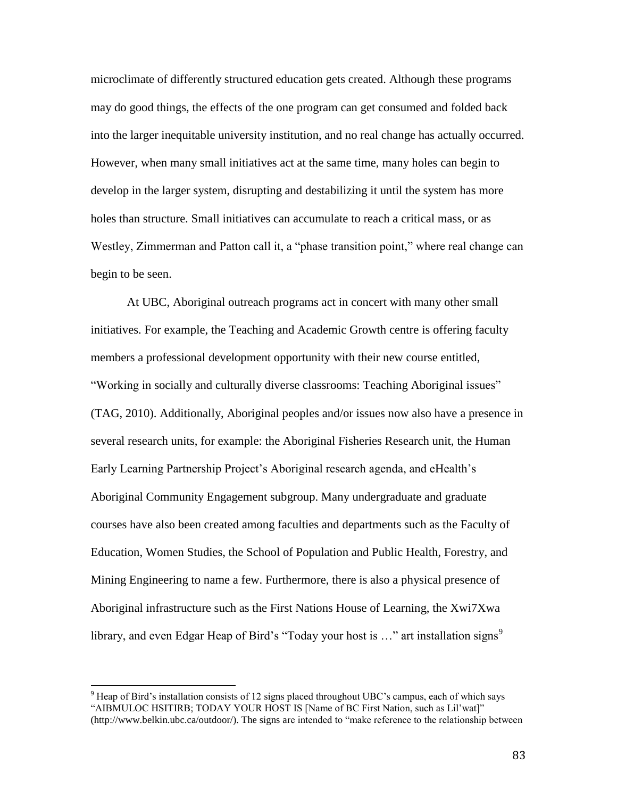microclimate of differently structured education gets created. Although these programs may do good things, the effects of the one program can get consumed and folded back into the larger inequitable university institution, and no real change has actually occurred. However, when many small initiatives act at the same time, many holes can begin to develop in the larger system, disrupting and destabilizing it until the system has more holes than structure. Small initiatives can accumulate to reach a critical mass, or as Westley, Zimmerman and Patton call it, a "phase transition point," where real change can begin to be seen.

At UBC, Aboriginal outreach programs act in concert with many other small initiatives. For example, the Teaching and Academic Growth centre is offering faculty members a professional development opportunity with their new course entitled, "Working in socially and culturally diverse classrooms: Teaching Aboriginal issues" (TAG, 2010). Additionally, Aboriginal peoples and/or issues now also have a presence in several research units, for example: the Aboriginal Fisheries Research unit, the Human Early Learning Partnership Project's Aboriginal research agenda, and eHealth's Aboriginal Community Engagement subgroup. Many undergraduate and graduate courses have also been created among faculties and departments such as the Faculty of Education, Women Studies, the School of Population and Public Health, Forestry, and Mining Engineering to name a few. Furthermore, there is also a physical presence of Aboriginal infrastructure such as the First Nations House of Learning, the Xwi7Xwa library, and even Edgar Heap of Bird's "Today your host is  $\ldots$ " art installation signs"

 $\overline{\phantom{a}}$ 

<sup>&</sup>lt;sup>9</sup> Heap of Bird's installation consists of 12 signs placed throughout UBC's campus, each of which says "AIBMULOC HSITIRB; TODAY YOUR HOST IS [Name of BC First Nation, such as Lil'wat]" (http://www.belkin.ubc.ca/outdoor/). The signs are intended to "make reference to the relationship between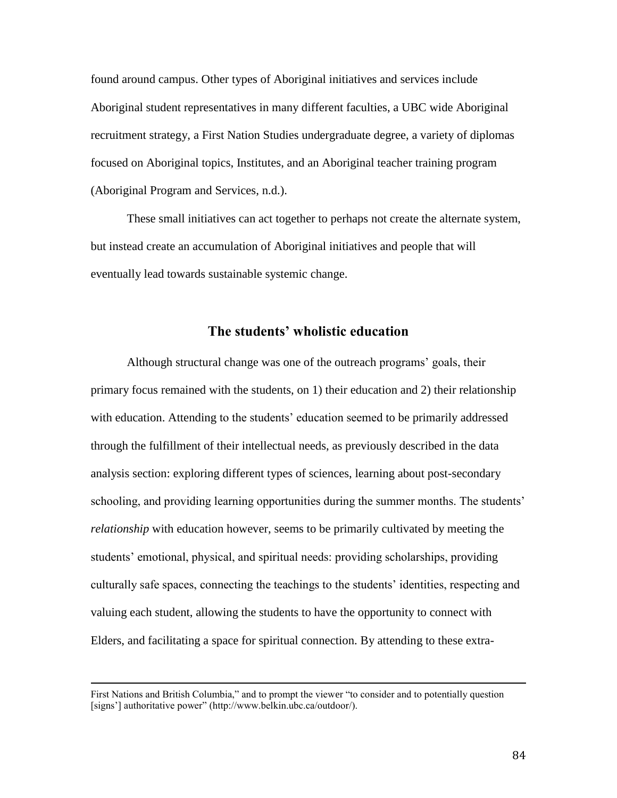found around campus. Other types of Aboriginal initiatives and services include Aboriginal student representatives in many different faculties, a UBC wide Aboriginal recruitment strategy, a First Nation Studies undergraduate degree, a variety of diplomas focused on Aboriginal topics, Institutes, and an Aboriginal teacher training program (Aboriginal Program and Services, n.d.).

These small initiatives can act together to perhaps not create the alternate system, but instead create an accumulation of Aboriginal initiatives and people that will eventually lead towards sustainable systemic change.

# **The students' wholistic education**

Although structural change was one of the outreach programs' goals, their primary focus remained with the students, on 1) their education and 2) their relationship with education. Attending to the students' education seemed to be primarily addressed through the fulfillment of their intellectual needs, as previously described in the data analysis section: exploring different types of sciences, learning about post-secondary schooling, and providing learning opportunities during the summer months. The students' *relationship* with education however, seems to be primarily cultivated by meeting the students' emotional, physical, and spiritual needs: providing scholarships, providing culturally safe spaces, connecting the teachings to the students' identities, respecting and valuing each student, allowing the students to have the opportunity to connect with Elders, and facilitating a space for spiritual connection. By attending to these extra-

 $\overline{\phantom{a}}$ 

First Nations and British Columbia," and to prompt the viewer "to consider and to potentially question [signs'] authoritative power" (http://www.belkin.ubc.ca/outdoor/).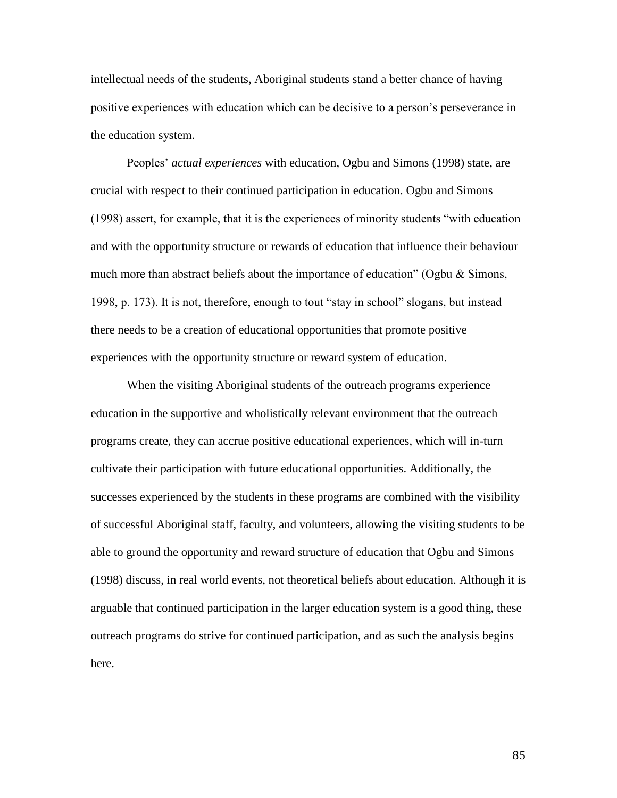intellectual needs of the students, Aboriginal students stand a better chance of having positive experiences with education which can be decisive to a person's perseverance in the education system.

Peoples' *actual experiences* with education, Ogbu and Simons (1998) state, are crucial with respect to their continued participation in education. Ogbu and Simons (1998) assert, for example, that it is the experiences of minority students "with education and with the opportunity structure or rewards of education that influence their behaviour much more than abstract beliefs about the importance of education" (Ogbu  $\&$  Simons, 1998, p. 173). It is not, therefore, enough to tout "stay in school" slogans, but instead there needs to be a creation of educational opportunities that promote positive experiences with the opportunity structure or reward system of education.

When the visiting Aboriginal students of the outreach programs experience education in the supportive and wholistically relevant environment that the outreach programs create, they can accrue positive educational experiences, which will in-turn cultivate their participation with future educational opportunities. Additionally, the successes experienced by the students in these programs are combined with the visibility of successful Aboriginal staff, faculty, and volunteers, allowing the visiting students to be able to ground the opportunity and reward structure of education that Ogbu and Simons (1998) discuss, in real world events, not theoretical beliefs about education. Although it is arguable that continued participation in the larger education system is a good thing, these outreach programs do strive for continued participation, and as such the analysis begins here.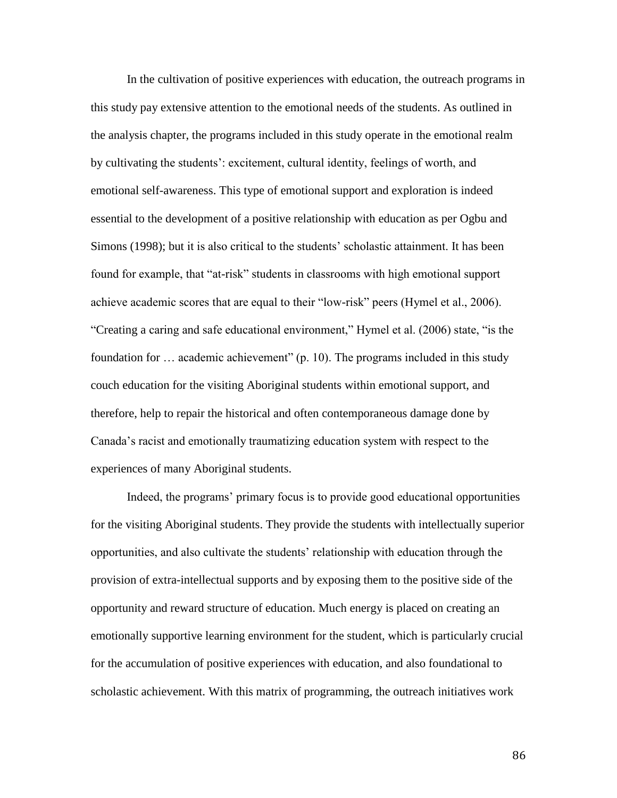In the cultivation of positive experiences with education, the outreach programs in this study pay extensive attention to the emotional needs of the students. As outlined in the analysis chapter, the programs included in this study operate in the emotional realm by cultivating the students': excitement, cultural identity, feelings of worth, and emotional self-awareness. This type of emotional support and exploration is indeed essential to the development of a positive relationship with education as per Ogbu and Simons (1998); but it is also critical to the students' scholastic attainment. It has been found for example, that "at-risk" students in classrooms with high emotional support achieve academic scores that are equal to their "low-risk" peers (Hymel et al., 2006). "Creating a caring and safe educational environment," Hymel et al. (2006) state, "is the foundation for … academic achievement" (p. 10). The programs included in this study couch education for the visiting Aboriginal students within emotional support, and therefore, help to repair the historical and often contemporaneous damage done by Canada's racist and emotionally traumatizing education system with respect to the experiences of many Aboriginal students.

Indeed, the programs' primary focus is to provide good educational opportunities for the visiting Aboriginal students. They provide the students with intellectually superior opportunities, and also cultivate the students' relationship with education through the provision of extra-intellectual supports and by exposing them to the positive side of the opportunity and reward structure of education. Much energy is placed on creating an emotionally supportive learning environment for the student, which is particularly crucial for the accumulation of positive experiences with education, and also foundational to scholastic achievement. With this matrix of programming, the outreach initiatives work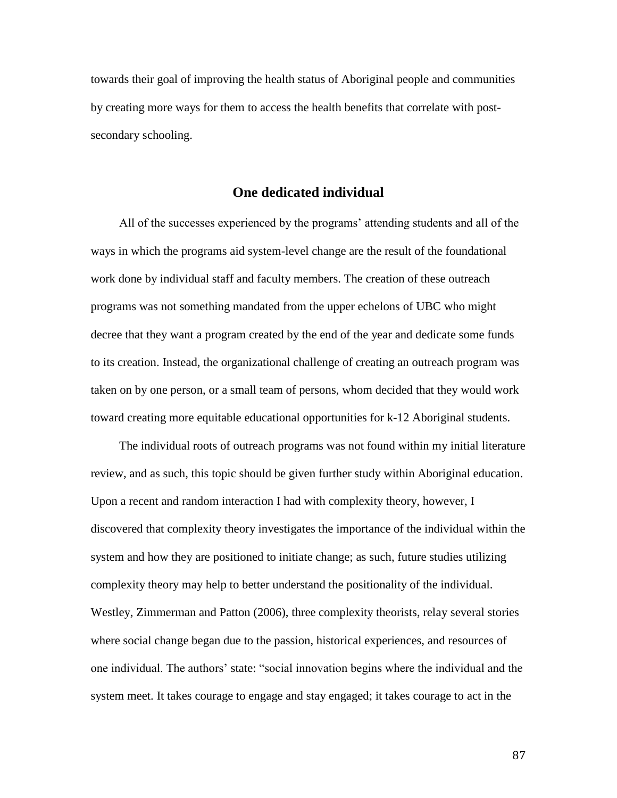towards their goal of improving the health status of Aboriginal people and communities by creating more ways for them to access the health benefits that correlate with postsecondary schooling.

## **One dedicated individual**

All of the successes experienced by the programs' attending students and all of the ways in which the programs aid system-level change are the result of the foundational work done by individual staff and faculty members. The creation of these outreach programs was not something mandated from the upper echelons of UBC who might decree that they want a program created by the end of the year and dedicate some funds to its creation. Instead, the organizational challenge of creating an outreach program was taken on by one person, or a small team of persons, whom decided that they would work toward creating more equitable educational opportunities for k-12 Aboriginal students.

The individual roots of outreach programs was not found within my initial literature review, and as such, this topic should be given further study within Aboriginal education. Upon a recent and random interaction I had with complexity theory, however, I discovered that complexity theory investigates the importance of the individual within the system and how they are positioned to initiate change; as such, future studies utilizing complexity theory may help to better understand the positionality of the individual. Westley, Zimmerman and Patton (2006), three complexity theorists, relay several stories where social change began due to the passion, historical experiences, and resources of one individual. The authors' state: "social innovation begins where the individual and the system meet. It takes courage to engage and stay engaged; it takes courage to act in the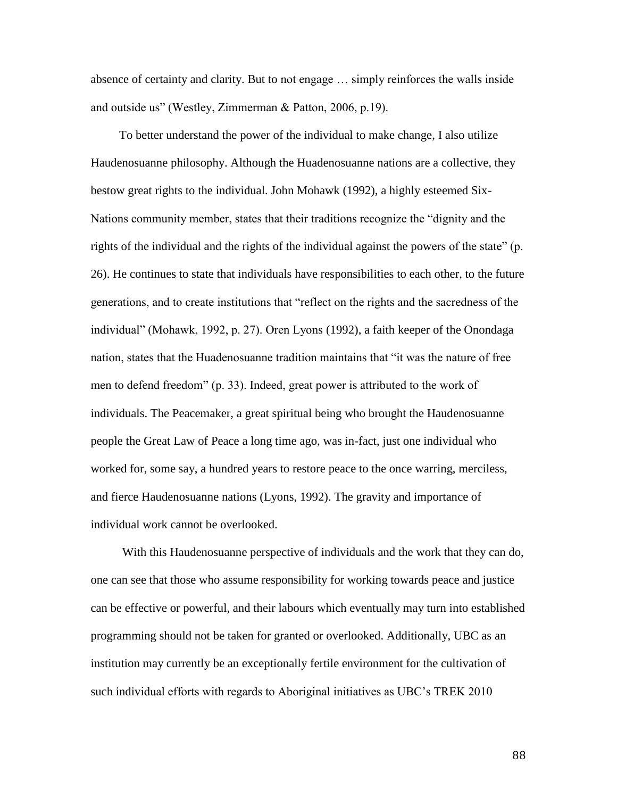absence of certainty and clarity. But to not engage … simply reinforces the walls inside and outside us" (Westley, Zimmerman & Patton, 2006, p.19).

To better understand the power of the individual to make change, I also utilize Haudenosuanne philosophy. Although the Huadenosuanne nations are a collective, they bestow great rights to the individual. John Mohawk (1992), a highly esteemed Six-Nations community member, states that their traditions recognize the "dignity and the rights of the individual and the rights of the individual against the powers of the state" (p. 26). He continues to state that individuals have responsibilities to each other, to the future generations, and to create institutions that "reflect on the rights and the sacredness of the individual" (Mohawk, 1992, p. 27). Oren Lyons (1992), a faith keeper of the Onondaga nation, states that the Huadenosuanne tradition maintains that "it was the nature of free men to defend freedom" (p. 33). Indeed, great power is attributed to the work of individuals. The Peacemaker, a great spiritual being who brought the Haudenosuanne people the Great Law of Peace a long time ago, was in-fact, just one individual who worked for, some say, a hundred years to restore peace to the once warring, merciless, and fierce Haudenosuanne nations (Lyons, 1992). The gravity and importance of individual work cannot be overlooked.

With this Haudenosuanne perspective of individuals and the work that they can do, one can see that those who assume responsibility for working towards peace and justice can be effective or powerful, and their labours which eventually may turn into established programming should not be taken for granted or overlooked. Additionally, UBC as an institution may currently be an exceptionally fertile environment for the cultivation of such individual efforts with regards to Aboriginal initiatives as UBC's TREK 2010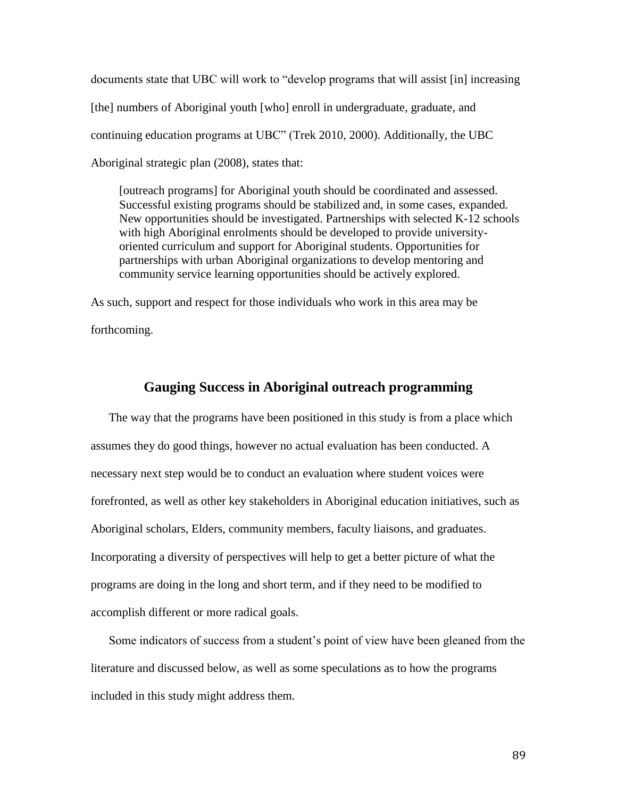documents state that UBC will work to "develop programs that will assist [in] increasing [the] numbers of Aboriginal youth [who] enroll in undergraduate, graduate, and continuing education programs at UBC" (Trek 2010, 2000). Additionally, the UBC Aboriginal strategic plan (2008), states that:

[outreach programs] for Aboriginal youth should be coordinated and assessed. Successful existing programs should be stabilized and, in some cases, expanded. New opportunities should be investigated. Partnerships with selected K-12 schools with high Aboriginal enrolments should be developed to provide universityoriented curriculum and support for Aboriginal students. Opportunities for partnerships with urban Aboriginal organizations to develop mentoring and community service learning opportunities should be actively explored.

As such, support and respect for those individuals who work in this area may be forthcoming.

## **Gauging Success in Aboriginal outreach programming**

The way that the programs have been positioned in this study is from a place which assumes they do good things, however no actual evaluation has been conducted. A necessary next step would be to conduct an evaluation where student voices were forefronted, as well as other key stakeholders in Aboriginal education initiatives, such as Aboriginal scholars, Elders, community members, faculty liaisons, and graduates. Incorporating a diversity of perspectives will help to get a better picture of what the programs are doing in the long and short term, and if they need to be modified to accomplish different or more radical goals.

Some indicators of success from a student's point of view have been gleaned from the literature and discussed below, as well as some speculations as to how the programs included in this study might address them.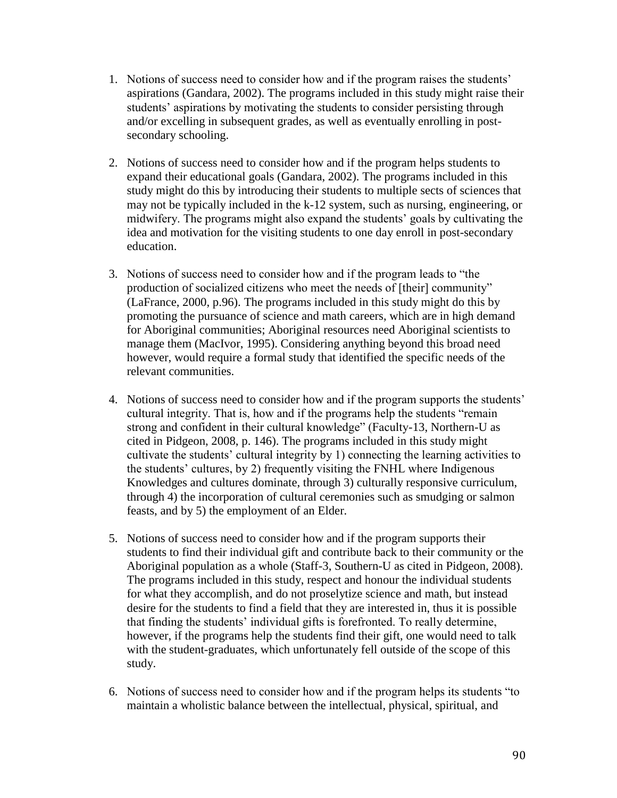- 1. Notions of success need to consider how and if the program raises the students' aspirations (Gandara, 2002). The programs included in this study might raise their students' aspirations by motivating the students to consider persisting through and/or excelling in subsequent grades, as well as eventually enrolling in postsecondary schooling.
- 2. Notions of success need to consider how and if the program helps students to expand their educational goals (Gandara, 2002). The programs included in this study might do this by introducing their students to multiple sects of sciences that may not be typically included in the k-12 system, such as nursing, engineering, or midwifery. The programs might also expand the students' goals by cultivating the idea and motivation for the visiting students to one day enroll in post-secondary education.
- 3. Notions of success need to consider how and if the program leads to "the production of socialized citizens who meet the needs of [their] community" (LaFrance, 2000, p.96). The programs included in this study might do this by promoting the pursuance of science and math careers, which are in high demand for Aboriginal communities; Aboriginal resources need Aboriginal scientists to manage them (MacIvor, 1995). Considering anything beyond this broad need however, would require a formal study that identified the specific needs of the relevant communities.
- 4. Notions of success need to consider how and if the program supports the students' cultural integrity. That is, how and if the programs help the students "remain strong and confident in their cultural knowledge" (Faculty-13, Northern-U as cited in Pidgeon, 2008, p. 146). The programs included in this study might cultivate the students' cultural integrity by 1) connecting the learning activities to the students' cultures, by 2) frequently visiting the FNHL where Indigenous Knowledges and cultures dominate, through 3) culturally responsive curriculum, through 4) the incorporation of cultural ceremonies such as smudging or salmon feasts, and by 5) the employment of an Elder.
- 5. Notions of success need to consider how and if the program supports their students to find their individual gift and contribute back to their community or the Aboriginal population as a whole (Staff-3, Southern-U as cited in Pidgeon, 2008). The programs included in this study, respect and honour the individual students for what they accomplish, and do not proselytize science and math, but instead desire for the students to find a field that they are interested in, thus it is possible that finding the students' individual gifts is forefronted. To really determine, however, if the programs help the students find their gift, one would need to talk with the student-graduates, which unfortunately fell outside of the scope of this study.
- 6. Notions of success need to consider how and if the program helps its students "to maintain a wholistic balance between the intellectual, physical, spiritual, and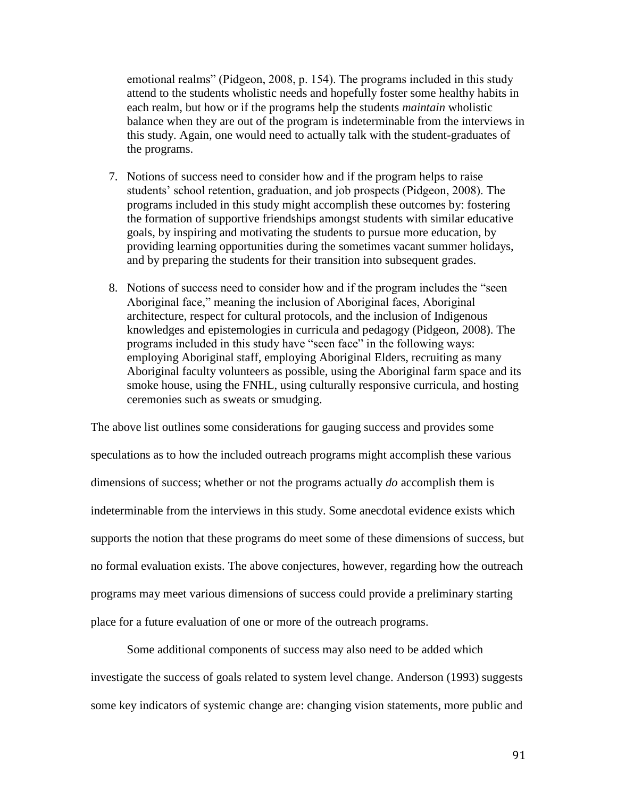emotional realms" (Pidgeon, 2008, p. 154). The programs included in this study attend to the students wholistic needs and hopefully foster some healthy habits in each realm, but how or if the programs help the students *maintain* wholistic balance when they are out of the program is indeterminable from the interviews in this study. Again, one would need to actually talk with the student-graduates of the programs.

- 7. Notions of success need to consider how and if the program helps to raise students' school retention, graduation, and job prospects (Pidgeon, 2008). The programs included in this study might accomplish these outcomes by: fostering the formation of supportive friendships amongst students with similar educative goals, by inspiring and motivating the students to pursue more education, by providing learning opportunities during the sometimes vacant summer holidays, and by preparing the students for their transition into subsequent grades.
- 8. Notions of success need to consider how and if the program includes the "seen Aboriginal face," meaning the inclusion of Aboriginal faces, Aboriginal architecture, respect for cultural protocols, and the inclusion of Indigenous knowledges and epistemologies in curricula and pedagogy (Pidgeon, 2008). The programs included in this study have "seen face" in the following ways: employing Aboriginal staff, employing Aboriginal Elders, recruiting as many Aboriginal faculty volunteers as possible, using the Aboriginal farm space and its smoke house, using the FNHL, using culturally responsive curricula, and hosting ceremonies such as sweats or smudging.

The above list outlines some considerations for gauging success and provides some speculations as to how the included outreach programs might accomplish these various dimensions of success; whether or not the programs actually *do* accomplish them is indeterminable from the interviews in this study. Some anecdotal evidence exists which supports the notion that these programs do meet some of these dimensions of success, but no formal evaluation exists. The above conjectures, however, regarding how the outreach programs may meet various dimensions of success could provide a preliminary starting place for a future evaluation of one or more of the outreach programs.

Some additional components of success may also need to be added which investigate the success of goals related to system level change. Anderson (1993) suggests some key indicators of systemic change are: changing vision statements, more public and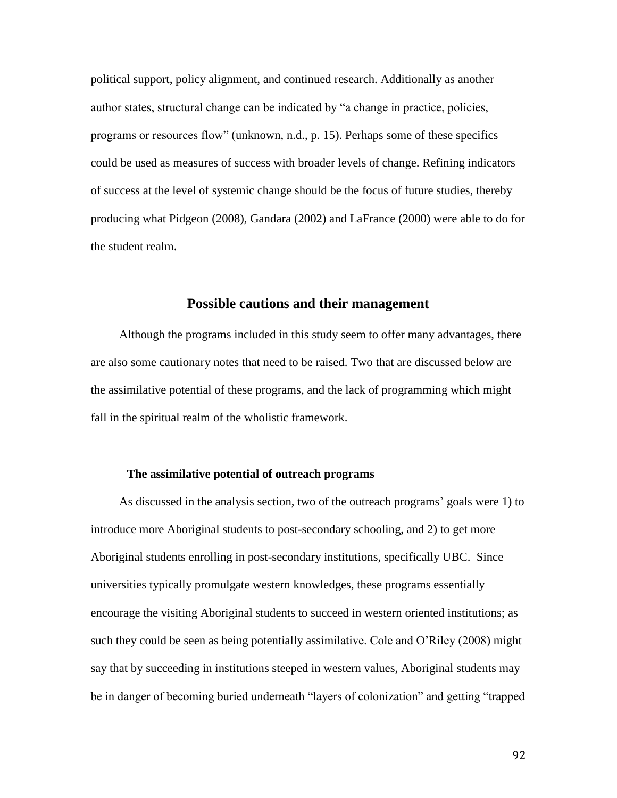political support, policy alignment, and continued research. Additionally as another author states, structural change can be indicated by "a change in practice, policies, programs or resources flow" (unknown, n.d., p. 15). Perhaps some of these specifics could be used as measures of success with broader levels of change. Refining indicators of success at the level of systemic change should be the focus of future studies, thereby producing what Pidgeon (2008), Gandara (2002) and LaFrance (2000) were able to do for the student realm.

## **Possible cautions and their management**

Although the programs included in this study seem to offer many advantages, there are also some cautionary notes that need to be raised. Two that are discussed below are the assimilative potential of these programs, and the lack of programming which might fall in the spiritual realm of the wholistic framework.

#### **The assimilative potential of outreach programs**

As discussed in the analysis section, two of the outreach programs' goals were 1) to introduce more Aboriginal students to post-secondary schooling, and 2) to get more Aboriginal students enrolling in post-secondary institutions, specifically UBC. Since universities typically promulgate western knowledges, these programs essentially encourage the visiting Aboriginal students to succeed in western oriented institutions; as such they could be seen as being potentially assimilative. Cole and O'Riley (2008) might say that by succeeding in institutions steeped in western values, Aboriginal students may be in danger of becoming buried underneath "layers of colonization" and getting "trapped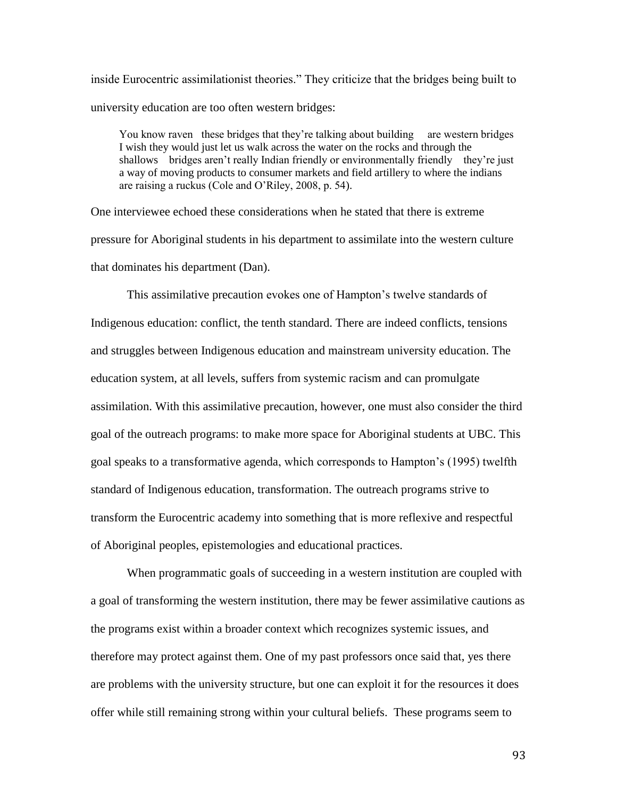inside Eurocentric assimilationist theories." They criticize that the bridges being built to university education are too often western bridges:

You know raven these bridges that they're talking about building are western bridges I wish they would just let us walk across the water on the rocks and through the shallows bridges aren't really Indian friendly or environmentally friendly they're just a way of moving products to consumer markets and field artillery to where the indians are raising a ruckus (Cole and O'Riley, 2008, p. 54).

One interviewee echoed these considerations when he stated that there is extreme pressure for Aboriginal students in his department to assimilate into the western culture that dominates his department (Dan).

This assimilative precaution evokes one of Hampton's twelve standards of Indigenous education: conflict, the tenth standard. There are indeed conflicts, tensions and struggles between Indigenous education and mainstream university education. The education system, at all levels, suffers from systemic racism and can promulgate assimilation. With this assimilative precaution, however, one must also consider the third goal of the outreach programs: to make more space for Aboriginal students at UBC. This goal speaks to a transformative agenda, which corresponds to Hampton's (1995) twelfth standard of Indigenous education, transformation. The outreach programs strive to transform the Eurocentric academy into something that is more reflexive and respectful of Aboriginal peoples, epistemologies and educational practices.

When programmatic goals of succeeding in a western institution are coupled with a goal of transforming the western institution, there may be fewer assimilative cautions as the programs exist within a broader context which recognizes systemic issues, and therefore may protect against them. One of my past professors once said that, yes there are problems with the university structure, but one can exploit it for the resources it does offer while still remaining strong within your cultural beliefs. These programs seem to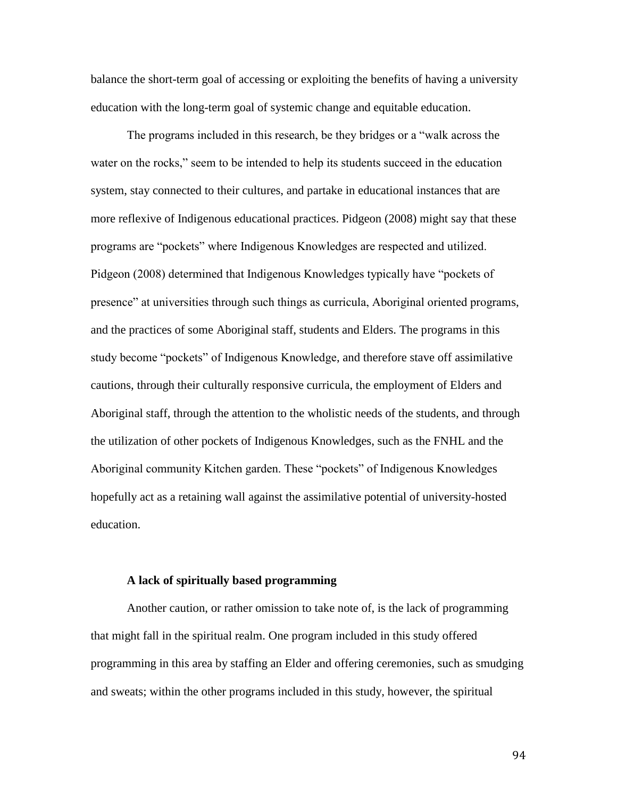balance the short-term goal of accessing or exploiting the benefits of having a university education with the long-term goal of systemic change and equitable education.

The programs included in this research, be they bridges or a "walk across the water on the rocks," seem to be intended to help its students succeed in the education system, stay connected to their cultures, and partake in educational instances that are more reflexive of Indigenous educational practices. Pidgeon (2008) might say that these programs are "pockets" where Indigenous Knowledges are respected and utilized. Pidgeon (2008) determined that Indigenous Knowledges typically have "pockets of presence" at universities through such things as curricula, Aboriginal oriented programs, and the practices of some Aboriginal staff, students and Elders. The programs in this study become "pockets" of Indigenous Knowledge, and therefore stave off assimilative cautions, through their culturally responsive curricula, the employment of Elders and Aboriginal staff, through the attention to the wholistic needs of the students, and through the utilization of other pockets of Indigenous Knowledges, such as the FNHL and the Aboriginal community Kitchen garden. These "pockets" of Indigenous Knowledges hopefully act as a retaining wall against the assimilative potential of university-hosted education.

#### **A lack of spiritually based programming**

Another caution, or rather omission to take note of, is the lack of programming that might fall in the spiritual realm. One program included in this study offered programming in this area by staffing an Elder and offering ceremonies, such as smudging and sweats; within the other programs included in this study, however, the spiritual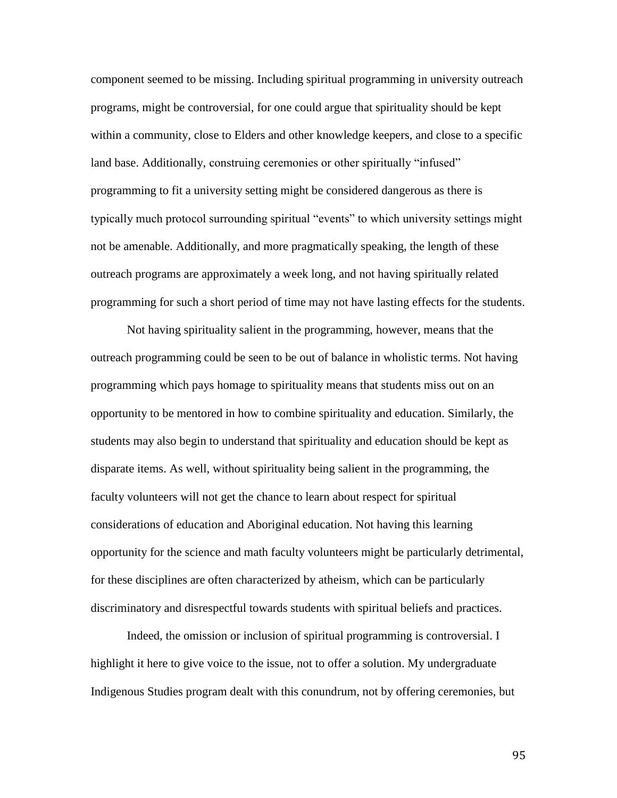component seemed to be missing. Including spiritual programming in university outreach programs, might be controversial, for one could argue that spirituality should be kept within a community, close to Elders and other knowledge keepers, and close to a specific land base. Additionally, construing ceremonies or other spiritually "infused" programming to fit a university setting might be considered dangerous as there is typically much protocol surrounding spiritual "events" to which university settings might not be amenable. Additionally, and more pragmatically speaking, the length of these outreach programs are approximately a week long, and not having spiritually related programming for such a short period of time may not have lasting effects for the students.

Not having spirituality salient in the programming, however, means that the outreach programming could be seen to be out of balance in wholistic terms. Not having programming which pays homage to spirituality means that students miss out on an opportunity to be mentored in how to combine spirituality and education. Similarly, the students may also begin to understand that spirituality and education should be kept as disparate items. As well, without spirituality being salient in the programming, the faculty volunteers will not get the chance to learn about respect for spiritual considerations of education and Aboriginal education. Not having this learning opportunity for the science and math faculty volunteers might be particularly detrimental, for these disciplines are often characterized by atheism, which can be particularly discriminatory and disrespectful towards students with spiritual beliefs and practices.

Indeed, the omission or inclusion of spiritual programming is controversial. I highlight it here to give voice to the issue, not to offer a solution. My undergraduate Indigenous Studies program dealt with this conundrum, not by offering ceremonies, but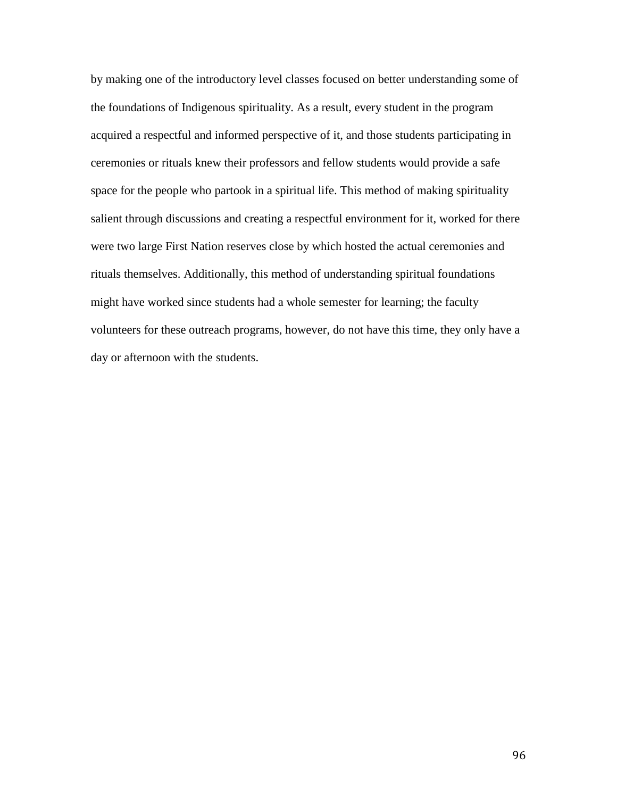by making one of the introductory level classes focused on better understanding some of the foundations of Indigenous spirituality. As a result, every student in the program acquired a respectful and informed perspective of it, and those students participating in ceremonies or rituals knew their professors and fellow students would provide a safe space for the people who partook in a spiritual life. This method of making spirituality salient through discussions and creating a respectful environment for it, worked for there were two large First Nation reserves close by which hosted the actual ceremonies and rituals themselves. Additionally, this method of understanding spiritual foundations might have worked since students had a whole semester for learning; the faculty volunteers for these outreach programs, however, do not have this time, they only have a day or afternoon with the students.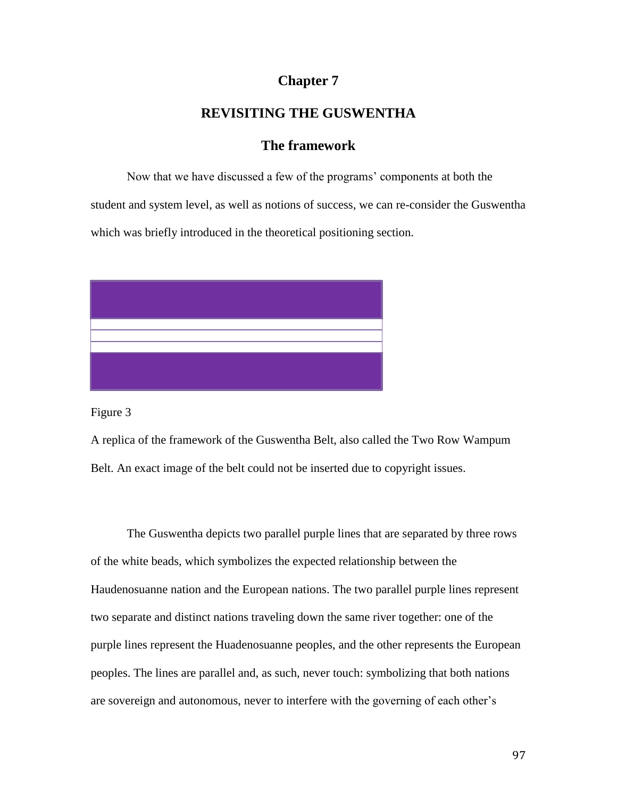# **Chapter 7**

# **REVISITING THE GUSWENTHA**

# **The framework**

Now that we have discussed a few of the programs' components at both the student and system level, as well as notions of success, we can re-consider the Guswentha which was briefly introduced in the theoretical positioning section.



Figure 3

A replica of the framework of the Guswentha Belt, also called the Two Row Wampum Belt. An exact image of the belt could not be inserted due to copyright issues.

The Guswentha depicts two parallel purple lines that are separated by three rows of the white beads, which symbolizes the expected relationship between the Haudenosuanne nation and the European nations. The two parallel purple lines represent two separate and distinct nations traveling down the same river together: one of the purple lines represent the Huadenosuanne peoples, and the other represents the European peoples. The lines are parallel and, as such, never touch: symbolizing that both nations are sovereign and autonomous, never to interfere with the governing of each other's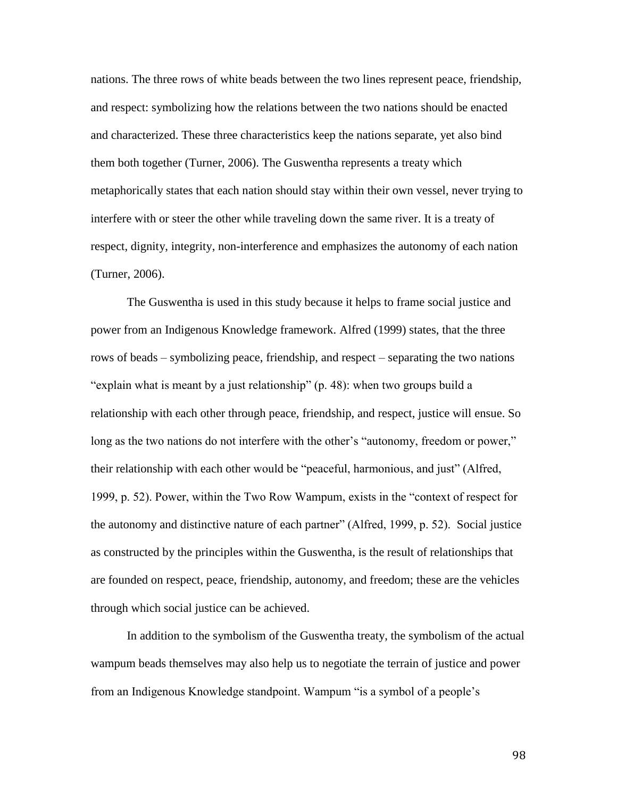nations. The three rows of white beads between the two lines represent peace, friendship, and respect: symbolizing how the relations between the two nations should be enacted and characterized. These three characteristics keep the nations separate, yet also bind them both together (Turner, 2006). The Guswentha represents a treaty which metaphorically states that each nation should stay within their own vessel, never trying to interfere with or steer the other while traveling down the same river. It is a treaty of respect, dignity, integrity, non-interference and emphasizes the autonomy of each nation (Turner, 2006).

The Guswentha is used in this study because it helps to frame social justice and power from an Indigenous Knowledge framework. Alfred (1999) states, that the three rows of beads – symbolizing peace, friendship, and respect – separating the two nations "explain what is meant by a just relationship" (p. 48): when two groups build a relationship with each other through peace, friendship, and respect, justice will ensue. So long as the two nations do not interfere with the other's "autonomy, freedom or power," their relationship with each other would be "peaceful, harmonious, and just" (Alfred, 1999, p. 52). Power, within the Two Row Wampum, exists in the "context of respect for the autonomy and distinctive nature of each partner" (Alfred, 1999, p. 52). Social justice as constructed by the principles within the Guswentha, is the result of relationships that are founded on respect, peace, friendship, autonomy, and freedom; these are the vehicles through which social justice can be achieved.

In addition to the symbolism of the Guswentha treaty, the symbolism of the actual wampum beads themselves may also help us to negotiate the terrain of justice and power from an Indigenous Knowledge standpoint. Wampum "is a symbol of a people's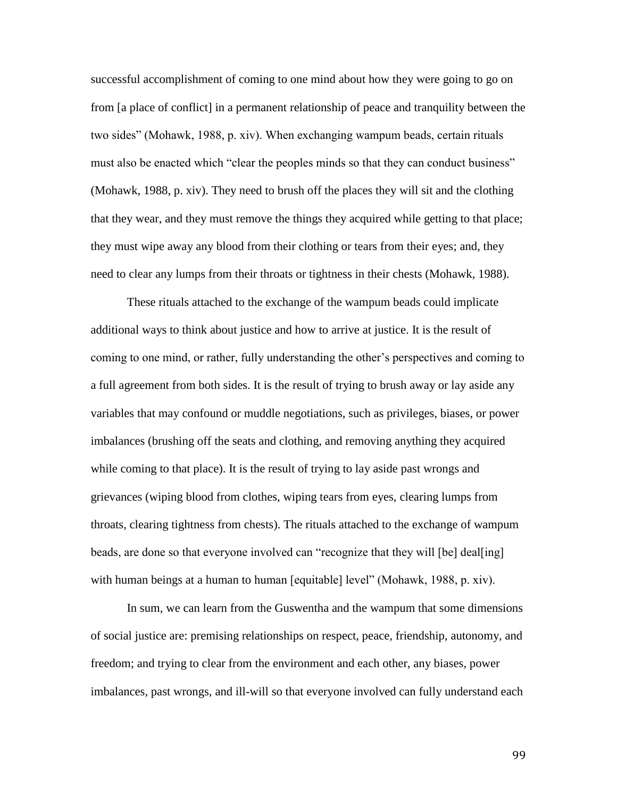successful accomplishment of coming to one mind about how they were going to go on from [a place of conflict] in a permanent relationship of peace and tranquility between the two sides" (Mohawk, 1988, p. xiv). When exchanging wampum beads, certain rituals must also be enacted which "clear the peoples minds so that they can conduct business" (Mohawk, 1988, p. xiv). They need to brush off the places they will sit and the clothing that they wear, and they must remove the things they acquired while getting to that place; they must wipe away any blood from their clothing or tears from their eyes; and, they need to clear any lumps from their throats or tightness in their chests (Mohawk, 1988).

These rituals attached to the exchange of the wampum beads could implicate additional ways to think about justice and how to arrive at justice. It is the result of coming to one mind, or rather, fully understanding the other's perspectives and coming to a full agreement from both sides. It is the result of trying to brush away or lay aside any variables that may confound or muddle negotiations, such as privileges, biases, or power imbalances (brushing off the seats and clothing, and removing anything they acquired while coming to that place). It is the result of trying to lay aside past wrongs and grievances (wiping blood from clothes, wiping tears from eyes, clearing lumps from throats, clearing tightness from chests). The rituals attached to the exchange of wampum beads, are done so that everyone involved can "recognize that they will [be] deal[ing] with human beings at a human to human [equitable] level" (Mohawk, 1988, p. xiv).

In sum, we can learn from the Guswentha and the wampum that some dimensions of social justice are: premising relationships on respect, peace, friendship, autonomy, and freedom; and trying to clear from the environment and each other, any biases, power imbalances, past wrongs, and ill-will so that everyone involved can fully understand each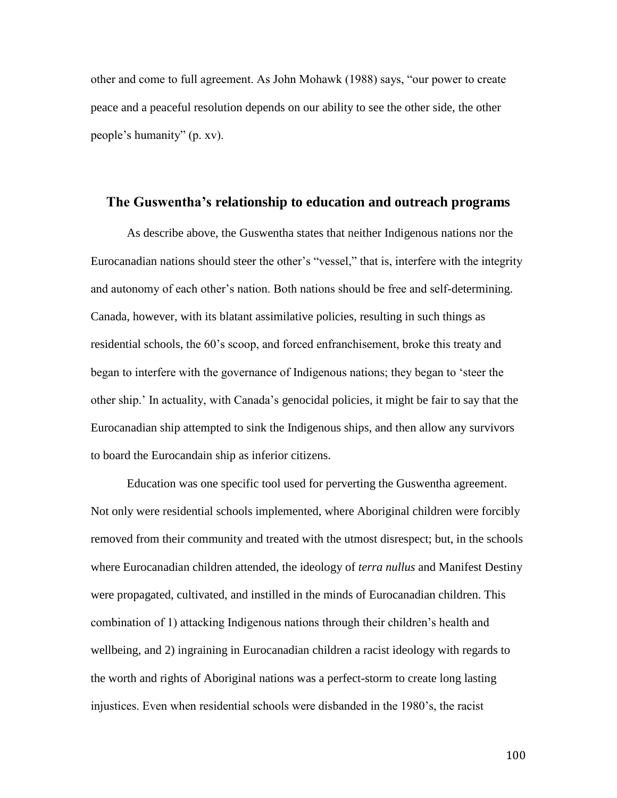other and come to full agreement. As John Mohawk (1988) says, "our power to create peace and a peaceful resolution depends on our ability to see the other side, the other people's humanity" (p. xv).

#### **The Guswentha's relationship to education and outreach programs**

As describe above, the Guswentha states that neither Indigenous nations nor the Eurocanadian nations should steer the other's "vessel," that is, interfere with the integrity and autonomy of each other's nation. Both nations should be free and self-determining. Canada, however, with its blatant assimilative policies, resulting in such things as residential schools, the 60's scoop, and forced enfranchisement, broke this treaty and began to interfere with the governance of Indigenous nations; they began to 'steer the other ship.' In actuality, with Canada's genocidal policies, it might be fair to say that the Eurocanadian ship attempted to sink the Indigenous ships, and then allow any survivors to board the Eurocandain ship as inferior citizens.

Education was one specific tool used for perverting the Guswentha agreement. Not only were residential schools implemented, where Aboriginal children were forcibly removed from their community and treated with the utmost disrespect; but, in the schools where Eurocanadian children attended, the ideology of *terra nullus* and Manifest Destiny were propagated, cultivated, and instilled in the minds of Eurocanadian children. This combination of 1) attacking Indigenous nations through their children's health and wellbeing, and 2) ingraining in Eurocanadian children a racist ideology with regards to the worth and rights of Aboriginal nations was a perfect-storm to create long lasting injustices. Even when residential schools were disbanded in the 1980's, the racist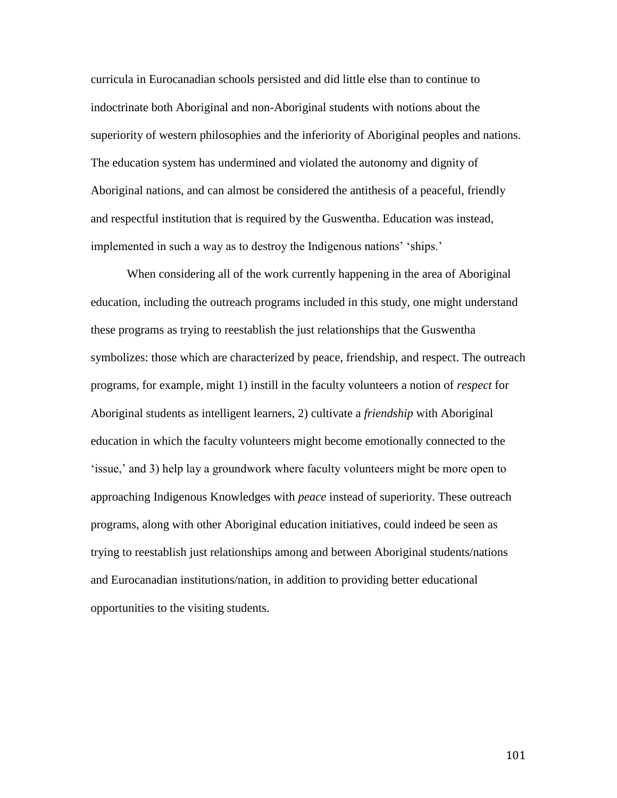curricula in Eurocanadian schools persisted and did little else than to continue to indoctrinate both Aboriginal and non-Aboriginal students with notions about the superiority of western philosophies and the inferiority of Aboriginal peoples and nations. The education system has undermined and violated the autonomy and dignity of Aboriginal nations, and can almost be considered the antithesis of a peaceful, friendly and respectful institution that is required by the Guswentha. Education was instead, implemented in such a way as to destroy the Indigenous nations' 'ships.'

When considering all of the work currently happening in the area of Aboriginal education, including the outreach programs included in this study, one might understand these programs as trying to reestablish the just relationships that the Guswentha symbolizes: those which are characterized by peace, friendship, and respect. The outreach programs, for example, might 1) instill in the faculty volunteers a notion of *respect* for Aboriginal students as intelligent learners, 2) cultivate a *friendship* with Aboriginal education in which the faculty volunteers might become emotionally connected to the 'issue,' and 3) help lay a groundwork where faculty volunteers might be more open to approaching Indigenous Knowledges with *peace* instead of superiority. These outreach programs, along with other Aboriginal education initiatives, could indeed be seen as trying to reestablish just relationships among and between Aboriginal students/nations and Eurocanadian institutions/nation, in addition to providing better educational opportunities to the visiting students.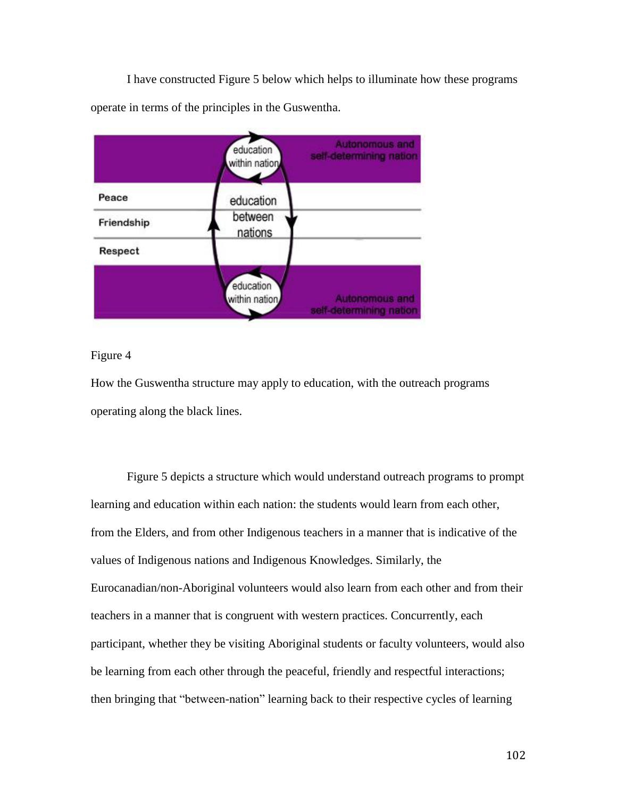I have constructed Figure 5 below which helps to illuminate how these programs operate in terms of the principles in the Guswentha.



### Figure 4

How the Guswentha structure may apply to education, with the outreach programs operating along the black lines.

Figure 5 depicts a structure which would understand outreach programs to prompt learning and education within each nation: the students would learn from each other, from the Elders, and from other Indigenous teachers in a manner that is indicative of the values of Indigenous nations and Indigenous Knowledges. Similarly, the Eurocanadian/non-Aboriginal volunteers would also learn from each other and from their teachers in a manner that is congruent with western practices. Concurrently, each participant, whether they be visiting Aboriginal students or faculty volunteers, would also be learning from each other through the peaceful, friendly and respectful interactions; then bringing that "between-nation" learning back to their respective cycles of learning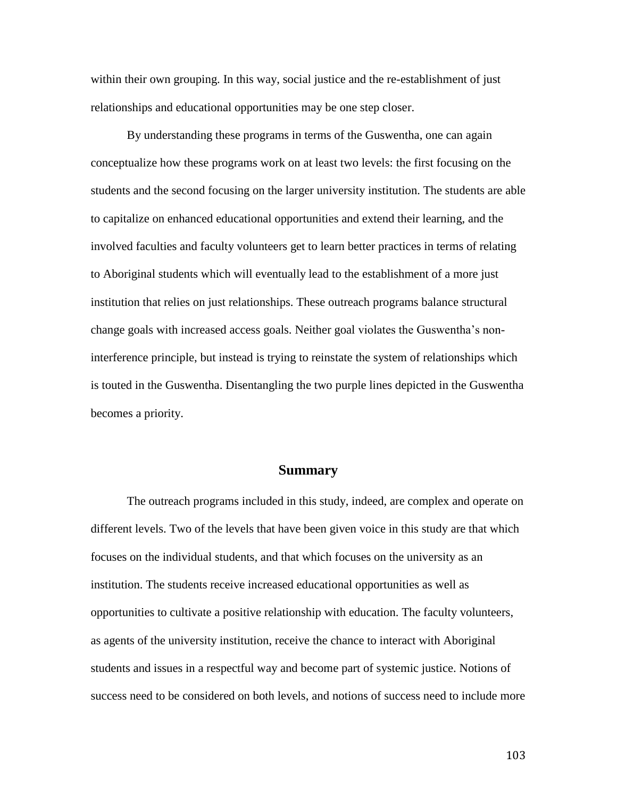within their own grouping. In this way, social justice and the re-establishment of just relationships and educational opportunities may be one step closer.

By understanding these programs in terms of the Guswentha, one can again conceptualize how these programs work on at least two levels: the first focusing on the students and the second focusing on the larger university institution. The students are able to capitalize on enhanced educational opportunities and extend their learning, and the involved faculties and faculty volunteers get to learn better practices in terms of relating to Aboriginal students which will eventually lead to the establishment of a more just institution that relies on just relationships. These outreach programs balance structural change goals with increased access goals. Neither goal violates the Guswentha's noninterference principle, but instead is trying to reinstate the system of relationships which is touted in the Guswentha. Disentangling the two purple lines depicted in the Guswentha becomes a priority.

#### **Summary**

The outreach programs included in this study, indeed, are complex and operate on different levels. Two of the levels that have been given voice in this study are that which focuses on the individual students, and that which focuses on the university as an institution. The students receive increased educational opportunities as well as opportunities to cultivate a positive relationship with education. The faculty volunteers, as agents of the university institution, receive the chance to interact with Aboriginal students and issues in a respectful way and become part of systemic justice. Notions of success need to be considered on both levels, and notions of success need to include more

103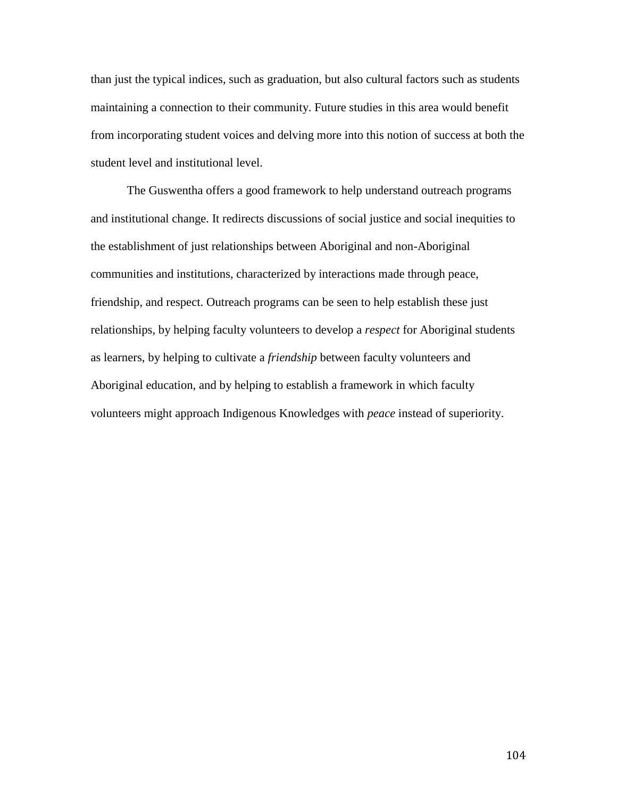than just the typical indices, such as graduation, but also cultural factors such as students maintaining a connection to their community. Future studies in this area would benefit from incorporating student voices and delving more into this notion of success at both the student level and institutional level.

The Guswentha offers a good framework to help understand outreach programs and institutional change. It redirects discussions of social justice and social inequities to the establishment of just relationships between Aboriginal and non-Aboriginal communities and institutions, characterized by interactions made through peace, friendship, and respect. Outreach programs can be seen to help establish these just relationships, by helping faculty volunteers to develop a *respect* for Aboriginal students as learners, by helping to cultivate a *friendship* between faculty volunteers and Aboriginal education, and by helping to establish a framework in which faculty volunteers might approach Indigenous Knowledges with *peace* instead of superiority.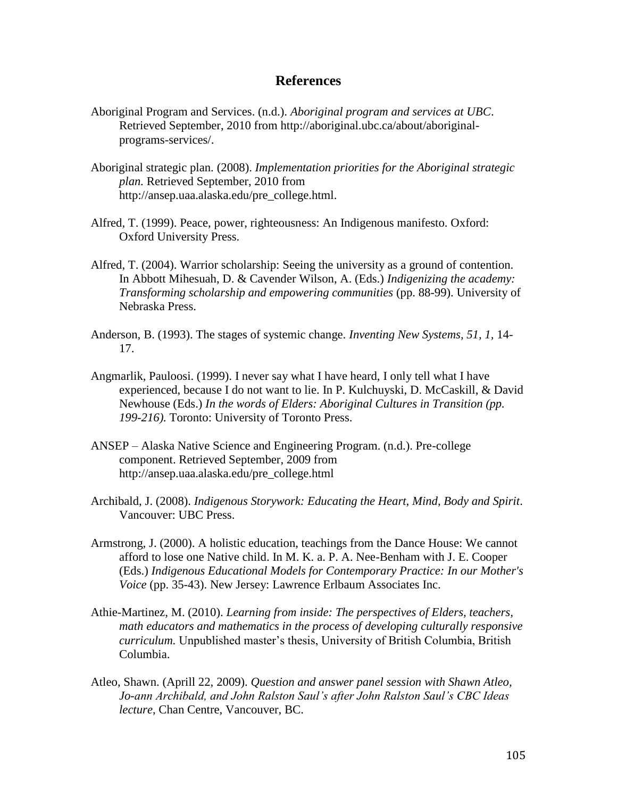## **References**

- Aboriginal Program and Services. (n.d.). *Aboriginal program and services at UBC*. Retrieved September, 2010 from http://aboriginal.ubc.ca/about/aboriginalprograms-services/.
- Aboriginal strategic plan. (2008). *Implementation priorities for the Aboriginal strategic plan.* Retrieved September, 2010 from http://ansep.uaa.alaska.edu/pre\_college.html.
- Alfred, T. (1999). Peace, power, righteousness: An Indigenous manifesto. Oxford: Oxford University Press.
- Alfred, T. (2004). Warrior scholarship: Seeing the university as a ground of contention. In Abbott Mihesuah, D. & Cavender Wilson, A. (Eds.) *Indigenizing the academy: Transforming scholarship and empowering communities* (pp. 88-99). University of Nebraska Press.
- Anderson, B. (1993). The stages of systemic change. *Inventing New Systems, 51, 1,* 14- 17.
- Angmarlik, Pauloosi. (1999). I never say what I have heard, I only tell what I have experienced, because I do not want to lie. In P. Kulchuyski, D. McCaskill, & David Newhouse (Eds.) *In the words of Elders: Aboriginal Cultures in Transition (pp. 199-216).* Toronto: University of Toronto Press.
- ANSEP Alaska Native Science and Engineering Program. (n.d.). Pre-college component. Retrieved September, 2009 from http://ansep.uaa.alaska.edu/pre\_college.html
- Archibald, J. (2008). *Indigenous Storywork: Educating the Heart, Mind, Body and Spirit*. Vancouver: UBC Press.
- Armstrong, J. (2000). A holistic education, teachings from the Dance House: We cannot afford to lose one Native child. In M. K. a. P. A. Nee-Benham with J. E. Cooper (Eds.) *Indigenous Educational Models for Contemporary Practice: In our Mother's Voice* (pp. 35-43). New Jersey: Lawrence Erlbaum Associates Inc.
- Athie-Martinez, M. (2010). *Learning from inside: The perspectives of Elders, teachers, math educators and mathematics in the process of developing culturally responsive curriculum.* Unpublished master's thesis, University of British Columbia, British Columbia.
- Atleo, Shawn. (Aprill 22, 2009). *Question and answer panel session with Shawn Atleo, Jo-ann Archibald, and John Ralston Saul's after John Ralston Saul's CBC Ideas lecture*, Chan Centre, Vancouver, BC.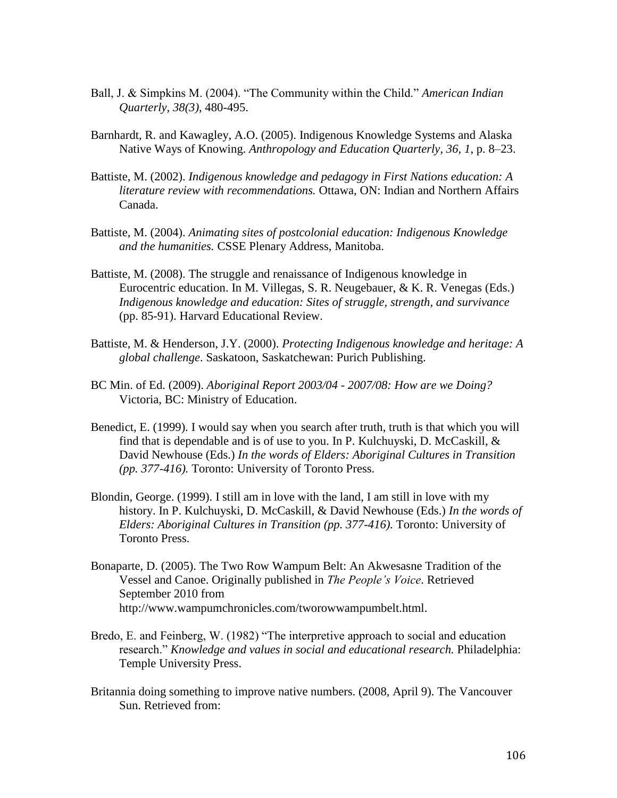- Ball, J. & Simpkins M. (2004). "The Community within the Child." *American Indian Quarterly, 38(3)*, 480-495.
- Barnhardt, R. and Kawagley, A.O. (2005). Indigenous Knowledge Systems and Alaska Native Ways of Knowing. *Anthropology and Education Quarterly, 36, 1*, p. 8–23.
- Battiste, M. (2002). *Indigenous knowledge and pedagogy in First Nations education: A literature review with recommendations.* Ottawa, ON: Indian and Northern Affairs Canada.
- Battiste, M. (2004). *Animating sites of postcolonial education: Indigenous Knowledge and the humanities.* CSSE Plenary Address, Manitoba.
- Battiste, M. (2008). The struggle and renaissance of Indigenous knowledge in Eurocentric education. In M. Villegas, S. R. Neugebauer, & K. R. Venegas (Eds.) *Indigenous knowledge and education: Sites of struggle, strength, and survivance* (pp. 85-91). Harvard Educational Review.
- Battiste, M. & Henderson, J.Y. (2000). *Protecting Indigenous knowledge and heritage: A global challenge*. Saskatoon, Saskatchewan: Purich Publishing.
- BC Min. of Ed. (2009). *Aboriginal Report 2003/04 - 2007/08: How are we Doing?* Victoria, BC: Ministry of Education.
- Benedict, E. (1999). I would say when you search after truth, truth is that which you will find that is dependable and is of use to you. In P. Kulchuyski, D. McCaskill,  $\&$ David Newhouse (Eds.) *In the words of Elders: Aboriginal Cultures in Transition (pp. 377-416).* Toronto: University of Toronto Press.
- Blondin, George. (1999). I still am in love with the land, I am still in love with my history. In P. Kulchuyski, D. McCaskill, & David Newhouse (Eds.) *In the words of Elders: Aboriginal Cultures in Transition (pp. 377-416).* Toronto: University of Toronto Press.
- Bonaparte, D. (2005). The Two Row Wampum Belt: An Akwesasne Tradition of the Vessel and Canoe. Originally published in *The People's Voice*. Retrieved September 2010 from http://www.wampumchronicles.com/tworowwampumbelt.html.
- Bredo, E. and Feinberg, W. (1982) "The interpretive approach to social and education research." *Knowledge and values in social and educational research.* Philadelphia: Temple University Press.
- Britannia doing something to improve native numbers. (2008, April 9). The Vancouver Sun. Retrieved from: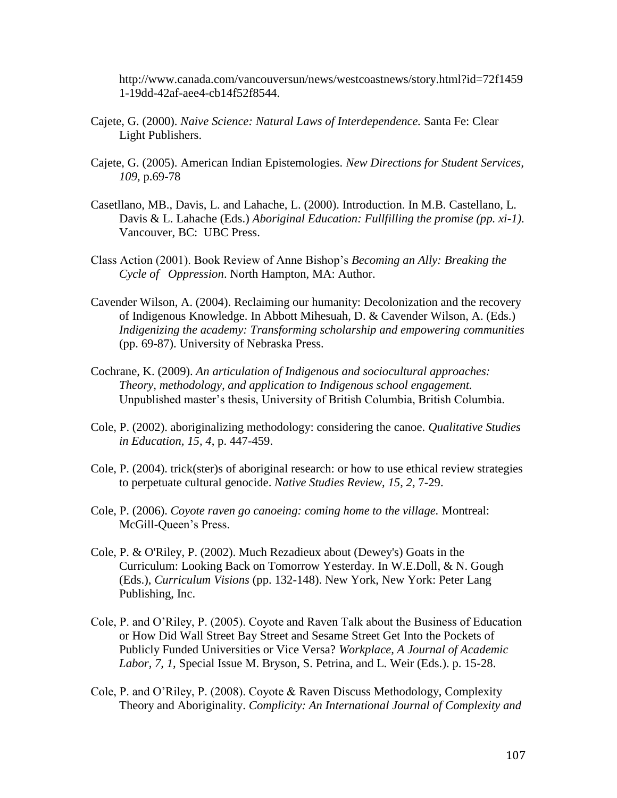http://www.canada.com/vancouversun/news/westcoastnews/story.html?id=72f1459 1-19dd-42af-aee4-cb14f52f8544.

- Cajete, G. (2000). *Naive Science: Natural Laws of Interdependence.* Santa Fe: Clear Light Publishers.
- Cajete, G. (2005). American Indian Epistemologies. *New Directions for Student Services, 109,* p.69-78
- Casetllano, MB., Davis, L. and Lahache, L. (2000). Introduction. In M.B. Castellano, L. Davis & L. Lahache (Eds.) *Aboriginal Education: Fullfilling the promise (pp. xi-1)*. Vancouver, BC: UBC Press.
- Class Action (2001). Book Review of Anne Bishop's *Becoming an Ally: Breaking the Cycle of Oppression*. North Hampton, MA: Author.
- Cavender Wilson, A. (2004). Reclaiming our humanity: Decolonization and the recovery of Indigenous Knowledge. In Abbott Mihesuah, D. & Cavender Wilson, A. (Eds.) *Indigenizing the academy: Transforming scholarship and empowering communities* (pp. 69-87). University of Nebraska Press.
- Cochrane, K. (2009). *An articulation of Indigenous and sociocultural approaches: Theory, methodology, and application to Indigenous school engagement.* Unpublished master's thesis, University of British Columbia, British Columbia.
- Cole, P. (2002). aboriginalizing methodology: considering the canoe. *Qualitative Studies in Education, 15, 4*, p. 447-459.
- Cole, P. (2004). trick(ster)s of aboriginal research: or how to use ethical review strategies to perpetuate cultural genocide. *Native Studies Review, 15, 2,* 7-29.
- Cole, P. (2006). *Coyote raven go canoeing: coming home to the village.* Montreal: McGill-Queen's Press.
- Cole, P. & O'Riley, P. (2002). Much Rezadieux about (Dewey's) Goats in the Curriculum: Looking Back on Tomorrow Yesterday. In W.E.Doll, & N. Gough (Eds.), *Curriculum Visions* (pp. 132-148). New York, New York: Peter Lang Publishing, Inc.
- Cole, P. and O'Riley, P. (2005). Coyote and Raven Talk about the Business of Education or How Did Wall Street Bay Street and Sesame Street Get Into the Pockets of Publicly Funded Universities or Vice Versa? *Workplace, A Journal of Academic Labor, 7, 1,* Special Issue M. Bryson, S. Petrina, and L. Weir (Eds.). p. 15-28.
- Cole, P. and O'Riley, P. (2008). Coyote & Raven Discuss Methodology, Complexity Theory and Aboriginality. *Complicity: An International Journal of Complexity and*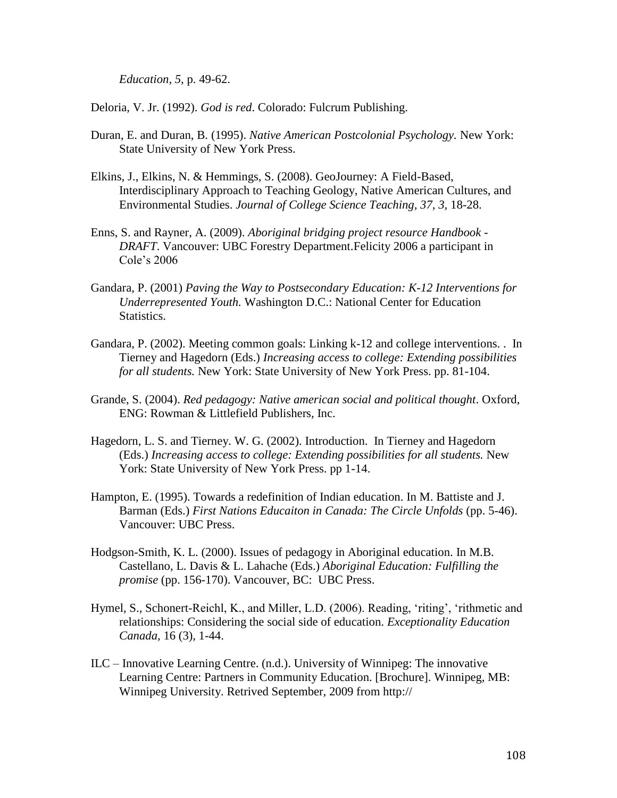*Education, 5,* p. 49-62.

Deloria, V. Jr. (1992). *God is red*. Colorado: Fulcrum Publishing.

- Duran, E. and Duran, B. (1995). *Native American Postcolonial Psychology.* New York: State University of New York Press.
- Elkins, J., Elkins, N. & Hemmings, S. (2008). GeoJourney: A Field-Based, Interdisciplinary Approach to Teaching Geology, Native American Cultures, and Environmental Studies. *Journal of College Science Teaching, 37, 3,* 18-28.
- Enns, S. and Rayner, A. (2009). *Aboriginal bridging project resource Handbook - DRAFT*. Vancouver: UBC Forestry Department.Felicity 2006 a participant in Cole's 2006
- Gandara, P. (2001) *Paving the Way to Postsecondary Education: K-12 Interventions for Underrepresented Youth.* Washington D.C.: National Center for Education Statistics.
- Gandara, P. (2002). Meeting common goals: Linking k-12 and college interventions. . In Tierney and Hagedorn (Eds.) *Increasing access to college: Extending possibilities for all students.* New York: State University of New York Press. pp. 81-104.
- Grande, S. (2004). *Red pedagogy: Native american social and political thought*. Oxford, ENG: Rowman & Littlefield Publishers, Inc.
- Hagedorn, L. S. and Tierney. W. G. (2002). Introduction. In Tierney and Hagedorn (Eds.) *Increasing access to college: Extending possibilities for all students.* New York: State University of New York Press. pp 1-14.
- Hampton, E. (1995). Towards a redefinition of Indian education. In M. Battiste and J. Barman (Eds.) *First Nations Educaiton in Canada: The Circle Unfolds* (pp. 5-46). Vancouver: UBC Press.
- Hodgson-Smith, K. L. (2000). Issues of pedagogy in Aboriginal education. In M.B. Castellano, L. Davis & L. Lahache (Eds.) *Aboriginal Education: Fulfilling the promise* (pp. 156-170). Vancouver, BC: UBC Press.
- Hymel, S., Schonert-Reichl, K., and Miller, L.D. (2006). Reading, 'riting', 'rithmetic and relationships: Considering the social side of education. *Exceptionality Education Canada,* 16 (3), 1-44.
- ILC Innovative Learning Centre. (n.d.). University of Winnipeg: The innovative Learning Centre: Partners in Community Education. [Brochure]. Winnipeg, MB: Winnipeg University. Retrived September, 2009 from http://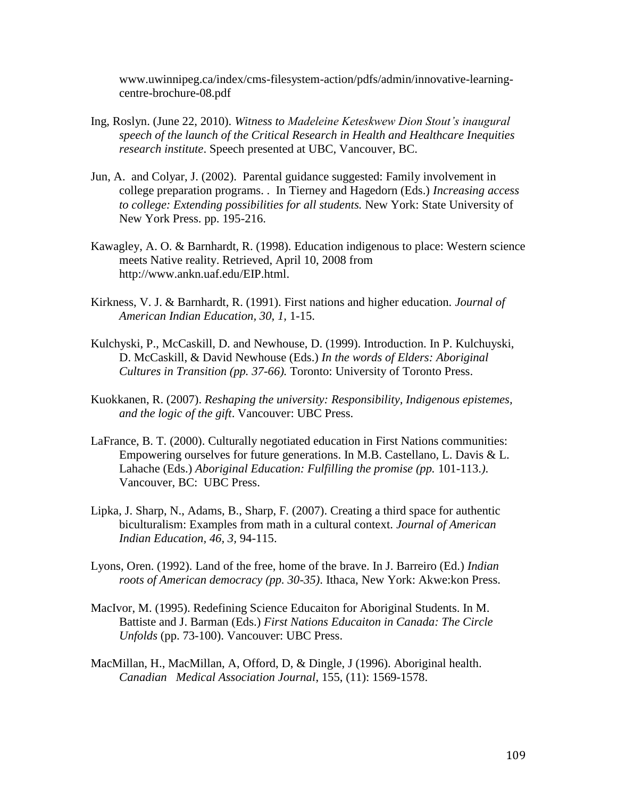www.uwinnipeg.ca/index/cms-filesystem-action/pdfs/admin/innovative-learningcentre-brochure-08.pdf

- Ing, Roslyn. (June 22, 2010). *Witness to Madeleine Keteskwew Dion Stout's inaugural speech of the launch of the Critical Research in Health and Healthcare Inequities research institute*. Speech presented at UBC, Vancouver, BC.
- Jun, A. and Colyar, J. (2002). Parental guidance suggested: Family involvement in college preparation programs. . In Tierney and Hagedorn (Eds.) *Increasing access to college: Extending possibilities for all students.* New York: State University of New York Press. pp. 195-216.
- Kawagley, A. O. & Barnhardt, R. (1998). Education indigenous to place: Western science meets Native reality. Retrieved, April 10, 2008 from http://www.ankn.uaf.edu/EIP.html.
- Kirkness, V. J. & Barnhardt, R. (1991). First nations and higher education. *Journal of American Indian Education, 30, 1,* 1-15.
- Kulchyski, P., McCaskill, D. and Newhouse, D. (1999). Introduction. In P. Kulchuyski, D. McCaskill, & David Newhouse (Eds.) *In the words of Elders: Aboriginal Cultures in Transition (pp. 37-66).* Toronto: University of Toronto Press.
- Kuokkanen, R. (2007). *Reshaping the university: Responsibility, Indigenous epistemes, and the logic of the gift*. Vancouver: UBC Press.
- LaFrance, B. T. (2000). Culturally negotiated education in First Nations communities: Empowering ourselves for future generations. In M.B. Castellano, L. Davis & L. Lahache (Eds.) *Aboriginal Education: Fulfilling the promise (pp. 101-113.).* Vancouver, BC: UBC Press.
- Lipka, J. Sharp, N., Adams, B., Sharp, F. (2007). Creating a third space for authentic biculturalism: Examples from math in a cultural context. *Journal of American Indian Education, 46, 3,* 94-115.
- Lyons, Oren. (1992). Land of the free, home of the brave. In J. Barreiro (Ed.) *Indian roots of American democracy (pp. 30-35)*. Ithaca, New York: Akwe:kon Press.
- MacIvor, M. (1995). Redefining Science Educaiton for Aboriginal Students. In M. Battiste and J. Barman (Eds.) *First Nations Educaiton in Canada: The Circle Unfolds* (pp. 73-100). Vancouver: UBC Press.
- MacMillan, H., MacMillan, A, Offord, D, & Dingle, J (1996). Aboriginal health. *Canadian Medical Association Journal*, 155, (11): 1569-1578.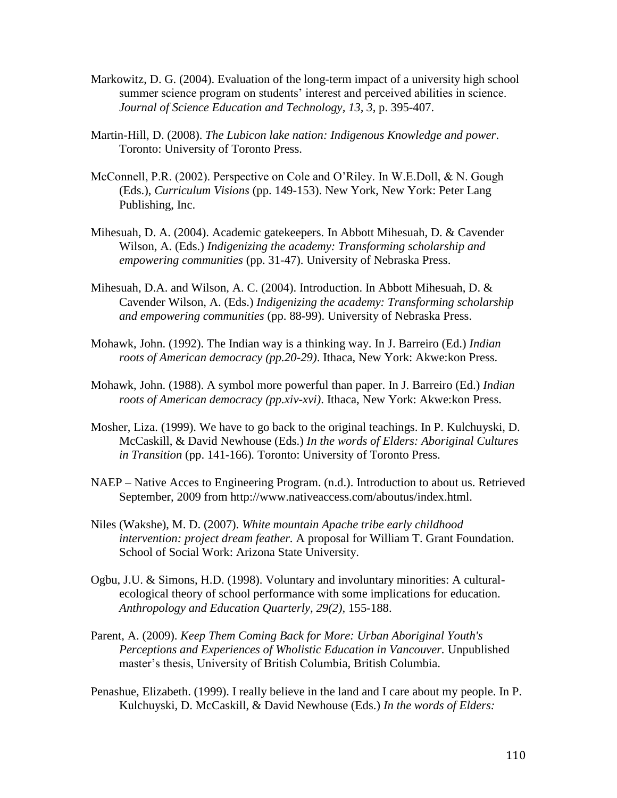- Markowitz, D. G. (2004). Evaluation of the long-term impact of a university high school summer science program on students' interest and perceived abilities in science. *Journal of Science Education and Technology, 13, 3*, p. 395-407.
- Martin-Hill, D. (2008). *The Lubicon lake nation: Indigenous Knowledge and power*. Toronto: University of Toronto Press.
- McConnell, P.R. (2002). Perspective on Cole and O'Riley. In W.E.Doll, & N. Gough (Eds.), *Curriculum Visions* (pp. 149-153). New York, New York: Peter Lang Publishing, Inc.
- Mihesuah, D. A. (2004). Academic gatekeepers. In Abbott Mihesuah, D. & Cavender Wilson, A. (Eds.) *Indigenizing the academy: Transforming scholarship and empowering communities* (pp. 31-47). University of Nebraska Press.
- Mihesuah, D.A. and Wilson, A. C. (2004). Introduction. In Abbott Mihesuah, D. & Cavender Wilson, A. (Eds.) *Indigenizing the academy: Transforming scholarship and empowering communities* (pp. 88-99). University of Nebraska Press.
- Mohawk, John. (1992). The Indian way is a thinking way. In J. Barreiro (Ed.) *Indian roots of American democracy (pp.20-29)*. Ithaca, New York: Akwe:kon Press.
- Mohawk, John. (1988). A symbol more powerful than paper. In J. Barreiro (Ed.) *Indian roots of American democracy (pp.xiv-xvi)*. Ithaca, New York: Akwe:kon Press.
- Mosher, Liza. (1999). We have to go back to the original teachings. In P. Kulchuyski, D. McCaskill, & David Newhouse (Eds.) *In the words of Elders: Aboriginal Cultures in Transition* (pp. 141-166)*.* Toronto: University of Toronto Press.
- NAEP Native Acces to Engineering Program. (n.d.). Introduction to about us. Retrieved September, 2009 from http://www.nativeaccess.com/aboutus/index.html.
- Niles (Wakshe), M. D. (2007). *White mountain Apache tribe early childhood intervention: project dream feather.* A proposal for William T. Grant Foundation. School of Social Work: Arizona State University.
- Ogbu, J.U. & Simons, H.D. (1998). Voluntary and involuntary minorities: A culturalecological theory of school performance with some implications for education. *Anthropology and Education Quarterly, 29(2),* 155-188.
- Parent, A. (2009). *Keep Them Coming Back for More: Urban Aboriginal Youth's Perceptions and Experiences of Wholistic Education in Vancouver.* Unpublished master's thesis, University of British Columbia, British Columbia.
- Penashue, Elizabeth. (1999). I really believe in the land and I care about my people. In P. Kulchuyski, D. McCaskill, & David Newhouse (Eds.) *In the words of Elders:*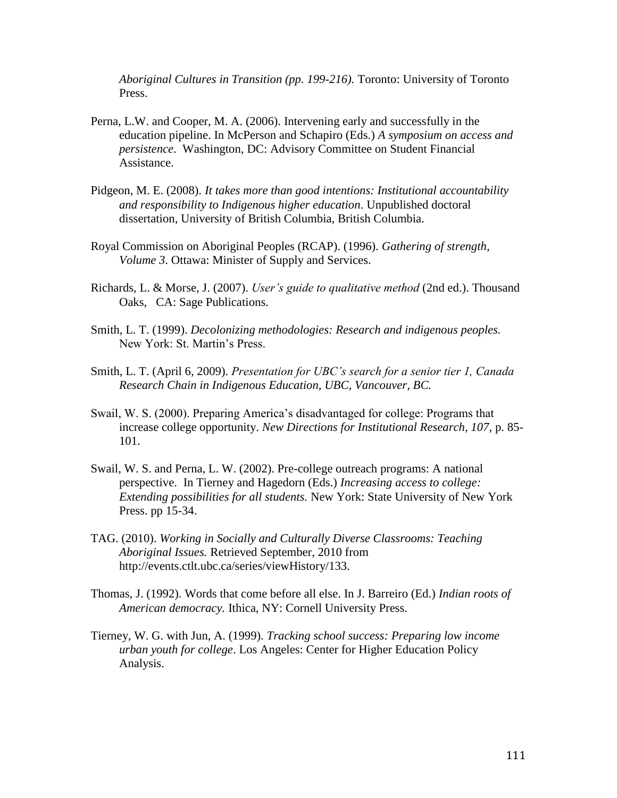*Aboriginal Cultures in Transition (pp. 199-216).* Toronto: University of Toronto Press.

- Perna, L.W. and Cooper, M. A. (2006). Intervening early and successfully in the education pipeline. In McPerson and Schapiro (Eds.) *A symposium on access and persistence*. Washington, DC: Advisory Committee on Student Financial Assistance.
- Pidgeon, M. E. (2008). *It takes more than good intentions: Institutional accountability and responsibility to Indigenous higher education*. Unpublished doctoral dissertation, University of British Columbia, British Columbia.
- Royal Commission on Aboriginal Peoples (RCAP). (1996). *Gathering of strength, Volume 3*. Ottawa: Minister of Supply and Services.
- Richards, L. & Morse, J. (2007). *User's guide to qualitative method* (2nd ed.). Thousand Oaks, CA: Sage Publications.
- Smith, L. T. (1999). *Decolonizing methodologies: Research and indigenous peoples.* New York: St. Martin's Press.
- Smith, L. T. (April 6, 2009). *Presentation for UBC's search for a senior tier 1, Canada Research Chain in Indigenous Education, UBC, Vancouver, BC.*
- Swail, W. S. (2000). Preparing America's disadvantaged for college: Programs that increase college opportunity. *New Directions for Institutional Research, 107*, p. 85- 101.
- Swail, W. S. and Perna, L. W. (2002). Pre-college outreach programs: A national perspective. In Tierney and Hagedorn (Eds.) *Increasing access to college: Extending possibilities for all students.* New York: State University of New York Press. pp 15-34.
- TAG. (2010). *Working in Socially and Culturally Diverse Classrooms: Teaching Aboriginal Issues.* Retrieved September, 2010 from http://events.ctlt.ubc.ca/series/viewHistory/133.
- Thomas, J. (1992). Words that come before all else. In J. Barreiro (Ed.) *Indian roots of American democracy.* Ithica, NY: Cornell University Press.
- Tierney, W. G. with Jun, A. (1999). *Tracking school success: Preparing low income urban youth for college*. Los Angeles: Center for Higher Education Policy Analysis.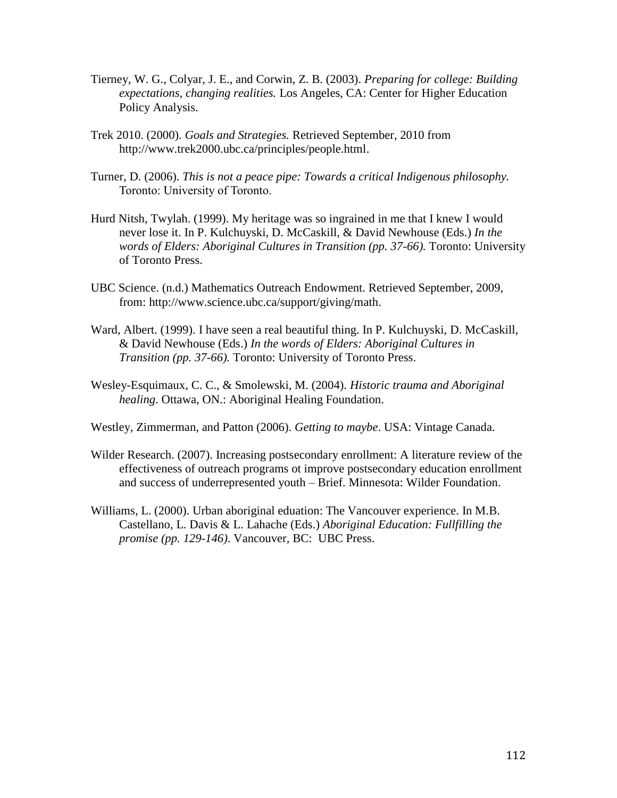- Tierney, W. G., Colyar, J. E., and Corwin, Z. B. (2003). *Preparing for college: Building expectations, changing realities.* Los Angeles, CA: Center for Higher Education Policy Analysis.
- Trek 2010. (2000). *Goals and Strategies.* Retrieved September, 2010 from http://www.trek2000.ubc.ca/principles/people.html.
- Turner, D. (2006). *This is not a peace pipe: Towards a critical Indigenous philosophy.*  Toronto: University of Toronto.
- Hurd Nitsh, Twylah. (1999). My heritage was so ingrained in me that I knew I would never lose it. In P. Kulchuyski, D. McCaskill, & David Newhouse (Eds.) *In the words of Elders: Aboriginal Cultures in Transition (pp. 37-66).* Toronto: University of Toronto Press.
- UBC Science. (n.d.) Mathematics Outreach Endowment. Retrieved September, 2009, from: [http://www.science.ubc.ca/support/giving/math.](http://www.science.ubc.ca/support/giving/math)
- Ward, Albert. (1999). I have seen a real beautiful thing. In P. Kulchuyski, D. McCaskill, & David Newhouse (Eds.) *In the words of Elders: Aboriginal Cultures in Transition (pp. 37-66).* Toronto: University of Toronto Press.
- Wesley-Esquimaux, C. C., & Smolewski, M. (2004). *Historic trauma and Aboriginal healing*. Ottawa, ON.: Aboriginal Healing Foundation.

Westley, Zimmerman, and Patton (2006). *Getting to maybe*. USA: Vintage Canada.

- Wilder Research. (2007). Increasing postsecondary enrollment: A literature review of the effectiveness of outreach programs ot improve postsecondary education enrollment and success of underrepresented youth – Brief. Minnesota: Wilder Foundation.
- Williams, L. (2000). Urban aboriginal eduation: The Vancouver experience. In M.B. Castellano, L. Davis & L. Lahache (Eds.) *Aboriginal Education: Fullfilling the promise (pp. 129-146)*. Vancouver, BC: UBC Press.